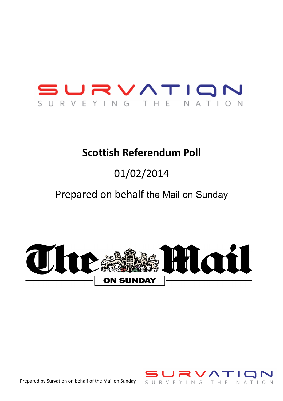

# **Scottish Referendum Poll**

# 01/02/2014

# Prepared on behalf the Mail on Sunday





Prepared by Survation on behalf of the Mail on Sunday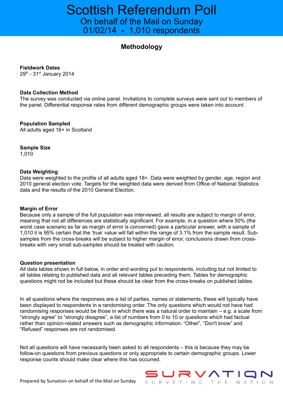Scottish Referendum Poll On behalf of the Mail on Sunday 01/02/14 - 1,010 respondents

# **Methodology**

**Fieldwork Dates**

29<sup>th</sup> - 31<sup>st</sup> January 2014

#### **Data Collection Method**

The survey was conducted via online panel. Invitations to complete surveys were sent out to members of the panel. Differential response rates from different demographic groups were taken into account.

#### **Population Sampled**

All adults aged 16+ in Scotland

#### **Sample Size**

1,010

#### **Data Weighting**

Data were weighted to the profile of all adults aged 18+. Data were weighted by gender, age, region and 2010 general election vote. Targets for the weighted data were derived from Office of National Statistics data and the results of the 2010 General Election.

#### **Margin of Error**

Because only a sample of the full population was interviewed, all results are subject to margin of error, meaning that not all differences are statistically significant. For example, in a question where 50% (the worst case scenario as far as margin of error is concerned) gave a particular answer, with a sample of 1,010 it is 95% certain that the 'true' value will fall within the range of 3.1% from the sample result. Subsamples from the cross-breaks will be subject to higher margin of error, conclusions drawn from crossbreaks with very small sub-samples should be treated with caution.

#### **Question presentation**

All data tables shown in full below, in order and wording put to respondents, including but not limited to all tables relating to published data and all relevant tables preceding them. Tables for demographic questions might not be included but these should be clear from the cross-breaks on published tables.

In all questions where the responses are a list of parties, names or statements, these will typically have been displayed to respondents in a randomising order. The only questions which would not have had randomising responses would be those in which there was a natural order to maintain – e.g. a scale from "strongly agree" to "strongly disagree", a list of numbers from 0 to 10 or questions which had factual rather than opinion-related answers such as demographic information. "Other", "Don't know" and "Refused" responses are not randomised.

Not all questions will have necessarily been asked to all respondents – this is because they may be follow-on questions from previous questions or only appropriate to certain demographic groups. Lower response counts should make clear where this has occurred.



Prepared by Survation on behalf of the Mail on Sunday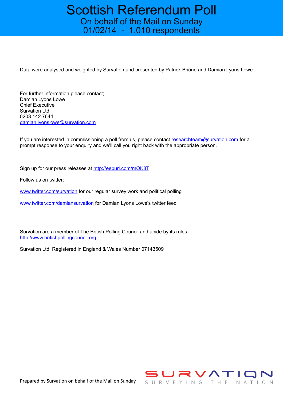# Scottish Referendum Poll On behalf of the Mail on Sunday 01/02/14 - 1,010 respondents

Data were analysed and weighted by Survation and presented by Patrick Briône and Damian Lyons Lowe.

For further information please contact; Damian Lyons Lowe Chief Executive Survation Ltd 0203 142 7644 [damian.lyonslowe@survation.com](mailto:damian.lyonslowe@survation.com)

If you are interested in commissioning a poll from us, please contact [researchteam@survation.com](mailto:researchteam@survation.com) for a prompt response to your enquiry and we'll call you right back with the appropriate person.

Sign up for our press releases at<http://eepurl.com/mOK8T>

Follow us on twitter:

[www.twitter.com/survation](http://www.twitter.com/survation) for our regular survey work and political polling

www.twitter.com/damiansurvation</u> for Damian Lyons Lowe's twitter feed

Survation are a member of The British Polling Council and abide by its rules: [http://www.britishpollingcouncil.org](http://www.britishpollingcouncil.org/)

Survation Ltd Registered in England & Wales Number 07143509

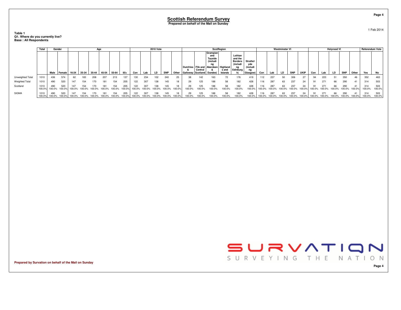#### **Table 1Q1. Where do you currently live? Base : All Respondents**

|                  | Total          |               | Gender<br>Age<br>$16-24$ 25-34 35-44 45-54<br>55-64<br>Male Female |               |               |               |               |               |               |        |               | <b>2010 Vote</b> |               |        |                           |               | <b>ScotRegion</b>                                                        |                              |                                                                    |                                  |               |               | <b>Westminster VI</b> |               |              |        |               | <b>Holyrood VI</b> |               |              | <b>Referendum Vote</b> |               |
|------------------|----------------|---------------|--------------------------------------------------------------------|---------------|---------------|---------------|---------------|---------------|---------------|--------|---------------|------------------|---------------|--------|---------------------------|---------------|--------------------------------------------------------------------------|------------------------------|--------------------------------------------------------------------|----------------------------------|---------------|---------------|-----------------------|---------------|--------------|--------|---------------|--------------------|---------------|--------------|------------------------|---------------|
|                  |                |               |                                                                    |               |               |               |               |               | 65+           | Con    | Lab           | LD               | <b>SNP</b>    | Other  | Galloway Scotland Dundee) | Central       | Grampian<br>and<br>Tayside<br>(includi<br>Dumfries   Fife and   Aberdeen | Highland<br>s and<br>Islands | Lothian<br>and the<br><b>Borders</b><br>(includi<br>ng<br>Edinburg | Strathcl<br>(includi<br>Glasgow) | Con           | Lab           | LD                    | <b>SNP</b>    | <b>UKIP</b>  | Con    | Lab           | LD                 | <b>SNP</b>    | Other        | Yes                    | No            |
| Unweighted Total | 1010           | 436           | 574                                                                | 62            | 183           | 208           | 207           | 213           | 137           | 130    | 234           | 102              | 240           | 25     | 38                        | 142           | 163                                                                      |                              | 76                                                                 | 419                              | 112           | 237           | 50                    | 306           | 27           | 94     | 223           |                    | 350           | 46           | 352                    | 463           |
| Weighted Total   | 1010           | 490           | 520                                                                | 147           | 154           | 170           | 181           | 154           | 205           | 122    | 307           | 138              | 145           |        | 29                        | 125           | 188                                                                      | 58                           | 182                                                                | 428                              | 116           | 287           | 63                    | 237           | 24           |        | 271           | 66                 | 290           | 41           | 314                    | 503           |
| Scotland         | 1010<br>100.0% | 490<br>100.0% | 520<br>100.0%                                                      | 147<br>100.0% | 154<br>100.0% | 170<br>100.0% | 181<br>100.0% | 154<br>100.0% | 205<br>100.0% | 100.0% | 307<br>100.0% | 138<br>100.0%    | 45<br>100.0%  | 100.0% | 29<br>100.0%              | 125<br>100.0% | 188<br>00.0%                                                             | 58<br>100.0%                 | 182<br>100.0%                                                      | 428<br>100.0%                    | 16<br>100.0%  | 287<br>100.0% | 63<br>100.0%          | 237<br>100.0% | 24<br>100.0% | 100.0% | 271<br>100.0% | 66.<br>100.0%      | 290<br>100.0% | 41<br>100.0% | 314<br>100.0%          | 503<br>100.0% |
| <b>SIGMA</b>     | 1010<br>100.0% | 490<br>100.0% | 520<br>100.0%                                                      | 147<br>100.0% | 154<br>100.0% | 170<br>100.0% | 181<br>100.0% | 154<br>100.0% | 205<br>100.0% | 100.0% | 307<br>100.0% | 138<br>100.0%    | 145<br>100.0% | 100.0% | 29<br>100.0%              | 125<br>100.0% | 188<br>00.0%                                                             | 58<br>100.0%                 | 182<br>100.0%                                                      | 428<br>100.0%                    | 116<br>100.0% | 287<br>100.0% | 63<br>100.0%          | 237<br>100.0% | 24<br>100.0% | 100.0% | 271<br>100.0% | 66<br>100.0%       | 290<br>100.0% | 41<br>100.0% | 314<br>100.0%          | 503<br>100.0% |

**Prepared by Survation on behalf of the Mail on Sunday**



1 Feb 2014

**Page 4**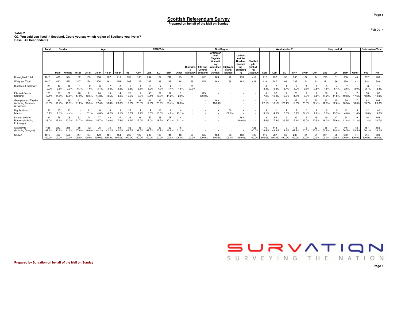**Table 2Q2. You said you lived in Scotland. Could you say which region of Scotland you live in? Base : All Respondents**

|                                                                 | Total               | Gender        |               |               |               | Age         |               |               |               |                      |              | <b>2010 Vote</b> |               |              |                      |                                 | <b>ScotRegion</b>                                                          |                              |                                                                           |                                                     |               |               | <b>Westminster VI</b> |               |              |             |               | <b>Holyrood VI</b> |               |              | <b>Referendum Vote</b> |               |
|-----------------------------------------------------------------|---------------------|---------------|---------------|---------------|---------------|-------------|---------------|---------------|---------------|----------------------|--------------|------------------|---------------|--------------|----------------------|---------------------------------|----------------------------------------------------------------------------|------------------------------|---------------------------------------------------------------------------|-----------------------------------------------------|---------------|---------------|-----------------------|---------------|--------------|-------------|---------------|--------------------|---------------|--------------|------------------------|---------------|
|                                                                 |                     | Male          | Female        | 16-24         | 25-34         | 35-44       | 45-54         | 55-64         | 65+           | Con                  | Lab          | LD.              | <b>SNP</b>    | Other        | Dumfries<br>Galloway | Fife and<br>Central<br>Scotland | Grampian<br>and<br><b>Tavside</b><br>(includi<br>na<br>Aberdeen<br>Dundee) | Highland<br>s and<br>Islands | Lothian<br>and the<br><b>Borders</b><br><i>(includi</i><br>ng<br>Edinbura | <b>Strathcl</b><br>vde<br>(includi<br>ng<br>Glasgow | Con           | Lab           | LD                    | <b>SNP</b>    | <b>UKIP</b>  | Con         | Lab           | LD                 | <b>SNP</b>    | Other        | Yes                    | No            |
| Unweighted Total                                                | 1010                | 436           | 574           | 62            | 183           | 208         | 207           | 213           | 137           | 130                  | 234          | 102              | 240           | 25           | 38                   | 142                             | 163                                                                        | 72                           | 176                                                                       | 419                                                 | 112           | 237           | 50                    | 306           | 27           | 94          | 223           | 51                 | 350           | 46           | 352                    | 463           |
| Weighted Total                                                  | 1010                | 490           | 520           | 147           | 154           |             | 181           | 154           | 205           | 122                  | 307          | 138              | 145           |              | 29                   | 125                             | 188                                                                        | 58                           | 182                                                                       | 428                                                 | 116           | 287           | 63                    | 237           | 24           |             | 271           | 66                 | 290           | 41           | 314                    | 503           |
| Dumfries & Galloway                                             | 29<br>$2.9^{\circ}$ | 17<br>3.6%    | 12<br>2.3%    | 0.7%          | $\Omega$ %    | 270/        |               | 5.5%          | 2.5%          | 3.5%                 | 10<br>3.2%   | 4.9%             | 1.4%          | 4.5%         | 29<br>100.0%         |                                 |                                                                            |                              |                                                                           | $\overline{\phantom{a}}$                            | 2.8%          |               |                       | 3.0%          | 3.5%         | 3.5%        |               |                    | 2.5%          | 2.0%         | 2.7%                   | 11<br>2.3%    |
| Fife and Central<br>Scotland                                    | 125<br>12.4%        | 58<br>11.8%   | 68<br>13.0%   | 26<br>17.9%   | 21<br>13.5%   | 24<br>14.3% | 15<br>8.5%    | 14<br>8.8%    | 25<br>12.2%   | 7.7%                 | 13.1%        | 15.3%            | 11.2%         | 2.0%         |                      | 125<br>100.0%                   |                                                                            |                              |                                                                           | $\overline{\phantom{a}}$                            | 7.2%          | 37<br>12.9%   |                       | 28<br>11 7%   | 5.6%         | 8.8%        | 38<br>14.2%   | 1.8%               | 31<br>10.6%   | 17.6%        | 38<br>12.2%            | 62<br>12.3%   |
| <b>Grampian and Tayside</b><br>(including Aberdeen<br>& Dundee) | 188<br>18.6%        | 92<br>18.7%   | 96<br>18.5%   | 31<br>21.2%   | 24<br>15.9%   | 30<br>17.4% | 33<br>18.3%   | 31<br>20.3%   | 38<br>18.7%   | 31<br>25.0%          | 44<br>14.2%  | 33<br>23.9%      | 34<br>23.4%   | 3<br>18.0%   |                      |                                 | 188<br>100.0%                                                              |                              | $\sim$                                                                    | $\overline{\phantom{a}}$                            | 31<br>27.1%   | 38<br>13.1%   | 13<br>20.1%           | 47<br>19.9%   | 6<br>23.0%   | 20<br>22.4% | 32<br>12.0%   | 15<br>22.6%        | 59<br>20.5%   | 18.0%        | 62<br>19.7%            | 104<br>20.6%  |
| Highlands and<br>Islands                                        | 58<br>5.7%          | 35<br>7.1%    | 23<br>4.4%    |               | 7.1%          | 4.8%        | 4.2%          | 6.1%          | 22<br>10.6%   | 7.2%                 | 3.0%         | 18<br>13.3%      | 4.0%          | 4<br>23.19   |                      |                                 |                                                                            | 58<br>100.0%                 | $\sim$<br>$\sim$                                                          | $\overline{\phantom{a}}$                            | 8.1%          | 4.0%          | 15.0%                 | 3.1%          | 6<br>24.4%   | 9.8%        | 3.0%          | 13.7%              | 12<br>4.0%    | 11.6%        | 12<br>3.8%             | 40<br>8.0%    |
| Lothian and the<br>Borders (including<br>Edinburgh)             | 182<br>18.0%        | 76<br>15.6%   | 106<br>20.3%  | 33<br>22.7%   | 24<br>15.9%   | 27<br>15.7% | 42<br>23.0%   | 27<br>17.4%   | 29<br>14.2%   | 21<br>17.0%          | 52<br>17.0%  | 26<br>18.7%      | 25<br>17.1%   | 21.1%        |                      |                                 |                                                                            |                              | 182<br>100.0%                                                             | $\sim$                                              | 18<br>15.4%   | 52<br>17.9%   | 19<br>29.9%           | 29<br>12.4%   | 5<br>23.0%   | 19<br>20.5% | 49<br>18.2%   | 17<br>25.6%        | 34<br>11.8%   | 21.3%        | 36<br>11.4%            | 104<br>20.7%  |
| Strathclyde<br>(including Glasgow)                              | 428<br>42.4%        | 212<br>43.2%  | 216<br>41.6%  | 55<br>37.6%   | 72<br>46.6%   | 75<br>44.2% | 76<br>42.2%   | 64<br>42.0%   | 86<br>41.7%   | 39.5%                | 152<br>49.5% | 33<br>23.9%      | 42.9%         | 31.2%        |                      |                                 |                                                                            |                              |                                                                           | 428<br>100.0%                                       | 46<br>39.4%   | 143<br>49.9%  | 9<br>14.4%            | 118<br>49.9%  | 20.5%        | 32<br>35.0% | 138<br>50.9%  | 14<br>20.9%        | 146<br>50.5%  | 12<br>29.5%  | 157<br>50.1%           | 182<br>36.2%  |
| <b>SIGMA</b>                                                    | 1010<br>100.0%      | 490<br>100.0% | 520<br>100.0% | 147<br>100.0% | 154<br>100.0% | 100.0%      | 181<br>100.0% | 154<br>100.0% | 205<br>100.0% | 122<br>100.0% 100.0% | 307          | 138<br>100.0%    | 145<br>100.0% | 18<br>100.0% | 29<br>100.0%         | 125<br>100.0%                   | 188<br>100.0%                                                              | 58<br>100.0%                 | 182<br>100.0%                                                             | 428<br>100.0%                                       | 116<br>100.0% | 287<br>100.0% | 63<br>100.0%          | 237<br>100.0% | 24<br>100.0% | 100.0%      | 271<br>100.0% | 66<br>100.0%       | 290<br>100.0% | 41<br>100.0% | 314<br>100.0%          | 503<br>100.0% |

**Prepared by Survation on behalf of the Mail on Sunday**

SURVATION SURVEYING THE NATION

**Page 5**

1 Feb 2014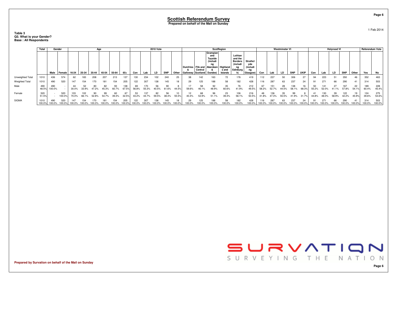#### **Table 3 Q3. What is your Gender?Base : All Respondents**

|                       | Total          | Gender        |               |               |             | Age   |             |               |              |             |       | <b>2010 Vote</b> |                 |         |                   |             | <b>ScotRegion</b>                                                                           |                              |                                                                            |                                        |             |       | <b>Westminster VI</b> |              |             |       |       | <b>Holyrood VI</b> |              |              | <b>Referendum Vote</b> |               |
|-----------------------|----------------|---------------|---------------|---------------|-------------|-------|-------------|---------------|--------------|-------------|-------|------------------|-----------------|---------|-------------------|-------------|---------------------------------------------------------------------------------------------|------------------------------|----------------------------------------------------------------------------|----------------------------------------|-------------|-------|-----------------------|--------------|-------------|-------|-------|--------------------|--------------|--------------|------------------------|---------------|
|                       |                | Male          | Female        | 16-24         | 25-34       | 35-44 | 45-54       | 55-64         | 65+          | Con         | Lab   | LD               | <b>SNP</b>      | . Other | Galloway Scotland | Central     | Grampian<br>and<br>Tayside<br>(includi<br>na<br>Dumfries   Fife and   Aberdeen  <br>Dundee) | Highland<br>s and<br>Islands | Lothian<br>and the<br><b>Borders</b><br><i>(includi)</i><br>ng<br>Edinburg | <b>Strathcl</b><br>(includi<br>Glasgow | Con         | Lab   | LD                    | <b>SNP</b>   | <b>UKIP</b> | Con   | Lab   | LD                 | <b>SNP</b>   | Other        | Yes                    | No            |
| Unweighted Total      | 1010           | 436           | 574           | 62            | 183         | 208   | 207         | 213           | 137          |             | 234   | 102              | 240             | 25      | 38                | 142         | 163                                                                                         | 72                           | 76                                                                         | 419                                    |             | 237   | 50                    | 306          | 27          | 94    | 223   |                    | 350          | 46           | 352                    | 463           |
| <b>Weighted Total</b> | 1010           | 490           | 520           | 147           | 154         | 170   | 181         | 154           | 205          | 122         | 307   | 138              | 145             | 18      | 29                | 125         | 188                                                                                         | 58                           | 182                                                                        | 428                                    | 116         | 287   | 63                    | 237          | 24          |       | 271   | 66                 | 290          | 41           | 314                    | 503           |
| Male                  | 490<br>48.5%   | 490<br>100.0% |               | 30.0%         | 52<br>33.9% | 47.2% | 82<br>45.3% | 93<br>60.7%   | 138<br>67.5% | 69<br>56.8% | 55.3% | 56<br>40.5%      | 90<br>61.6%     | 44.5%   | 59.6%             | 58<br>46.1% | 92<br>48.9%                                                                                 | 35<br>60.6%                  | 76<br>41.9%                                                                | 212<br>49.5%                           | 67<br>58.2% | 52.7% | 28<br>44.5%           | 138<br>58.1% | 68.3        | 55.2% | 52.0% |                    | 167<br>57.8% | 22<br>54.1%  | 189<br>60.4%           | 228<br>45.4%  |
| Female                | 520<br>51.5%   |               | 520<br>100.0  | 70.0%         | 66.1%       | 52.8% | 99<br>54.7% | 60<br>39.3%   | 32.5%        | 43.2%       |       | 82<br>59.5%      | 56<br>38.<br>4% | 55.5%   | 40.4%             | 68<br>53.9% | 96<br>51.1%                                                                                 | 23<br>39.4%                  | 106<br>58.1%                                                               | 216<br>50.5%                           | 48<br>41.8% |       | 35<br>55.5%           | 99<br>41.9%  | 31.         | 44.8% | 48.0% | 39<br>58.9%        | 122<br>42.2% | 45.9%        | 124<br>39.6%           | 275<br>54.6%  |
| <b>SIGMA</b>          | 1010<br>100.09 | 490<br>100.0% | 520<br>100.09 | 14.<br>100.0% |             |       | 181         | 154<br>100.0° | 205<br>100.0 |             | 307   | 138<br>00.0%     | 45              | 100.0   | 29<br>100.0%      | 125         | 188<br>00.0%                                                                                | 58<br>00.0%                  | 182<br>00.0                                                                | 428<br>00.0°,                          |             | 287   | 63                    | 237          | 24          |       | 271   | 66                 | 290          | 41<br>100.0% | 314<br>100.0%          | 503<br>100.0% |

**Prepared by Survation on behalf of the Mail on Sunday**



1 Feb 2014

**Page 6**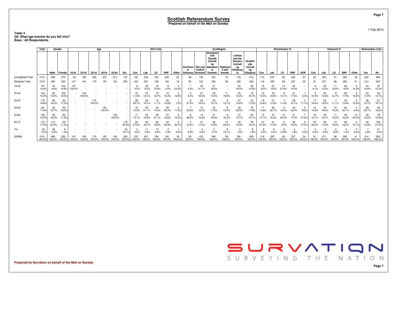#### **Table 4Q4. What age bracket do you fall into? Base : All Respondents**

|                       | <b>Total</b>  | Gender        |              |                          |               | Age           |               |               |               |               |               | <b>2010 Vote</b> |             |              |                                            |                     |                                                         | <b>ScotRegion</b>            |                                                                    |                                               |              |             | <b>Westminster VI</b> |               |                   |             |               | <b>Holyrood VI</b> |               |             | <b>Referendum Vote</b> |               |
|-----------------------|---------------|---------------|--------------|--------------------------|---------------|---------------|---------------|---------------|---------------|---------------|---------------|------------------|-------------|--------------|--------------------------------------------|---------------------|---------------------------------------------------------|------------------------------|--------------------------------------------------------------------|-----------------------------------------------|--------------|-------------|-----------------------|---------------|-------------------|-------------|---------------|--------------------|---------------|-------------|------------------------|---------------|
|                       |               |               | Male Female  | 16-24                    | 25-34         | 35-44         | 45-54         | 55-64         | 65+           | Con           | Lab           | LD               | <b>SNP</b>  | Other        | Dumfries   Fife and   Aberdeen<br>Galloway | Central<br>Scotland | Grampian<br>and<br>Tayside<br>(includi<br>na<br>Dundee) | Highland<br>s and<br>Islands | Lothian<br>and the<br><b>Borders</b><br>(includi<br>ng<br>Edinburg | Strathcl<br>vde<br>(includi<br>ng<br>Glasgow) | Con          | Lab         | LD                    | <b>SNP</b>    | <b>UKIP</b>       | Con         | Lab           | LD                 | <b>SNP</b>    | Other       | Yes                    | No            |
| Unweighted Total      | 1010          | 436           | 574          | 62                       | 183           | 208           | 207           | 213           | 137           | 130           | 234           | 102              | 240         | 25           | 38                                         | 142                 | 163                                                     | 72                           | 176                                                                | 419                                           | 112          | 237         | 50                    | 306           | 27                |             | 223           |                    | 350           | 46          | 352                    | 463           |
| <b>Weighted Total</b> | 1010          | 490           | 520          | 147                      |               |               | 181           | 154           | 205           | 122           | 307           | 138              | 145         | 18           | 29                                         | 125                 | 188                                                     | 58                           | 182                                                                | 428                                           |              | 287         | 63                    | 237           | 24                | 91          | 271           |                    | 290           |             | 314                    | 503           |
| 16-24                 | 147<br>14.6%  | 44<br>9.0%    | 103<br>19.8% | 147<br>100.0%            |               |               |               |               |               | 4.5%          | 29<br>9.3%    | 19<br>13.9%      | 5.5%        | 23.3%        | 3.4%                                       | 26<br>21.1%         | 31<br>16.6%                                             |                              | 33<br>18.4%                                                        | 55<br>12.9%                                   | 10<br>8.2%   | 27<br>9.5%  | 21.8%                 | 24<br>10.0%   |                   |             | 34<br>12.6%   | 16.0%              | 28<br>9.6%    | -6<br>14.2% | 44<br>13.9%            | 67<br>13.3%   |
| 25-34                 | 154<br>15.2%  | 52<br>10.6%   | 102<br>19.5% |                          | 154<br>100.0% |               |               |               |               | 15<br>11.9%   | 37<br>12.1%   | 19<br>13.7%      | 19<br>13.4% | 13.0%        | 5.4%                                       | 16.5%               | 24<br>13.0%                                             | 18.9%                        | 24<br>13.4%                                                        | 72<br>16.7%                                   | 12<br>10.0%  | 13.8%       | 13.1%                 | 17.3%         | 5.4%              | 10.4%       | 12.5%         | 12.7%              | 52<br>17.9%   | 15.5%       | 53<br>17.0%            | 64<br>12.7%   |
| 35-44                 | 170<br>16.8%  | 80<br>16.4%   | 90<br>17.2%  | $\overline{\phantom{a}}$ |               | 170<br>100.0% |               |               |               | 28<br>22.7%   | 59<br>19.1%   | 15<br>11.1%      | 22<br>14.8% | 7.2%         | 21.2%                                      | 24<br>19.3%         | 30<br>15.7%                                             | 8<br>14.1%                   | 27<br>14.6%                                                        | 75<br>17.5%                                   | 18<br>15.8%  | 51<br>17.8% | 11.4%                 | 38<br>16.1%   | 17.7 <sup>°</sup> | 17<br>18.4% | 53<br>19.5%   | 11.1%              | 13.8%         | 15.4%       | 46<br>14.7%            | 81<br>16.1%   |
| 45-54                 | 181<br>17.9%  | 82<br>16.7%   | 99<br>19.0%  |                          |               |               | 181<br>100.0% |               |               | 14.9%         | 65<br>21.1%   | 20<br>14.3%      | 29<br>20.0% | 11.2%        | 23.6%                                      | 15<br>12.3%         | 33<br>17.6%                                             | 13.0%                        | 42<br>22.9%                                                        | 76<br>17.8%                                   | 14.6%        | 65<br>22.7% | 12.0%                 | 18.0%         | 8.6%              | 12.8%       | 18.5%         | 15.3%              | 22.1%         | 9.9%        | 69<br>22.1%            | 83<br>16.6%   |
| 55-64                 | 154<br>15.2%  | 93<br>19.0%   | 60<br>11.6%  |                          |               |               |               | 154<br>100.0% |               | 14.1%         | 16.8%         | 29<br>1%<br>21.  | 27<br>18.6% |              | 28.6%                                      | 10.8%               | 31<br>16.6%                                             | 16.3%                        | 27<br>14.7%                                                        | 64<br>15.1                                    | 15<br>13.1%  |             | 20.4%                 |               | 27.6%             | 13.1%       |               |                    |               | 10<br>23.3% | 49<br>15.5%            | 78<br>15.6%   |
| 65-74                 | 172<br>17.0%  | 113<br>23.0%  | 59<br>11.4%  |                          |               |               |               |               | 172<br>83.9%  | 27.6%         | 55<br>18.1%   | 26<br>18.9%      | 36<br>24.9% | 30.7%        | 15.0%                                      | 21<br>17.0%         | 28<br>14.8%                                             | 14<br>24.6%                  | 26<br>14.5%                                                        | 78<br>18.2%                                   | -37<br>31.9% | 51<br>17.6% |                       | 46<br>19.4%   | 37.2%             | 30<br>33.0% | 17.9%         | 19.2%              | 56<br>19.2%   | 6<br>15.1%  | 46<br>14.6%            | 108<br>21.5%  |
| $75+$                 | 33<br>3.3%    | 26<br>5.2%    | 1.4%         |                          |               |               |               |               | 33<br>16.1%   | 4.2%          | 3.5%          | 10<br>6.9%       | 2.9%        | 4.5%         | 2.8%                                       | 2.9%                | 5.7%                                                    | 8<br>13.1%                   | 1.5%                                                               | 1.8%                                          | 6.5%         | 2.2%        | 12.9%                 | 1.8%          | 3.5%              |             |               | 9.5%               | 1.4%          | 6.6%        | 2.2%                   | 21<br>4.3%    |
| SIGMA                 | 1010<br>100.0 | 490<br>100.0% | 520          | 147<br>100.0%            | 100.0%        | 100.0%        | 181<br>100.0% | 154<br>100.0% | 205<br>100.0% | 122<br>100.0% | 307<br>100.0% | 138<br>100.0%    | 145         | 18<br>100.09 | 29<br>100.0%                               | 125<br>100.0%       | 188<br>100.0%                                           | 58<br>100.0%                 | 182<br>100.0%                                                      | 428<br>100.0%                                 | 100.0%       | 287         | 63<br>100.0%          | 237<br>100.0% | 24<br>100.0%      | ٩<br>100.0% | 271<br>100.0% | 100.0%             | 290<br>100.0% | 100.0%      | 314<br>100.0%          | 503<br>100.0% |

**Prepared by Survation on behalf of the Mail on Sunday**



1 Feb 2014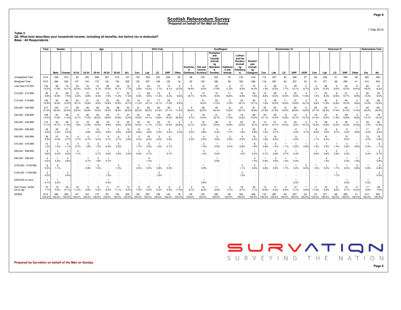**Table 5**

 **Q5. What best describes your household income, including all benefits, but before tax is deducted?Base : All Respondents**

|                                   | Total                  | Gender       |              |             |             | Age                              |             |                                                                |             |                        |             | <b>2010 Vote</b> |                                           |                         |                                   |                                 | <b>ScotRegion</b>                                                         |                               |                                                                          |                                                     |                                           |             | <b>Westminster VI</b> |             |                        |                                          |                        | <b>Holyrood VI</b> |                        |                                 | <b>Referendum Vote</b> |                  |
|-----------------------------------|------------------------|--------------|--------------|-------------|-------------|----------------------------------|-------------|----------------------------------------------------------------|-------------|------------------------|-------------|------------------|-------------------------------------------|-------------------------|-----------------------------------|---------------------------------|---------------------------------------------------------------------------|-------------------------------|--------------------------------------------------------------------------|-----------------------------------------------------|-------------------------------------------|-------------|-----------------------|-------------|------------------------|------------------------------------------|------------------------|--------------------|------------------------|---------------------------------|------------------------|------------------|
|                                   |                        | Male         | Female       | 16-24       | 25-34       | 35-44                            | 45-54       | 55-64                                                          | $65+$       | Con                    | Lab         | LD               | <b>SNP</b>                                | Other                   | <b>Dumfries</b><br>-8<br>Galloway | Fife and<br>Central<br>Scotland | Grampian<br>and<br>Tayside<br>(includi<br>ng<br>Aberdeen<br>-8<br>Dundee) | Highland<br>s and<br>Islands  | Lothian<br>and the<br><b>Borders</b><br>(includi<br>na<br>Edinburg<br>h) | <b>Strathcl</b><br>yde<br>(includi<br>ng<br>Glasgow | Con                                       | Lab         | LD                    | <b>SNP</b>  | <b>UKIP</b>            | Con                                      | Lab                    | LD.                | <b>SNP</b>             | Other                           | Yes                    | No               |
| Unweighted Tota                   | 1010                   | 436          | 574          | 62          | 183         | 208                              | 207         | 213                                                            | 137         | 130                    | 234         | 102              | 240                                       | 25                      | 38                                | 142                             | 163                                                                       | 72                            | 176                                                                      | 419                                                 | 112                                       | 237         | 50                    | 306         | 27                     | 94                                       | 223                    | 51                 | 350                    | 46                              | 352                    | 463              |
| Weighted Total                    | 1010                   | 490          | 520          | 147         | 154         | 170                              | 181         | 154                                                            | 205         | 122                    | 307         | 138              | 145                                       | 18                      | 29                                | 125                             | 188                                                                       | 58                            | 182                                                                      | 428                                                 | 116                                       | 287         | 63                    | 237         | 24                     | 91                                       | 271                    | 66                 | 290                    | 41                              | 314                    | 503              |
| Less than £10,000                 | 132<br>13.0%           | 58<br>11.9%  | 73<br>14.1%  | 33<br>22.4% | 16<br>10.5% | 15<br>9.1%                       | 28<br>15.6% | 23<br>15.1%                                                    | 16<br>7.7%  | 5<br>3.8%              | 44<br>14.2% | 10<br>7.1%       | 12<br>8.1%                                | $\overline{2}$<br>12.3% | 5<br>18.4%                        | 10<br>8.0%                      | 22<br>11.9%                                                               | 6<br>11.2%                    | 17<br>9.5%                                                               | 70<br>16.4%                                         | $\overline{c}$<br>1.9%                    | 36<br>12.5% | 5<br>7.7%             | 29<br>12.1% | $\overline{c}$<br>6.7% | $\overline{c}$<br>2.2%                   | 36<br>13.4%            | 5<br>8.0%          | 30<br>10.3%            | 8<br>19.4%                      | 60<br>19.0%            | 41<br>8.2%       |
| £10,000 - £14,999                 | 90<br>8.9%             | 51<br>10.4%  | 39<br>7.5%   | 10<br>6.5%  | 10<br>6.8%  | 16<br>9.4%                       | 14<br>7.5%  | 17<br>11.2%                                                    | 23<br>11.3% | 5.5%                   | 29<br>9.5%  | 15<br>11.2%      | 9<br>6.3%                                 | 4.6%                    | 5<br>18.1%                        | 13<br>10.4%                     | 15<br>8.0%                                                                | 11<br>18.6%                   | 13<br>6.9%                                                               | 34<br>7.8%                                          | 10<br>8.8%                                | 29<br>10.2% | 9<br>15.0%            | 20<br>8.5%  | -3<br>11.6%            | 7.4%                                     | 23<br>8.4%             | 8<br>12.6%         | 31<br>10.7%            | $\mathbf 4$<br>9.9%             | 30<br>9.4%             | 45<br>9.0%       |
| £15,000 - £19,999                 | 130<br>12.9%           | 62<br>12.6%  | 69<br>13.2%  | 24<br>16.1% | 21<br>13.8% | 16<br>9.3%                       | 20<br>10.8% | 20<br>12.9%                                                    | 30<br>14.7% | 14<br>11.2%            | 31<br>10.1% | 17<br>12.1%      | 25<br>17.3%                               | 6.5%                    |                                   | 21<br>16.5%                     | 22<br>11.5%                                                               | 3<br>5.3%                     | 33<br>18.1%                                                              | 52<br>12.1%                                         | 7.9%                                      | 29<br>10.0% | 11<br>16.9%           | 37<br>15.6% | -4<br>16.7%            | -5<br>5.6%                               | 32<br>11.9%            | 8<br>12.8%         | 44<br>15.3%            | $\overline{4}$<br>8.6%          | 45<br>14.3%            | 60<br>12.0%      |
| £20,000 - £29,999                 | 217<br>21.5%           | 100<br>20.5% | 117<br>22.5% | 35<br>23.4% | 39<br>25.6% | 26<br>15.2%                      | 35<br>19.2% | 28<br>18.5%                                                    | 54<br>26.5% | 31<br>25.5%            | 62<br>20.0% | 30<br>21.5%      | 39<br>27.1%                               | $\overline{2}$<br>11.2% | 9<br>29.4%                        | 28<br>22.0%                     | 46<br>24.4%                                                               | 8<br>13.5%                    | 47<br>25.7%                                                              | 81<br>18.9%                                         | 25<br>21.8%                               | 63<br>21.9% | 12<br>19.0%           | 60<br>25.5% | -5<br>19.0%            | 25<br>27.7%                              | 60<br>22.3%            | 11<br>17.4%        | 62<br>21.4%            | 17.4%                           | 63<br>20.2%            | 120<br>24.0%     |
| £30,000 - £39,999                 | 146<br>14.5%           | 87<br>17.8%  | 59<br>11.3%  | -9<br>6.1%  | 26<br>17.0% | 34<br>20.2%                      | 34<br>18.6% | 17<br>10.8%                                                    | 27<br>13.0% | 23<br>19.0%            | 43<br>14.1% | 19<br>13.6%      | 28<br>19.2%                               | 20.9%                   | 3<br>9.7%                         | 18<br>14.3%                     | 31<br>16.7%                                                               | 10<br>17.2%                   | 19<br>10.2%                                                              | 66<br>15.4%                                         | 24<br>21.1%                               | 39<br>13.4% | 13.9%                 | 37<br>15.7% | 3<br>13.7%             | 19<br>21.4%                              | 37<br>13.5%            | 11.5%              | 4S<br>16.8%            | 3<br>6.8%                       | 41<br>13.1%            | 76<br>15.2%      |
| £40,000 - £49,999                 | 112<br>11.19           | 52<br>10.7%  | 59<br>11.4%  | 12<br>7.8%  | 18<br>11.8% | 28<br>16.4%                      | 18<br>9.8%  | 15<br>9.6%                                                     | 22<br>10.5% | 18<br>14.4%            | 34<br>11.1% | 24<br>17.3%      | 15<br>10.0%                               | 22.6%                   | 4<br>13.1%                        | 12<br>9.5%                      | 28<br>15.0%                                                               | 8<br>13.9%                    | 23<br>12.5%                                                              | 37<br>8.7%                                          | 14<br>12.4%                               | 31<br>10.7% | 10<br>15.3%           | 22<br>9.2%  | 15.7%                  | -9<br>10.4%                              | 29<br>10.6%            | 9<br>13.4%         | 30<br>10.4%            | -4<br>10.5%                     | 23<br>7.2%             | 62<br>12.3%      |
| £50,000 - £59,999                 | 43<br>4.2%             | 22<br>4.4%   | 21<br>4.0%   |             | 4.6%        | 10<br>6.0%                       | 3.9%        | 2.8%                                                           | 14<br>6.8%  | 8<br>6.6%              | 15          | 5.4%             | 4<br>3.0%                                 | 4.3%                    | 2.5%                              | 5<br>3.8%                       | 5<br>2.4%                                                                 | $\boldsymbol{\Delta}$<br>7.7% | 3<br>1.8%                                                                | 25<br>5.8%                                          | 7.0%                                      | 16<br>5.7%  |                       | 6<br>2.4%   | 4.7%                   | 9.0%                                     | 10<br>3.5%             | 6<br>8.7%          | S<br>3.2%              | 2.8%                            | 11<br>3.5%             | 27<br>5.4%       |
| £60,000 - £69,999                 | 36<br>3.5%             | 21<br>4.4%   | 14<br>2.7%   | 2.7%        | Δ<br>2.7%   |                                  | 5.1%        | 3.7%                                                           | 2.6%        | 3<br>2.4%              | 19<br>6.3%  | 3<br>2.0%        | 4<br>2.9%                                 |                         | 2.3%                              | $\overline{4}$<br>3.0%          | 5<br>2.6%                                                                 | 3<br>5.5%                     | $\overline{4}$<br>2.5%                                                   | 19<br>4.3%                                          | 1.8%                                      | 19<br>6.6%  |                       | 9<br>4.0%   |                        | 1.1%                                     | 15<br>5.4%             |                    | 15<br>5.0%             |                                 | 13<br>4.2%             | 15<br>2.9%       |
| £70,000 - £79,999                 | 13<br>1.3%             | 1.5%         | -6<br>1.1%   | 2.7%        | 3<br>1.8%   | 1.0%                             | 0.4%        | 2.5%                                                           |             | $\overline{2}$<br>1.7% | -6<br>2.0%  | .0%              | 0.7%                                      |                         |                                   | $\overline{c}$<br>1.4%          | 0.5%                                                                      | 2.4%                          | $\mathbf{1}$<br>0.8%                                                     | 8<br>1.8%                                           | 3.9%                                      |             |                       | 0.5%        | 2.9%                   | 1.5%                                     | 2.5%                   | 1.4%               | $\overline{c}$<br>0.6% | 3.6%                            | 2.4%                   | 6<br>1.1%        |
| £80,000 - £89,999                 | 6<br>0.6%              | 0.4%         | 0.8%         | 1.1%        |             |                                  | 0.6%        | 0.5%                                                           | 0.5%        | 0.6%                   |             |                  | 0.7%                                      |                         |                                   | $\overline{c}$<br>1.4%          | 0.6%                                                                      |                               | $\overline{2}$<br>1.0%                                                   | 0.2%                                                | 0.7%                                      |             | $\overline{c}$        | 0.4%        |                        | 0.9%                                     | $\overline{2}$<br>0.8% | 2<br>2.6%          | 0.4%                   |                                 | 0.4%                   | 0.7%             |
| £90,000 - £99,000                 | 5<br>0.5%              | 0.3%         | 0.8%         |             |             | 3<br>1.8%                        |             |                                                                |             |                        | 5<br>1.5%   |                  |                                           |                         |                                   |                                 | 0.6%                                                                      |                               |                                                                          | 4<br>1.0%                                           | 0.9%                                      | 0.9%        | 1.2%                  | 0.4%        |                        |                                          | .3%                    |                    | 0.3%                   | 1.8%                            |                        | 0.9%             |
| £100,000 - £149,999               | 6<br>0.5%              | -6<br>1.1%   |              |             | 0.9%        | $\overline{\phantom{a}}$<br>1.2% |             | 1.3%                                                           |             | 2.0%                   | 0.5%        | 0.8%             | 0.3%                                      |                         |                                   | 0.9%                            |                                                                           |                               | $\overline{c}$<br>1.1%                                                   | $\overline{c}$<br>0.6%                              | 0.8%                                      | 0.5%        | 1.7%                  | 0.2%        | $\overline{2}$<br>6.5% | 1.0%                                     | 0.5%                   | 1.7%               | 0.2%                   | $\overline{\mathbf{c}}$<br>3.8% | 0.5%                   | $\Delta$<br>0.8% |
| £150,000 - £199,999               | $\overline{2}$<br>0.2% |              | 0.4%         |             |             |                                  | 1.3%        |                                                                |             |                        |             | 2<br>1.6%        |                                           |                         |                                   |                                 |                                                                           |                               | $\overline{2}$<br>1.2%                                                   |                                                     |                                           |             |                       |             |                        |                                          |                        | 1.7%               |                        |                                 |                        | 0.5%             |
| £200,000 or more                  | 0.1%                   | 0.2%         |              |             |             |                                  |             |                                                                |             |                        |             |                  |                                           |                         |                                   | 0.6%                            |                                                                           |                               |                                                                          |                                                     |                                           |             |                       | 0.3%        |                        |                                          |                        |                    | 0.3%                   |                                 | 0.3%                   |                  |
| Don't know / prefer<br>not to say | 72<br>7.1%             | 19<br>4.0%   | 53<br>10.1%  | 16<br>11.2% |             | 5.3%                             | -11<br>6.2% | 11.1%                                                          | 13<br>6.3%  | 7.3%                   | 5.0%        | c<br>6.4%        | 4.4%                                      | 17.5%                   | 2<br>6.7%                         | 10<br>8.3%                      | 11<br>5.8%                                                                | 3<br>4.7%                     | 16<br>8.7%                                                               | 30<br>7.1%                                          | 13<br>10.9%                               |             |                       | 12<br>5.1%  | 2.6%                   | 11<br>11.9%                              | 15<br>5.6%             |                    | 15<br>5.1%             | 15.3%                           | 17<br>5.6%             | 35<br>7.0%       |
| <b>SIGMA</b>                      | 1010<br>100.0%         | 490          | 520          | 147         | 154         | 170                              | 181         | 154<br>100.0% 100.0% 100.0% 100.0% 100.0% 100.0% 100.0% 100.0% | 205         | 122                    | 307         | 138              | 145<br>100.0% 100.0% 100.0% 100.0% 100.0% | 18                      | 29<br>100.0%                      | 125<br>100.0%                   | 188<br>100.0%                                                             | 58<br>100.0%                  | 182<br>100.0%                                                            | 428<br>100.0%                                       | 116<br>100.0% 100.0% 100.0% 100.0% 100.0% | 287         | 63                    | 237         | 24                     | 91<br>100.0% 100.0% 100.0% 100.0% 100.0% | 271                    | 66                 | 290                    | 41                              | 314<br>100.0%          | 503<br>100.0%    |

**Prepared by Survation on behalf of the Mail on Sunday**

SURVATION SURVEYING THE NATION

1 Feb 2014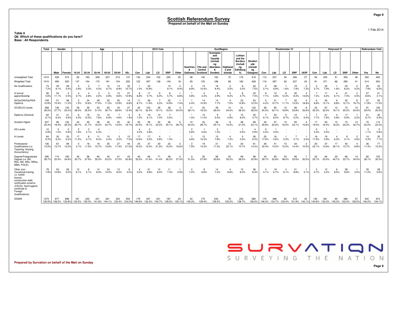#### **Table 6Q6. Which of these qualifications do you have? Base : All Respondents**

|                                                                                                                                                                                        | Total          | Gender       |                      |                  |                   | Age         |             |             |             |                                                                                     |              | <b>2010 Vote</b> |             |                          |                                    |                                        | <b>ScotRegion</b>                                                          |                              |                                                                   |                                              |                        |             | <b>Westminster VI</b> |             |                                          |                        |                                           | <b>Holyrood VI</b> |             |                        | <b>Referendum Vote</b> |               |
|----------------------------------------------------------------------------------------------------------------------------------------------------------------------------------------|----------------|--------------|----------------------|------------------|-------------------|-------------|-------------|-------------|-------------|-------------------------------------------------------------------------------------|--------------|------------------|-------------|--------------------------|------------------------------------|----------------------------------------|----------------------------------------------------------------------------|------------------------------|-------------------------------------------------------------------|----------------------------------------------|------------------------|-------------|-----------------------|-------------|------------------------------------------|------------------------|-------------------------------------------|--------------------|-------------|------------------------|------------------------|---------------|
|                                                                                                                                                                                        |                | Male         | Female               | 16-24            | 25-34             | $35 - 44$   | 45-54       | 55-64       | $65+$       | Con                                                                                 | Lab          | LD.              | <b>SNP</b>  | Other                    | <b>Dumfries</b><br>- 8<br>Galloway | <b>Fife and</b><br>Central<br>Scotland | Grampian<br>and<br>Tavside<br>(includi<br>ng<br>Aberdeen<br>- 8<br>Dundee) | Highland<br>s and<br>Islands | Lothian<br>and the<br>Borders<br>(includi<br>ng<br>Edinburg<br>h) | Strathcl<br>vde<br>(includi<br>ng<br>Glasgow | Con                    | Lab         | LD                    | <b>SNP</b>  | <b>UKIP</b>                              | Con                    | Lab                                       | LD                 | <b>SNP</b>  | Other                  | Yes                    | No            |
| Unweighted Total                                                                                                                                                                       | 1010           | 436          | 574                  | 62               | 183               | 208         | 207         | 213         | 137         | 130                                                                                 | 234          | 102              | 240         | 25                       | 38                                 | 142                                    | 163                                                                        | 72                           | 176                                                               | 419                                          | 112                    | 237         | 50                    | 306         | 27                                       | 94                     | 223                                       | 51                 | 350         | 46                     | 352                    | 463           |
| Weighted Total                                                                                                                                                                         | 1010           | 490          | 520                  | 147              | 154               | 170         | 181         | 154         | 205         | 122                                                                                 | 307          | 138              | 145         | 18                       | 29                                 | 125                                    | 188                                                                        | 58                           | 182                                                               | 428                                          | 116                    | 287         | 63                    | 237         | -24                                      | 91                     | 271                                       | 66                 | 290         | 41                     | 314                    | 503           |
| No Qualifications                                                                                                                                                                      | 73<br>7.2%     | 45<br>9.1%   | 28<br>5.4%           | $\Delta$<br>2.9% | -3<br>2.3%        | 4.3%        | 12<br>6.7%  | 14<br>8.9%  | 32<br>15.7% | 1.0%                                                                                | 33<br>10.9%  |                  | 13<br>9.1%  | $\overline{2}$<br>9.4%   | $\overline{2}$<br>6.9%             | 13<br>10.4%                            | 18<br>9.4%                                                                 | $\overline{2}$<br>3.5%       | 6<br>3.3%                                                         | 32<br>7.5%                                   | $\overline{2}$<br>2.1% | 28<br>9.9%  | 1.6%                  | 19<br>7.9%  | $\overline{2}$<br>7.2%                   | $\overline{2}$<br>2.7% | 22<br>7.9%                                | 1.6%               | 24<br>8.3%  | $\overline{2}$<br>4.2% | 25<br>7.9%             | 33<br>6.5%    |
| A formal<br>apprenticeship                                                                                                                                                             | 56<br>5.6%     | 54<br>11.1%  | 2<br>0.4%            | 2.7%             | 4<br>2.8%         | 2.0%        | 5<br>2.8%   | 13<br>8.6%  | 27<br>12.9% | 8<br>6.8%                                                                           | 17<br>5.7%   | 6.4%             | 5.7%        | $6.8^{\circ}$            | 4.8%                               | $\Delta$<br>3.3%                       | 5<br>2.9%                                                                  | 5<br>9.4%                    | 8<br>4.7%                                                         | 32<br>7.4%                                   | 8<br>7.1%              | 10<br>3.6%  | 12.4%                 | 20<br>8.4%  | 3<br>14.6%                               | 7.4%                   | 17<br>6.2%                                | 4<br>6.1%          | 21<br>7.4%  | $\overline{2}$<br>4.5% | 27<br>8.6%             | 21<br>4.1%    |
| NVQs/GNVQs/RSA<br>Diploma                                                                                                                                                              | 109<br>10.8%   | 51<br>10.4%  | 58<br>11.2%          | 2<br>1.5%        | 24<br>15.6%       | 29<br>17.0% | 20<br>11.3% | 20<br>12.9% | 14<br>6.8%  | 11<br>8.7%                                                                          | 36<br>11.6%  | 5.3%             | 22<br>14.9% | 7.4%                     | 2.4%                               | 14<br>10.9%                            | 14<br>7.7%                                                                 | $\overline{4}$<br>7.5%       | 23<br>12.8%                                                       | 53<br>12.3%                                  | 5<br>4.2%              | 31<br>10.7% | 11.1%                 | 32<br>13.5% | 4<br>18.8%                               | 6<br>6.8%              | 35<br>13.1%                               | 6<br>8.8%          | 35<br>12.1% | -8<br>19.7%            | 37<br>11.9%            | 55<br>11.0%   |
| GCSEs/O-Levels                                                                                                                                                                         | 268<br>26.5%   | 136<br>27.7% | 132<br>25.4%         | 39<br>26.5%      | 39<br>25.5%       | 53<br>31.4% | 65<br>35.7% | 44<br>28.9% | 27<br>13.4% | 32<br>26.1%                                                                         | 100<br>32.5% | 26<br>19.1%      | 28<br>19.3% | $\overline{4}$<br>24.0%  | 11<br>38.1%                        | 20<br>16.3%                            | 49<br>26.0%                                                                | 14<br>24.5%                  | 51<br>28.3%                                                       | 122<br>28.5%                                 | 28<br>24.3%            | 92<br>32.1% | 12<br>18.9%           | 56<br>23.8% | -8<br>33.6%                              | 23<br>25.3%            | 87<br>32.0%                               | 12<br>18.1%        | 73<br>25.2% | 10<br>24.0%            | 91<br>29.0%            | 126<br>25.0%  |
| Diploma (General)                                                                                                                                                                      | 62<br>6.1%     | 31<br>6.4%   | 31<br>5.9%           | 6<br>4.3%        | 19<br>12.5%       | 13<br>7.6%  | 12<br>6.9%  | 4.6%        | 4<br>1.9%   | -9<br>7.3%                                                                          | 19<br>6.1%   | 10<br>7.4%       | 5.0%        | $\overline{\phantom{a}}$ | 1.5%                               | 14<br>11.0%                            | 9<br>5.0%                                                                  | 3<br>4.9%                    | 15<br>8.4%                                                        | 20<br>4.7%                                   | 6.1%                   | 24<br>8.5%  | -5<br>8.7%            | 12<br>5.2%  | 5.4%                                     | 7.7%                   | 21<br>7.9%                                | 4<br>5.8%          | 17<br>5.9%  | 3.2%                   | 21<br>6.7%             | 30<br>5.9%    |
| Scottish Higher                                                                                                                                                                        | 227<br>22.4%   | 95<br>19.4%  | 132<br>25.3%         | 29.7%            | 49<br>31.7%       | 28<br>16.2% | 45<br>24.7% | 22<br>14.0% | 40<br>19.7% | 30<br>24.5%                                                                         | 59<br>19.1%  | 32<br>23.4%      | 36<br>25.1% | 5<br>28.7%               | 10<br>34.4%                        | 33<br>26.7%                            | 38<br>20.1%                                                                | 8<br>14.2%                   | 38<br>21.0%                                                       | 99<br>23.1%                                  | 30<br>25.6%            | 57<br>20.0% | 10<br>16.0%           | 55<br>23.1% | 15.6%                                    | 17<br>19.0%            | 50<br>18.3%                               | 12<br>18.3%        | 73<br>25.2% | 13<br>32.7%            | 70<br>22.2%            | 112<br>22.3%  |
| AS-Levels                                                                                                                                                                              | 10<br>0.9%     | h<br>1.0%    | 5<br>0.9%            | 1.6%             | 3<br>2.1%         |             |             |             |             | 4<br>3.3%                                                                           | 0.8%         |                  |             |                          | $\overline{2}$<br>5.8%             | $\overline{1}$<br>0.6%                 | $\overline{2}$<br>1.3%                                                     |                              | 0.5%                                                              | $\mathbf{A}$<br>0.9%                         | 5<br>4.2%              | 0.5%        |                       |             |                                          | 5<br>5.3%              | 0.5%                                      |                    |             |                        | з.<br>1.1%             | -5<br>0.9%    |
| A-Levels                                                                                                                                                                               | 64<br>6.3%     | 30<br>6.2%   | 33<br>6.4%           | 17<br>11.5%      | 8<br>5.1%         | 11<br>6.3%  | 10<br>5.4%  | -3<br>2.2%  | 15<br>7.3%  | 17<br>13.6%                                                                         | 17<br>5.5%   | 2.8%             | 1.0%        | $\overline{\phantom{a}}$ | 4.8%                               | 13<br>10.3%                            | 15<br>7.8%                                                                 | 4<br>7.3%                    | 5<br>2.5%                                                         | 26<br>6.0%                                   | 20<br>17.6%            | 16<br>5.6%  | 2.3%                  | 3.1%        | 3.3%                                     | 16<br>17.9%            | 16<br>5.9%                                | 6.2%               | -9<br>3.1%  | $\overline{2}$<br>4.6% | 14<br>4.3%             | 35<br>7.1%    |
| Professional<br>Qualifications (i.e.<br>Teaching, Nursing.<br>Accountancy)                                                                                                             | 136<br>13.5%   | 67<br>13.7%  | 69<br>13.2%          | 5<br>3.1%        | 18<br>11.5%       | 18<br>10.7% | 25<br>13.9% | 27<br>17.4% | 44<br>21.5% | 24<br>19.3%                                                                         | 37<br>12.0%  | 30<br>21.5%      | 22<br>15.0% | 3<br>16.6%               | $\overline{2}$<br>7.9%             | 19<br>15.3%                            | 21<br>11.3%                                                                | 13<br>22.1%                  | 20<br>10.7%                                                       | 61<br>14.3%                                  | 26<br>22.4%            | 41<br>14.2% | 10<br>15.3%           | 34<br>14.4% | 3<br>10.5%                               | 20<br>22.1%            | 37<br>13.6%                               | 17<br>26.1%        | 40<br>13.7% | $\mathbf{A}$<br>8.8%   | 36<br>11.4%            | 77<br>15.3%   |
| Degree/Postgraduate<br>Degree (i.e. BA<br>BSc, MA, MSc, MRes,<br>MBA, PGCE)                                                                                                            | 290<br>28.7%   | 110<br>22.4% | 180<br>34.6%         | 45               | 58<br>30.7% 37.9% | 60<br>35.3% | 42<br>23.2% | 41<br>27.0% | 43<br>20.9% | 40<br>32.5%                                                                         | 66<br>21.6%  | 71<br>51.4%      | 38<br>26.2% | 5<br>27.3%               | 31.5%                              | 35<br>27.9%                            | 58<br>30.6%                                                                | 20<br>35.2%                  | 69<br>38.2%                                                       | 98<br>22.9%                                  | 34<br>29.7%            | 65<br>22.8% | 24<br>38.0%           | 56<br>23.6% | 30.0%                                    | 23<br>25.7%            | 64<br>23.5%                               | 30<br>45.7%        | 66<br>22.7% | 14<br>34.5%            | 82<br>26.1%            | 152<br>30.3%  |
| Other (incl.<br>Vocational training<br>i.e. forklift<br>licence,<br>construction skills<br>certification scheme<br>(CSCS), food hygiene<br>certificate &<br>Foreign<br>Qualifications) | 79<br>7.8%     | 53<br>10.8%  | 26<br>5.0%           | 12<br>8.1%       | 8<br>5.1%         | 14<br>8.5%  | 24<br>13.5% | 12<br>8.0%  | 8<br>4.0%   | $\overline{4}$<br>3.5%                                                              | 21<br>6.8%   | 12<br>8.4%       | 11<br>7.3%  | 4.9%                     | $\overline{2}$<br>7.2%             | 8<br>6.6%                              | 14<br>7.4%                                                                 | $\overline{4}$<br>6.8%       | 15<br>8.3%                                                        | 36<br>8.4%                                   | 4<br>3.1%              | 19<br>6.7%  | 6.1%                  | 21<br>8.8%  | 3.1%                                     | 3<br>3.7%              | 12<br>4.4%                                | 6<br>8.5%          | 28<br>9.6%  | 3.0%                   | 35<br>11.0%            | 28<br>5.6%    |
| <b>SIGMA</b>                                                                                                                                                                           | 1373<br>135.9% | 677          | 696<br>138.2% 133.8% | 181              | 233               | 241         | 261         | 203         | 254         | 179<br>122.5% 152.0% 141.8% 144.1% 132.4% 124.0% 146.8% 132.4% 145.7% 128.5% 125.1% | 407          | 201              | 187         | 23                       | 43<br>145.3%                       | 175<br>139.4%                          | 243<br>129.5%                                                              | 78<br>135.3%                 | 252<br>138.7%                                                     | 582<br>136.0%                                | 170                    | 386         | 82                    | 312         | 34<br>146.3% 134.7% 130.4% 131.9% 142.1% | 130                    | 361<br>143.6% 133.3% 145.2% 133.3% 139.2% | 95                 | 386         | 57                     | 440<br>140.2%          | 674<br>134.1% |

**Prepared by Survation on behalf of the Mail on Sunday**

SURVATION SURVEYING THE NATION

1 Feb 2014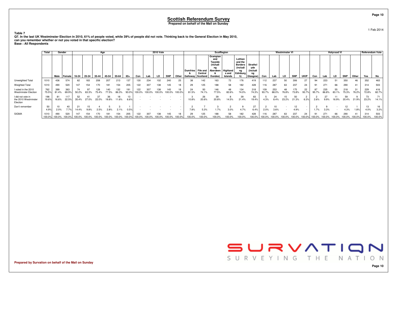1 Feb 2014

**Table 7**Q7. In the last UK Westminster Election in 2010, 61% of people voted, while 39% of people did not vote. Thinking back to the General Election in May 2010,<br>can you remember whether or not you voted in that specific election **Base : All Respondents**

|                                                       | Total         | Gender        |              |             |             | Age          |                 |              |              |               |     | <b>2010 Vote</b> |               |                       |                                        |                     | <b>ScotRegion</b>                                                                    |                  |                                                              |                                               |               |               | <b>Westminster VI</b> |             |             |       |              | <b>Holyrood VI</b> |              |             | Referendum Vote |               |
|-------------------------------------------------------|---------------|---------------|--------------|-------------|-------------|--------------|-----------------|--------------|--------------|---------------|-----|------------------|---------------|-----------------------|----------------------------------------|---------------------|--------------------------------------------------------------------------------------|------------------|--------------------------------------------------------------|-----------------------------------------------|---------------|---------------|-----------------------|-------------|-------------|-------|--------------|--------------------|--------------|-------------|-----------------|---------------|
|                                                       |               |               | Male Female  | 16-24       | 25-34       | 35-44        | 45-54           | 55-64        | 65+          | Con           | Lab | LD               | <b>SNP</b>    | Other                 | Dumfries<br><b>Galloway   Scotland</b> | Fife and<br>Central | Grampian<br>and<br>Tayside<br>(includi<br>Aberdeen   Highland<br>Dundee <sup>®</sup> | s and<br>Islands | Lothian<br>and the<br><b>Borders</b><br>(includi<br>Edinbura | Strathcl<br>yde<br>(includi<br>ng<br>Glasgow) | Con           | Lab           | LD                    | <b>SNP</b>  | <b>UKIP</b> | Con   | Lab          | LD.                | <b>SNP</b>   | Other       | Yes             | No            |
| Unweighted Total                                      | 1010          | 436           | 574          | 62          | 183         | 208          | 207             | 213          | 137          | 130           | 234 | 102              | 240           | 25                    | 38                                     | 142                 | 163                                                                                  | 72               | 176                                                          | 419                                           | 112           | 237           | 50                    | 306         | 27          | 94    | 223          |                    | 350          | 46          | 352             | 463           |
| <b>Weighted Total</b>                                 | 1010          | 490           | 520          | 147         | 154         |              | 18 <sub>1</sub> | 154          | 205          | 122           | 307 | 138              | 145           | 18                    | 29                                     | 125                 | 188                                                                                  | 58               | 182                                                          | 428                                           | 116           | 287           | 63                    | 237         | 24          |       | 271          | 66                 | 290          | 41          | 314             | 503           |
| I voted in the 2010<br><b>Westminster Election</b>    | 762<br>75.5%  | 399<br>81.4%  | 363<br>69.9% | 50.2%       | 97<br>63.3% | 128<br>75.4% | 140<br>77.5%    | 132<br>86.3% | 191<br>93.0% | 122<br>100.0% | 307 | 138<br>100.0%    | 145<br>100.0% | 18<br>100.0           | 24<br>81.5%                            | 93<br>74.1%         | 146<br>77.5%                                                                         | 48<br>82.6%      | 134<br>74.0%                                                 | 318<br>74.3%                                  | 109<br>93.7%  | 253<br>88.0%  | 76.8%                 | 75<br>73.8% | 22<br>93.   |       | 235<br>86.8% | 55<br>83.1%        | 218<br>75.3% | 31<br>76.2% | 229<br>72.8%    | 416<br>82.7%  |
| I did not vote in<br>the 2010 Westminster<br>Election | 198<br>19.6%  | 81<br>16.6%   | 117<br>22.5% | 52<br>35.4% | 27.0%       | 37<br>22.0%  | 36<br>19.8%     | 18<br>11.6%  | 13<br>6.6%   |               |     |                  |               |                       | 0.8%                                   | 26<br>20.6%         | 39<br>20.8%                                                                          | 14.5%            | 39<br>21.4%                                                  | 83<br>19.4%                                   | 4.3%          | 24<br>8.4%    | 15<br>23.2%           | 50<br>21.3% | 6.3%        | 2.6%  | 9.9%         | 6.9%               | 59<br>20.4%  | 21.9%       | 73<br>23.2%     | 14.1%         |
| Don't remember                                        | 50<br>4.9%    | 10<br>2.0%    | 40<br>7.7%   | 21<br>14.4% | 9.8%        | 2.5%         | 2.8%            | 2.1%         | 0.5%         |               |     |                  |               |                       | 7.8%                                   | 5.3%                | 1.7%                                                                                 | 3.0%             | 4.7%                                                         | 27<br>6.4%                                    | 2.0%          | 10<br>3.6%    |                       | 12<br>4.9%  |             | 1.7%  | 3.3%         |                    | 12<br>4.3%   | 1.8%        | 13<br>4.0%      | 3.2%          |
| SIGMA                                                 | 1010<br>100.0 | 490<br>100.0% | 520<br>00.0% | 147         |             | 100.0%       | 100.0%          | 100.0%       | 205<br>00.0  | 122<br>100.0% | 307 | 138<br>100.0%    | 145<br>100.0% | 18<br>$100.0^{\circ}$ | 29<br>100.0%                           | 125<br>100.0%       | 188<br>00.0%                                                                         | 58<br>100.0%     | 182<br>100.0%                                                | 428<br>100.0%                                 | 116<br>100.0% | 287<br>100.0% | 100.0%                | 237         | 24          | 100.0 | 100.0%       | 66<br>00.0%        | 290          | 41          | 314<br>100.0%   | 503<br>100.0% |

**Prepared by Survation on behalf of the Mail on Sunday**



**Page 10**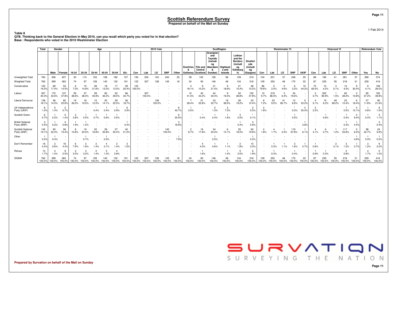**Table 8**

**Q7B. Thinking back to the General Election in May 2010, can you recall which party you voted for in that election? Base : Respondents who voted in the 2010 Westminster Election**

|                                        | Total         | Gender                 |                        |              |              | Age         |             |               |                  |               |        | <b>2010 Vote</b> |               |                  |                                     |                     | ScotRegion                                                                |                              |                                                                          |                                                      |               |               | <b>Westminster VI</b> |               |              |              |               | <b>Holyrood VI</b> |               |                        | <b>Referendum Vote</b> |                        |
|----------------------------------------|---------------|------------------------|------------------------|--------------|--------------|-------------|-------------|---------------|------------------|---------------|--------|------------------|---------------|------------------|-------------------------------------|---------------------|---------------------------------------------------------------------------|------------------------------|--------------------------------------------------------------------------|------------------------------------------------------|---------------|---------------|-----------------------|---------------|--------------|--------------|---------------|--------------------|---------------|------------------------|------------------------|------------------------|
|                                        |               | Male                   | Female                 | 16-24        | 25-34        | 35-44       | 45-54       | 55-64         | $65+$            | Con           | Lab    | LD.              | <b>SNP</b>    | Other            | Dumfries Fife and<br>-8<br>Galloway | Central<br>Scotland | Grampian<br>and<br>Tayside<br>(includi<br>ng<br>Aberdeen<br>-8<br>Dundee) | Highland<br>s and<br>Islands | Lothian<br>and the<br><b>Borders</b><br>(includi<br>ng<br>Edinburg<br>h) | <b>Strathcl</b><br>yde<br>(includi<br>ng<br>Glasgow) | Con           | Lab           | LD                    | <b>SNP</b>    | <b>UKIP</b>  | Con          | Lab           | LD.                | <b>SNP</b>    | Other                  | Yes                    | No                     |
| Unweighted Total                       | 763           | 356                    | 407                    | 30           | 113          | 153         | 158         | 182           | 127              | 130           | 234    | 102              | 240           | 25               | 29                                  | 102                 | 126                                                                       | 58                           | 129                                                                      | 319                                                  | 104           | 201           | 37                    | 248           | 25           | 89           | 185           | 41                 | 281           | 37                     | 269                    | 374                    |
| <b>Weighted Total</b>                  | 762           | 399                    | 363                    | 74           | 97           | 128         | 140         | 132           | 191              | 122           | 307    | 138              | 145           |                  | 24                                  | 93                  | 146                                                                       | 48                           | 134                                                                      | 318                                                  | 109           | 253           | 48                    | 175           | 22           | 87           | 235           | 55                 | 218           | 31                     | 229                    | 416                    |
| Conservative                           | 122<br>16.0%  | 69<br>17.4%            | 53<br>14.5%            | 7.5%         | 15<br>14.9%  | 28<br>21.6% | 18<br>13.0% | 13.0%         | 39<br>20.4%      | 122<br>100.0% |        |                  |               |                  | 18.1%                               | 9<br>10.2%          | 31<br>21.0%                                                               | 9<br>18.6%                   | 21<br>15.4%                                                              | 48<br>15.2%                                          | 86<br>79.6%   | -5<br>2.0%    | 4.6%                  | 3.2%          | 10<br>44.2%  | 73<br>83.5%  | 4.2%          | 3<br>5.1%          | 10<br>4.5%    | 9<br>30.4%             | 4.1%                   | 108<br>26.0%           |
| Labour                                 | 307<br>40.3%  | 170<br>42.6%           | 137<br>37.89           | 29<br>38.6%  | 37<br>38.3%  | 59<br>45.8% | 65<br>46.3% | 52<br>39.0%   | 66<br>34.7%      |               | 307    |                  |               |                  | 10<br>41.3%                         | 40<br>43.2%         | 44<br>30.0%                                                               | 9<br>19.3%                   | 52<br>38.8%                                                              | 152<br>47.8%                                         | 10<br>9.7%    | 219<br>86.5%  | 6.4%                  | 34<br>19.6%   |              | 3.7%         | 202<br>85.9%  | 1.5%               | 62<br>28.2%   | 3<br>10.8%             | 85<br>37.2%            | 165<br>39.8%           |
| Liberal Democra                        | 138<br>18.1%  | 56<br>14.0%            | 82<br>22.6%            | 19<br>26.0%  | 19<br>19.5%  | 15<br>12.0% | 20<br>14.1% | 29<br>22.0%   | 36<br>18.7%      |               |        | 138<br>100.0%    |               | $\sim$           | 28.4%                               | 21<br>22.8%         | 33<br>22.7%                                                               | 18<br>38.5%                  | 26<br>19.2%                                                              | 33<br>10.4%                                          | 7.2%          | 23<br>9.2%    | 85.                   | 12<br>6.6%    | 23.2%        | 5.1%         | 15<br>6.3%    | 49<br>89.2%        | 23<br>10.4%   | 6<br>18.4%             | 27<br>11.8%            | 90<br>21.6%            |
| UK Independence<br>Party (UKIP)        | 8<br>1.0%     | 1.4%                   | $\overline{2}$<br>0.7% |              |              |             |             | 0.9%          | 6<br>$2.9^\circ$ |               |        |                  |               | 8<br>42.7%       | 3.5%                                |                     | $\overline{2}$<br>1.3%                                                    | 3<br>7.3%                    |                                                                          | $\overline{2}$<br>0.5%                               | 1.8%          |               |                       | 0.3%          | 20.0%        | 2.2%         |               |                    | 0.5%          | 12.1%                  | 0.6%                   | 1.5%                   |
| Scottish Green                         | - 6<br>0.7%   | 0.2%                   | 5<br>1.4%              | 3.8%         | 0.5%         |             |             | 0.5%          |                  |               |        |                  |               | -6<br>30.5%      |                                     | 0.4%                | 0.4%                                                                      | 1.6%                         | 3<br>2.5%                                                                | 0.1%                                                 |               |               |                       | 0.5%          |              |              |               |                    | 0.4%          | 3<br>9.4%              | 0.4%                   | 5<br>1.1%              |
| <b>British National</b><br>Party (BNP) | -3<br>0.5%    | 0.2%                   | 3<br>$0.8^{\circ}$     | 1.9%         |              |             |             |               |                  |               |        |                  |               | 18.9%            |                                     |                     |                                                                           |                              | 0.4%                                                                     | 3<br>$0.9^{\circ}$                                   |               |               |                       |               | 3.8%         |              |               |                    | 0.3%          | 4.4%                   |                        | $\overline{2}$<br>0.4% |
| Scottish National<br>Party (SNP)       | 145<br>19.1%  | 90<br>22.4%            | 56<br>15.4%            | 10.8%        | 19<br>20.0%  | 22<br>16.8% | 29<br>20.8% | 27<br>20.4%   | 40<br>21.2%      |               |        |                  | 145<br>100.0% | $\sim$<br>$\sim$ | 8.7%                                | 16<br>17.6%         | 34<br>23.4%                                                               | 6<br>12.1%                   | 25<br>18.5%                                                              | 62<br>19.6%                                          | 1.8%          |               | 2.2%                  | 119<br>67.8%  | 6.1%         | 4.1%         | 2.7%          | 1.2%               | 117<br>53.8%  | $\overline{c}$<br>6.2% | 98<br>42.7%            | 24<br>5.9%             |
| Other                                  | 0.2%          | 0.4%                   | $\sim$                 |              | 0.7%         |             | 0.5%        |               |                  |               |        |                  |               | 7.9%             |                                     |                     | 0.5%                                                                      |                              |                                                                          | 0.2%                                                 |               |               |                       |               |              |              |               |                    |               | 4.6%                   | 0.3%                   | 0.2%                   |
| Don't Remember                         | 18<br>2.4%    | $\overline{2}$<br>0.6% | 16<br>$4.4^{\circ}$    | 7.9%         |              |             |             |               | 1.5%             |               |        |                  |               |                  |                                     | 4.3%                | 0.6%                                                                      | 1.1%                         | 1.8%                                                                     | 10<br>3.3%                                           |               |               | .1%                   | 1.6%          | 2.7%         | 0.6%         |               |                    | 1.3%          | 3.7%                   | 3<br>1.2%              | 2.2%                   |
| Refuse                                 | 13<br>1.7%    | 1.0%                   | -9<br>2.5%             | 3.5%         | 3.2%         | 1.4%        | 1.3%        | 2.8%          |                  |               |        |                  |               |                  |                                     | 1.6%                |                                                                           | 1.4%                         | 5<br>3.5%                                                                | 6<br>1.9%                                            |               | 0.3%          |                       | 0.4%          |              | 0.9%         |               |                    | 0.8%          |                        | 1.7%                   | 5<br>1.2%              |
| <b>SIGMA</b>                           | 762<br>100.0% | 399<br>100.0%          | 363<br>100.0%          | 74<br>100.0% | 97<br>100.0% | 100.0%      | 100.0%      | 132<br>100.0% | 191<br>100.0%    | 122<br>100.0% | 100.0% | 100.0%           | 145<br>100.0% | 100.0%           | 24<br>100.0%                        | 93<br>100.0%        | 146<br>100.0%                                                             | 48<br>100.0%                 | 134<br>100.0%                                                            | 318<br>100.0%                                        | 109<br>100.0% | 253<br>100.0% | 100.0%                | 175<br>100.0% | 22<br>100.0% | 87<br>100.0% | 235<br>100.0% | 55<br>100.0%       | 218<br>100.0% | 31<br>100.0%           | 229<br>100.0%          | 416<br>100.0%          |

**Prepared by Survation on behalf of the Mail on Sunday**

SURVATION SURVEYING THE NATION

1 Feb 2014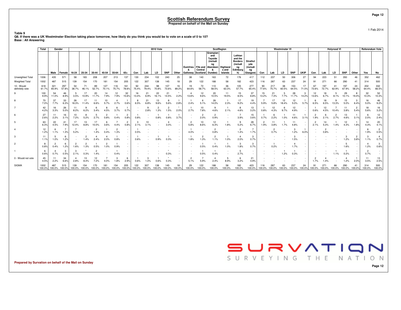**Table 9**

 **Q8. If there was a UK Westminster Election taking place tomorrow, how likely do you think you would be to vote on a scale of 0 to 10?Base : All Answering**

|                               | <b>Total</b>   | Gender        |                      |             |               | Age         |              |                        |                        |               |               | <b>2010 Vote</b> |               |               |                               |                        | <b>ScotRegion</b>                                                   |                              |                                                                          |                                                      |               |              | <b>Westminster VI</b> |                      |              |                        |                          | <b>Holyrood VI</b>     |               |                        | <b>Referendum Vote</b> |               |
|-------------------------------|----------------|---------------|----------------------|-------------|---------------|-------------|--------------|------------------------|------------------------|---------------|---------------|------------------|---------------|---------------|-------------------------------|------------------------|---------------------------------------------------------------------|------------------------------|--------------------------------------------------------------------------|------------------------------------------------------|---------------|--------------|-----------------------|----------------------|--------------|------------------------|--------------------------|------------------------|---------------|------------------------|------------------------|---------------|
|                               |                | Male          | Female               | 16-24       | 25-34         | 35-44       | 45-54        | 55-64                  | 65+                    | Con           | Lab           | LD               | <b>SNP</b>    | Other         | Dumfries Fife and<br>Galloway | Central<br>Scotland    | Grampian<br>and<br>Tayside<br>(includi<br>ng<br>Aberdeen<br>Dundee) | Highland<br>s and<br>Islands | Lothian<br>and the<br><b>Borders</b><br>(includi<br>nq<br>Edinburg<br>h) | <b>Strathcl</b><br>vde<br>(includi<br>ng<br>Glasgow) | Con           | Lab          | LD.                   | <b>SNP</b>           | <b>UKIP</b>  | Con                    | Lab                      | LD.                    | <b>SNP</b>    | Other                  | Yes                    | No            |
| Unweighted Total              | 1006           | 435           | 571                  | 58          | 183           | 208         | 207          | 213                    | 137                    | 130           | 234           | 102              | 240           | 25            | 38                            | 140                    | 163                                                                 | 72                           | 176                                                                      | 417                                                  | 112           | 237          | 50                    | 306                  | 27           | 94                     | 223                      | 51                     | 350           | 46                     | 352                    | 462           |
| Weighted Total                | 1002           | 487           | 515                  | 139         | 154           |             |              | 154                    | 205                    | 122           | 307           | 138              | 145           | 18            | 29                            | 122                    | 188                                                                 | 58                           | 182                                                                      | 423                                                  | 116           | 287          | 63                    | 237                  | 24           |                        | 27                       | 66                     | 290           | $\mathbf{4}$           | 314                    | 500           |
| 10 - Would<br>definitely vote | 618<br>61.7%   | 321<br>65.9%  | 297<br>57.8%         | 54<br>38.7% |               | 89<br>52.7% | 127<br>70.1% | 116<br>75.7%           | 161<br>78.6%           | 92<br>75.4%   | 244<br>79.4%  | 98<br>70.8%      | 107<br>73.6%  | 16<br>89.2%   | 19<br>64.6%                   | 72<br>58.7%            | 110<br>58.5%                                                        | 36<br>63.3%                  | 105<br>57.7%                                                             | 277<br>65.4%                                         | 90<br>77.6%   | 217<br>75.7% | 38<br>60.5%           | 153<br>64.5%         | 17<br>71.09  | 67<br>73.6%            | 197<br>72.7%             | 41<br>62.9%            | 197<br>67.9%  | 24<br>58.2%            | 202<br>64.4%           | 332<br>66.5%  |
|                               | 100<br>9.9%    | 54<br>11.0%   | 46<br>8.9%           | 3.5%        |               | 20<br>11.7% | 7.9%         | 12<br>7.9%             | 32<br>15.6%            | 16<br>13.4%   | 21<br>6.9%    | 22<br>16.1%      | 21<br>14.5%   | 2.2%          | 13.6%                         | 12<br>9.6%             | 20<br>10.5%                                                         | 11<br>19.5%                  | 15<br>8.5%                                                               | 37<br>8.8%                                           | 15<br>13.2%   | 21<br>7.3%   | 7.7%                  | 28<br>11.7%          | 14.2%        | 12<br>13.6%            | 18<br>6.7%               |                        | 29<br>10.1%   | 19.4%                  | 32<br>10.3%            | 52<br>10.3%   |
|                               | 70<br>7.0%     | 37<br>7.7%    | 33<br>6.3%           | 26<br>18.3% | -17           |             |              |                        | 0.6°                   | 6.5%          | 21            | 13<br>9.6%       | 5.6%          | $2.8^{\circ}$ | 2.4%                          | -6<br>5.1%             | 26<br>14.0%                                                         | 2.3%                         | 17<br>9.2%                                                               | 19<br>$4.4^{\circ}$                                  | 5.9%          | 17<br>5.8%   | 12                    | 12<br>5.0%           | 5.7%         | 6.5%                   | 18<br>6.5%               | 13.3%                  | 15<br>5.0%    | 3<br>6.4%              | 16<br>5.0%             | 46<br>9.2%    |
|                               | 42<br>4.2%     | 16<br>3.3%    | 26<br>5.0%           | 8.2%        | 6.2%          | 3.4%        | 4.5%         | 3.7%                   |                        |               | 9<br>2.8%     | 1.3%             | 1.5%          | -4<br>2.0%    | 2.7%                          | 10<br>7.8%             | 9<br>4.6%                                                           | 2.1%                         | 4.6%                                                                     | 13<br>3.2%                                           | 0.8%          | 12<br>4.3%   |                       | 12<br>4.9%           |              | 0.6%                   | 12<br>4.5%               | 10.4%                  | 11<br>3.8%    | $\overline{2}$<br>5.4% | 18<br>5.6%             | 16<br>3.2%    |
| 6                             | 27<br>2.6%     | 11<br>2.2%    | 16<br>3.1%           | 10<br>7.2%  | 5.2%          | 2.7%        |              | 0.4%                   | $\overline{2}$<br>0.8% | 0.8%          |               | 0.8%             | 0.8%          | 3.7%          |                               | $\overline{c}$<br>2.0% | $\overline{2}$<br>0.9%                                              | $\sim$                       | 3.9%                                                                     | 15<br>3.6%                                           | 0.7%          | 2.2%         | 1.0%                  | 4.6%                 | 3.1%         | 2<br>1.9%              | 2.1%                     | $\overline{c}$<br>2.7% | 13<br>4.6%    | 3.1%                   | 6<br>2.0%              | 12<br>2.4%    |
| 5                             | 63<br>6.3%     | 22<br>4.5%    | 41<br>7.9%           | 17<br>12.4% | 13<br>8.8%    | 10.0%       | 3.6%         | 4.4%                   | $\overline{2}$<br>0.8% | 3<br>2.1%     | 10<br>3.1%    |                  | 3.0%          |               | $\overline{2}$<br>5.8%        | 10<br>8.6%             | 12<br>6.3%                                                          | 1.8%                         | 5.2%                                                                     | 28<br>6.7%                                           | 1.9%          | 11<br>3.8%   | 1.7%                  | 11<br>4.8%           |              | $\overline{2}$<br>2.1% | 14<br>5.3%               | 1.4%                   | 12<br>4.3%    | 1.8%                   | 14<br>4.3%             | 20<br>4.1%    |
|                               | 12<br>1.2%     | 1.1%          | 1.3%                 | 5.2%        |               | 1.4%        | 0.4%         | $\overline{2}$<br>1.3% |                        | 0.5%          |               |                  |               | $\sim$        | 4.0%                          |                        | $\overline{2}$<br>0.8%                                              |                              | 1.4%                                                                     | $\overline{7}$<br>1.7%                               |               |              |                       | 1.2%                 | 6.0%         |                        | $\overline{\phantom{a}}$ |                        |               |                        | -6<br>.9%              | 0.5%          |
| 3                             | 11<br>1.1%     | 1.0%          | -6<br>.2%            |             |               | 2.4%        |              | 0.8%                   |                        | 0.6%          |               | 0.9%             | 0.3%          | ٠.            | 1.8%                          | $\overline{2}$<br>1.3% | $\overline{2}$<br>1.1%                                              | 1.0%                         | 2.0%                                                                     | 3<br>0.7%                                            |               |              |                       | -3<br>1.5%           |              |                        |                          |                        | 3<br>1.2%     | $\overline{2}$<br>3.8% | 3                      | 0.7%          |
| $\overline{2}$                | 8<br>0.8%      | 0.4%          | 1.2%                 | 1.6%        | 1.3%          | 0.5%        | 1.0%         |                        |                        |               |               |                  |               |               |                               | 0.5%                   | 0.4%                                                                | 1.0%                         | 1.8%                                                                     | 3<br>0.7%                                            |               | 0.2%         |                       | 1.7%                 |              |                        |                          |                        | 5<br>1.6%     |                        | 1.2%                   | 0.6%          |
|                               | -6<br>0.6%     | 0.7%          | $\mathbf{3}$<br>0.5% | 2.1%        | 0.3%          |             |              | 0.4%                   |                        |               |               |                  | 0.3%          |               |                               | 0.5%                   | 0.4%                                                                |                              | 2.7%                                                                     | $\sim$                                               |               |              | 1.2%                  | 0.3%                 |              |                        |                          | 1.1%                   | 0.2%          |                        | $\overline{2}$<br>0.7% |               |
| 0 - Would not vote            | 45<br>4.5%     | 11<br>2.2%    | 34<br>6.6%           | 2.8%        | 13<br>8.4%    | 7.2%        |              | 3<br>.8%               | 2.9%                   | 0.6%          | э<br>1.0%     |                  | 0.3%          | $\sim$        | 5.1%                          | 5.9%                   | 4<br>2.4%                                                           | 8.9%                         | 3.2%                                                                     | 21<br>4.9%                                           |               |              |                       |                      |              | 1.7%                   |                          |                        | 1.2%          | 2.0%                   | 11<br>3.5%             | 13<br>2.5%    |
| SIGMA                         | 1002<br>100.0% | 487<br>100.0% | 515<br>100.0%        | 139         | 100.0% 100.0% | 100.0%      | 100.0%       | 100.0%                 | 205<br>100.0%          | 122<br>100.0% | 307<br>100.0% | 138<br>100.0%    | 145<br>100.0% | 18<br>100.0%  | <b>29</b><br>100.0%           | 122<br>100.0%          | 188<br>100.0%                                                       | 58<br>100.0%                 | 182<br>100.0%                                                            | 423<br>100.0%                                        | 116<br>100.0% | 100.0%       |                       | 237<br>100.0% 100.0% | 24<br>100.0% | 91<br>100.0%           | 100.0%                   | 66<br>100.0%           | 290<br>100.0% | 41<br>100.0%           | 314<br>100.0%          | 500<br>100.0% |

**Prepared by Survation on behalf of the Mail on Sunday**

SURVATION SURVEYING THE NATION

**Page 12**

1 Feb 2014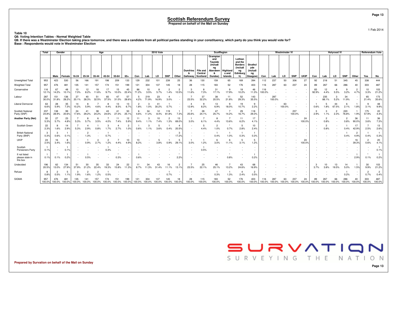**Page 13**

1 Feb 2014

**Table 10**

Q9. Voting Intention Tables - Normal Weighted Table<br>Q9. If there was a Westminster Election taking place tomorrow, and there was a candidate from all political parties standing in your constituency, which party do you thin

**Base : Respondents would vote in Westminster Election**

|                                              | Total                | Gender       |              |             |             |                        | Age                                                     |             |                        |                        |                                    | <b>2010 Vote</b> |                        |                          |                             |                                 | <b>ScotRegion</b>                                                         |                              |                                                                          |                                               |               |               | <b>Westminster VI</b> |               |                                          |                          |                                           | <b>Holyrood VI</b>  |              |                          | <b>Referendum Vote</b> |                        |
|----------------------------------------------|----------------------|--------------|--------------|-------------|-------------|------------------------|---------------------------------------------------------|-------------|------------------------|------------------------|------------------------------------|------------------|------------------------|--------------------------|-----------------------------|---------------------------------|---------------------------------------------------------------------------|------------------------------|--------------------------------------------------------------------------|-----------------------------------------------|---------------|---------------|-----------------------|---------------|------------------------------------------|--------------------------|-------------------------------------------|---------------------|--------------|--------------------------|------------------------|------------------------|
|                                              |                      | Male         | Female       | 16-24       | 25-34       | 35-44                  | 45-54                                                   | 55-64       | $65+$                  | Con                    | Lab                                | LD               | <b>SNP</b>             | Other                    | <b>Dumfries</b><br>Galloway | Fife and<br>Central<br>Scotland | Grampian<br>and<br>Tayside<br>(includi<br>na<br>Aberdeen<br>-8<br>Dundee) | Highland<br>s and<br>Islands | Lothian<br>and the<br><b>Borders</b><br>(includi<br>ng<br>Edinburg<br>h) | Strathcl<br>yde<br>(includi<br>ng<br>Glasgow) | Con           | Lab           | LD                    | <b>SNP</b>    | <b>UKIP</b>                              | Con                      | Lab                                       | LD.                 | <b>SNP</b>   | Other                    | Yes                    | No                     |
| Unweighted Total                             | 953                  | 423          | 530          | 56          | 166         | 191                    | 198                                                     | 209         | 133                    | 129                    | 232                                | 101              | 239                    | 25                       | 36                          | 130                             | 159                                                                       | 65                           | 169                                                                      | 394                                           | 112           | 237           | 50                    | 306           | 27                                       | 92                       | 218                                       | 51                  | 345          | 45                       | 338                    | 444                    |
| Weighted Total                               | 957                  | 476          | 481          | 135         | 141         | 157                    |                                                         | 151         | 199                    | 121                    | 304                                | 137              | 145                    | 18                       | 28                          | 115                             | 183                                                                       | 52                           | 176                                                                      | 403                                           | 116           | 287           | 63                    | 237           | 24                                       | 89                       | 267                                       | 66                  | 286          | 40                       | 303                    | 487                    |
| Conservative                                 | 116<br>12.1%         | 67<br>14.2%  | 48<br>10.1%  | 10<br>7.0%  | 12<br>8.2%  | 18<br>11.6%            | 17<br>9.7%                                              | 15<br>10.0% | 45<br>22.4%            | 86<br>71.2%            | 10<br>3.5%                         | 5.7%             | $\overline{2}$<br>1.4% | $\overline{2}$<br>10.5%  | 3<br>11.6%                  | 8<br>7.3%                       | 31<br>17.1%                                                               | 9<br>17.9%                   | 18<br>10.2%                                                              | 46<br>11.3%                                   | 116<br>100.0% |               |                       |               |                                          | 83<br>92.9%              | 12<br>4.4%                                | 5.5%                | 3.2%         | $\overline{2}$<br>4.7%   | 10<br>3.3%             | 103<br>21.2%           |
| Labour                                       | 287<br>30.0%         | 151<br>31.8% | 136<br>28.2% | 27<br>20.1% | 40<br>28.3% | 51<br>32.5%            | 65<br>37.5%                                             | 47<br>31.0% | 57<br>28.6%            | 5<br>4.2%              | 219<br>71.9%                       | 23<br>16.9%      | 3.0%                   | $\overline{\phantom{a}}$ | 23.5%                       | 37<br>32.2%                     | 38<br>20.5%                                                               | 11<br>21.8%                  | 52<br>29.3%                                                              | 143<br>35.5%                                  |               | 287<br>100.0% |                       |               |                                          | $\overline{\phantom{a}}$ | 235<br>88.1%                              | 3<br>5.2%           | 34<br>11.9%  |                          | 65<br>21.4%            | 173<br>35.6%           |
| Liberal Democrat                             | 63<br>6.6%           | 28<br>5.9%   | 35<br>7.3%   | 14<br>10.2% |             |                        |                                                         | 13<br>8.5%  | 13<br>6.7%             | $\overline{c}$<br>1.8% | 1.0%                               | 30.2%            | 0.7%                   | $\overline{\phantom{a}}$ | 12.9%                       | 9<br>8.2%                       | 13<br>6.9%                                                                | <b>q</b><br>18.0%            | 19<br>10.7%                                                              | 9<br>2.2%                                     |               |               | 63<br>100.0%          |               |                                          | 0.6%                     | 1.8%                                      | $\Delta\ell$<br>.5% | 2.1%         | 1.8%                     | ം<br>3.1%              | 48<br>9.9%             |
| Scottish National<br>Party (SNP)             | 237<br>24.8%         | 138<br>28.9% | 99<br>20.6%  | 24<br>17.6% | 41<br>29.2% | 38<br>24.2%            | 43<br>24.6%                                             | 41<br>27.3% | 50<br>25.1%            | 6<br>4.6%              | 34<br>11.2%                        |                  | 119<br>81.8%           | 7.3%                     | 25.6%                       | 28<br>24.1%                     | 47<br>25.7%                                                               | 14.2%                        | 29<br>16.7%                                                              | 118<br>29.3%                                  |               |               |                       | 237<br>100.0% |                                          | 3<br>2.9%                | Э<br>1.1%                                 | 2<br>2.3%           | 220<br>76.8% | 1.9%                     | 175<br>57.9%           | 22<br>4.4%             |
| Another Party (Net)                          | 50<br>5.3%           | 27<br>5.7%   | 23<br>4.8%   |             |             |                        |                                                         | 11<br>7.4%  | 12<br>5.9%             | 11<br>9.4%             |                                    | 7.4%             | 2<br>1.3%              | 13<br>69.0%              | 3.0%                        | $\overline{7}$<br>6.1%          | <b>R</b><br>4.4%                                                          | 13.6%                        | 11<br>6.2%                                                               | 17<br>4.1%                                    |               |               |                       |               | 24<br>100.0%                             |                          | 2<br>0.8%                                 |                     | 0.8%         | 36<br>90.0%              | 11<br>3.6%             | 36<br>7.3%             |
| Scottish Green                               | 22<br>2.3%           | 8<br>1.6%    | 14<br>2.9%   |             |             |                        |                                                         |             | $\overline{2}$<br>1.0% | 0.6%                   | 1.1%                               | 3.6%             | 0.4%                   | 4<br>20.5%               |                             | 5<br>4.4%                       | $\overline{2}$<br>1.0%                                                    | 0.7%                         | 5<br>2.8%                                                                | 10<br>2.4%                                    |               |               |                       |               |                                          |                          | $\overline{2}$<br>0.8%                    |                     | 0.4%         | 17<br>42.9%              | 2.5%                   | 13<br>2.6%             |
| <b>British National</b><br>Party (BNP)       | $\mathbf{3}$<br>0.3% | 3<br>0.6%    | 0.1%         |             | .3%         |                        | 0.7%                                                    |             |                        |                        |                                    |                  |                        | 3<br>17.2%               |                             |                                 | 0.4%                                                                      | 1.0%                         | 0.3%                                                                     | 0.3%                                          |               |               |                       |               |                                          |                          |                                           |                     | 0.4%         | $\overline{c}$<br>4.9%   | 0.4%                   | 0.3%                   |
| <b>UKIP</b>                                  | 24<br>2.5%           | 16<br>3.4%   | 1.6%         |             |             |                        | .2%                                                     | 4.4%        | 10<br>4.9%             | 10<br>8.2%             |                                    | 3.8%             | 0.9%                   | 5<br>29.1%               | 3.0%                        | 1.2%                            | 6<br>3.0%                                                                 | 6                            | 5<br>3.1%                                                                | 5<br>1.2%                                     |               |               |                       |               | 24<br>00.0                               |                          |                                           |                     |              | 16<br>39.3%              | $\overline{2}$<br>0.6% | 20<br>4.1%             |
| Scottish<br>Pensioners Party                 | 0.1%                 |              | 0.1%         |             |             |                        |                                                         |             |                        |                        |                                    |                  |                        | ٠.                       |                             | 0.5%                            |                                                                           |                              |                                                                          |                                               |               |               |                       |               |                                          |                          |                                           |                     |              | $\overline{\phantom{a}}$ |                        | 0.1%                   |
| If not listed<br>please state in<br>this box | 0.1%                 | 0.1%         | 0.2%         |             | 0.5%        |                        |                                                         | 0.3%        |                        | 0.6%                   |                                    |                  |                        | ٠<br>2.2%                |                             |                                 |                                                                           | 0.8%                         |                                                                          | 0.2%                                          |               |               |                       |               |                                          |                          |                                           |                     |              | 2.9%                     | 0.1%                   | 0.2%                   |
| Undecided                                    | 196<br>20.5%         | 62<br>13.0%  | 134<br>27.9% | 51<br>37.9% | 30<br>21.2% | 35<br>22.4%            | 33<br>19.3%                                             | 24<br>15.8% | 22<br>11.3%            | 11<br>8.7%             | 34<br>11.3%                        | 43<br>31.4%      | 16<br>11.1%            | $\overline{2}$<br>13.1%  | 23.5%                       | 25<br>22.1%                     | 46<br>25.1%                                                               | 13.2%                        | 43<br>24.6%                                                              | 68<br>16.9%                                   |               |               |                       |               |                                          | 3<br>3.7%                | 10<br>3.8%                                | 13<br>19.5%         | 14<br>5.0%   | 1.5%                     | 30<br>9.9%             | 103<br>21.2%           |
| Refuse                                       | - 8<br>0.8%          | 0.5%         | 1.1%         | 1.9%        | 2<br>1.6%   | $\overline{c}$<br>1.2% |                                                         |             |                        |                        |                                    |                  | 0.7%                   | ٠.                       |                             |                                 | 0.3%                                                                      | 1.3%                         | 4<br>2.4%                                                                | $\overline{2}$<br>0.5%                        |               |               |                       |               |                                          |                          |                                           |                     | 0.2%         |                          | $\overline{2}$<br>0.7% | $\overline{c}$<br>0.4% |
| SIGMA                                        | 957<br>100.0%        | 476          | 481          | 135         | 141         | 157                    | 100.0% 100.0% 100.0% 100.0% 100.0% 100.0% 100.0% 100.0% | 151         | 199                    | 121                    | 304<br>100.0% 100.0% 100.0% 100.0% | 137              | 145                    | 18<br>100.0%             | 28<br>100.0%                | 115<br>100.0%                   | 183<br>100.0%                                                             | 52<br>100.0%                 | 176<br>100.0%                                                            | 403<br>100.0%                                 |               | 28            | 63                    | 237           | 24<br>100.0% 100.0% 100.0% 100.0% 100.0% | 89                       | 267<br>100.0% 100.0% 100.0% 100.0% 100.0% | 66                  | 286          | 40                       | 303<br>100.0%          | 487<br>100.0%          |

**Prepared by Survation on behalf of the Mail on Sunday**

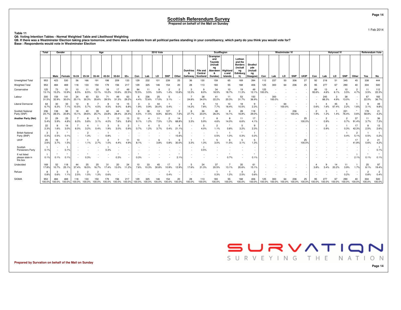**Table 11**

Q9. Voting Intention Tables - Normal Weighted Table and Likelihood Weighting<br>Q9. If there was a Westminster Election taking place tomorrow, and there was a candidate from all political parties standing in your constituency

**Base : Respondents would vote in Westminster Election**

|                                              | Total                  | Gender        |               |             |             | Age         |                       |                                                  |                        |             |              | <b>2010 Vote</b>                   |                        |                          |                             |                                 | <b>ScotRegion</b>                                                   |                              |                                                                          |                                                      |               |               | <b>Westminster VI</b> |               |              |                                                               |                        | <b>Holyrood VI</b> |                      |                                 | <b>Referendum Vote</b> |                              |
|----------------------------------------------|------------------------|---------------|---------------|-------------|-------------|-------------|-----------------------|--------------------------------------------------|------------------------|-------------|--------------|------------------------------------|------------------------|--------------------------|-----------------------------|---------------------------------|---------------------------------------------------------------------|------------------------------|--------------------------------------------------------------------------|------------------------------------------------------|---------------|---------------|-----------------------|---------------|--------------|---------------------------------------------------------------|------------------------|--------------------|----------------------|---------------------------------|------------------------|------------------------------|
|                                              |                        | Male          | Female        | 16-24       | 25-34       | 35-44       | 45-54                 | 55-64                                            | $65+$                  | Con         | Lab          | LD                                 | <b>SNP</b>             | Other                    | <b>Dumfries</b><br>Gallowav | Fife and<br>Central<br>Scotland | Grampian<br>and<br>Tayside<br>(includi<br>ng<br>Aberdeen<br>Dundee) | Highland<br>s and<br>Islands | Lothian<br>and the<br><b>Borders</b><br>(includi<br>ng<br>Edinburg<br>h) | <b>Strathcl</b><br>yde<br>(includi<br>ng<br>Glasgow) | Con           | Lab           | LD                    | <b>SNP</b>    | <b>UKIP</b>  | Con                                                           | Lab                    | LD                 | <b>SNP</b>           | Other                           | Yes                    | No                           |
| Unweighted Total                             | 953                    | 423           | 530           | 56          | 166         | 191         | 198                   | 209                                              | 133                    | 129         | 232          | 101                                | 239                    | 25                       | 36                          | 130                             | 159                                                                 | 65                           | 169                                                                      | 394                                                  | 112           | 237           | 50                    | 306           | 27           | 92                                                            | 218                    | 51                 | 345                  | 45                              | 338                    | 444                          |
| Weighted Total                               | 953                    | 484           | 469           | 118         | 133         | 150         |                       | 156                                              | 217                    | 129         | 325          | 146                                | 154                    | 20                       | 28                          | 113                             | 183                                                                 | 55                           | 168                                                                      | 406                                                  | 125           | 300           |                       | 236           | 25           | 95                                                            | 277                    | 67                 | 290                  | 40                              | 304                    | 500                          |
| Conservative                                 | 125<br>13.1%           | 73<br>15.2%   | 51<br>10.9%   | 10<br>8.5%  | 8.5%        | 20<br>13.1% | 18<br>10.2%           | 17<br>10.6%                                      | 49<br>22.5%            | 94<br>72.5% | 3.5%         | 5.8%                               | $\overline{2}$<br>1.4% | $\overline{2}$<br>10.8%  | 12.3%                       | -9<br>8.0%                      | 34<br>18.5%                                                         | 10<br>18.7%                  | 19<br>11.3%                                                              | 49<br>12.1%                                          | 125<br>100.0% |               |                       |               |              | 89<br>93.6%                                                   | 13<br>4.6%             | 4<br>6.1%          | 10<br>3.5%           | $\overline{2}$<br>4.7%          | 11<br>3.5%             | 112<br>22.3%                 |
| Labour                                       | 300<br>31.5%           | 159<br>32.9%  | 141<br>30.0%  | 24<br>20.1% | 40<br>30.3% | 53<br>35.6% | 71<br>39.5%           | 49<br>31.3%                                      | 63<br>29.2%            | 6<br>4.4%   | 236<br>72.6% | 25<br>17.0%                        | 3.1%                   | $\sim$<br>$\sim$         | 24.8%                       | 38<br>34.0%                     | 41<br>22.2%                                                         | 11<br>20.3%                  | 53<br>31.7%                                                              | 150<br>36.9%                                         |               | 300<br>100.0% |                       |               |              | $\overline{\phantom{a}}$                                      | 245<br>88.3%           | 3<br>4.9%          | 38<br>13.0%          |                                 | 67<br>22.0%            | 183<br>36.7%                 |
| Liberal Democrat                             | 64<br>6.7%             | 30<br>6.3%    | 33<br>7.1%    | 12<br>10.5% | 5.7%        |             | 8<br>4.5%             | 14<br>9.0%                                       | 15<br>6.8%             | 3<br>1.9%   | Э<br>0.9%    | $\Delta\ell$<br>30.0%              | 0.4%                   | $\sim$<br>$\sim$         | 14.2%                       | <b>q</b><br>7.8%                | 14<br>7.7%                                                          | 10<br>18.4%                  | 18<br>10.5%                                                              | 9<br>2.3%                                            |               |               | 64<br>100.0%          |               |              | 0.6%                                                          |                        | 45                 | 2.2%                 | 1.6%                            | <b>q</b><br>3.1%       | 49<br>9.8%                   |
| Scottish National<br>Party (SNP)             | 236<br>24.7%           | 138<br>28.5%  | 98<br>20.8%   | 18<br>15.1% | 29.6%       | 39<br>25.7% | 42<br>23.8%           | 44<br>28.4%                                      | 53<br>$24.4^{\circ}$   | 6<br>4.5%   | 38<br>11.5%  | 13<br>8.8%                         | 127<br>82.6%           | $\overline{c}$<br>7.6%   | 27.7%                       | 26<br>23.0%                     | 48<br>26.3%                                                         | -8<br>14.1%                  | 28<br>16.8%                                                              | 118<br>29.0%                                         |               |               |                       | 236<br>100.0% |              | $\overline{2}$<br>1.9%                                        | .2%                    | .4%                | 221<br>76.4%         | $0.6^{\circ}$                   | 178<br>58.8%           | 21<br>4.2%                   |
| Another Party (Net)                          | 51<br>5.4%             | 29<br>5.9%    | 23<br>4.8%    | 6.0%        |             |             |                       | 12<br>7.6%                                       | 13<br>5.8%             | 12<br>9.1%  | -4<br>.2%    | 11<br>7.5%                         | 1.2%                   | 14<br>68.8 <sup>c</sup>  | 3.3%                        | $\overline{7}$<br>5.9%          | 8<br>4.6%                                                           | -8<br>14.0%                  | 11<br>6.6%                                                               | 17<br>4.1%                                           |               |               |                       |               | 25<br>00.0%  |                                                               | 0.9%                   |                    | 0.7%                 | 37<br>91.4%                     | 11<br>3.7%             | 36<br>7.3%                   |
| Scottish Green                               | 22<br>2.3%             | 1.6%          | 14<br>3.0%    | 6.0%        |             |             | Ģ.<br>.9%             | 3.0%                                             | $\overline{2}$<br>0.99 | 0.7%        | .2%          | 3.7%                               |                        | $\Delta$<br>21.19        |                             | 4.0%                            | $\overline{2}$<br>1.1%                                              | 0.8%                         | 5<br>3.2%                                                                | <b>q</b><br>2.3%                                     |               |               |                       |               |              |                                                               | $\overline{c}$<br>0.9% |                    | 0.3%                 | 17<br>42.3%                     | $\mathbf{R}$<br>2.5%   | 13<br>2.6%                   |
| <b>British National</b><br>Party (BNP)       | $\mathbf{3}$<br>0.3%   | 3<br>0.5%     | 0.1%          |             | 2<br>.3%    |             |                       |                                                  |                        |             |              |                                    |                        | -3<br>15.6%              |                             |                                 | 0.5%                                                                | 1.0%                         | 0.3%                                                                     | 0.3%                                                 |               |               |                       |               |              |                                                               |                        |                    | 0.4%                 | $\overline{2}$<br>$5.1^{\circ}$ | 0.5%                   | 0.2%                         |
| UKIP                                         | 25<br>2.6%             | 18<br>3.7%    | 1.5%          |             |             |             | $\overline{2}$<br>.0% | 4.4%                                             | 11                     | 10<br>8.1%  |              | 3.8%                               | 0.8%                   | 6<br>30.0%               | 3.3%                        | 1.3%                            | -5<br>3.0%                                                          | 11.5%                        | 5<br>3.1%                                                                | -5<br>1.3%                                           |               |               |                       |               | 25<br>100.0% |                                                               |                        |                    |                      | 17<br>41.8%                     | $\overline{2}$<br>0.6% | 21<br>4.2%                   |
| Scottish<br>Pensioners Party                 | $\overline{1}$<br>0.1% |               | 0.1%          |             |             |             | 0.3%                  |                                                  |                        |             |              |                                    |                        | $\sim$                   |                             | 0.5%                            |                                                                     |                              |                                                                          |                                                      |               |               |                       |               |              |                                                               |                        |                    |                      | $\sim$                          |                        | 0.1%                         |
| If not listed<br>please state in<br>this box | $\overline{1}$<br>0.1% | 0.1%          | 0.1%          |             | 0.3%        |             |                       | 0.3%                                             |                        | 0.3%        |              |                                    |                        | $2.1^{\circ}$            |                             |                                 |                                                                     | 0.7%                         |                                                                          | 0.1%                                                 |               |               |                       |               |              |                                                               |                        |                    |                      | $2.1^{\circ}$                   | 0.1%                   | $\ddot{\phantom{1}}$<br>0.1% |
| Undecided                                    | 169<br>17.8%           | 52<br>10.7%   | 118<br>25.1%  | 37.4%       | 25<br>18.5% | 25<br>16.7% | 31<br>17.4%           | 20<br>13.0%                                      | 24<br>11.2%            | 10<br>7.6%  | 33<br>10.3%  | 45<br>30.8%                        | 17<br>10.9%            | 3<br>12.9%               | 17.6%                       | 24<br>21.3%                     | 37<br>20.5%                                                         | 13.1%                        | 35<br>20.6%                                                              | 61<br>15.1%                                          |               |               |                       |               |              | 3.8%                                                          | 9<br>3.4%              | 14<br>20.2%        | 11<br>3.9%           | 1.7%                            | 25<br>8.1%             | 97<br>19.4%                  |
| Refuse                                       | - 8<br>0.8%            | 3<br>0.6%     | 5<br>1.1%     | 2.5%        | 2<br>1.5%   | 2<br>1.3%   |                       |                                                  |                        |             |              |                                    | 0.4%                   | $\overline{\phantom{a}}$ |                             |                                 | 0.3%                                                                | 1.2%                         | 2.5%                                                                     | $\overline{2}$<br>0.6%                               |               |               |                       |               |              |                                                               |                        |                    | 0.2%                 | $\sim$                          | $\overline{2}$<br>0.8% | $\overline{c}$<br>0.4%       |
| SIGMA                                        | 953<br>100.0%          | 484<br>100.0% | 469<br>100.0% | 118         | 133         | 150         |                       | 156<br>100.0% 100.0% 100.0% 100.0% 100.0% 100.0% | 217                    | 129         | 325          | 146<br>100.0% 100.0% 100.0% 100.0% | 154                    | 20<br>100.0%             | 28<br>100.0%                | 113<br>100.0%                   | 183<br>100.0%                                                       | 55<br>100.0%                 | 168<br>100.0%                                                            | 406<br>100.0%                                        | 125           | 300           |                       | 236           | 25           | 95<br>100.0% 100.0% 100.0% 100.0% 100.0% 100.0% 100.0% 100.0% | 277                    | 67                 | 290<br>100.0% 100.0% | 40                              | 304<br>100.0%          | 500<br>100.0%                |

**Prepared by Survation on behalf of the Mail on Sunday**

SURVATION SURVEYING THE NATION

1 Feb 2014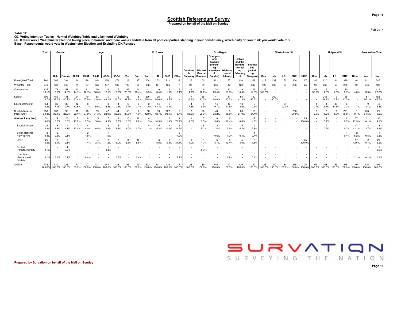**Page 15**

1 Feb 2014

**Table 12**

Q9. Voting Intention Tables - Normal Weighted Table and Likelihood Weighting<br>Q9. If there was a Westminster Election taking place tomorrow, and there was a candidate from all political parties standing in your constituency

**Base : Respondents would vote in Westminster Election and Excluding DK/Refused**

|                                              | Total         | Gender        |               |             |             | Age           |             |                      |                        |                             |              | <b>2010 Vote</b> |               |                         |                                   |                                 | <b>ScotRegion</b>                                                          |                              |                                                                          |                                               |               |               | <b>Westminster VI</b> |                      |              |             |                             | <b>Holyrood VI</b> |                        |                        | <b>Referendum Vote</b> |               |
|----------------------------------------------|---------------|---------------|---------------|-------------|-------------|---------------|-------------|----------------------|------------------------|-----------------------------|--------------|------------------|---------------|-------------------------|-----------------------------------|---------------------------------|----------------------------------------------------------------------------|------------------------------|--------------------------------------------------------------------------|-----------------------------------------------|---------------|---------------|-----------------------|----------------------|--------------|-------------|-----------------------------|--------------------|------------------------|------------------------|------------------------|---------------|
|                                              |               | Male          | Female        | 16-24       | 25-34       | 35-44         | 45-54       | 55-64                | 65+                    | Con                         | Lab          | LD               | <b>SNP</b>    | Other                   | <b>Dumfries</b><br>-8<br>Galloway | Fife and<br>Central<br>Scotland | Grampian<br>and<br><b>Tayside</b><br>(includi<br>ng<br>Aberdeen<br>Dundee) | Highland<br>s and<br>Islands | Lothian<br>and the<br><b>Borders</b><br>(includi<br>ng<br>Edinburg<br>h) | Strathcl<br>yde<br>(includi<br>ng<br>Glasgow) | Con           | Lab           | LD                    | <b>SNP</b>           | <b>UKIP</b>  | Con         | Lab                         | LD                 | <b>SNP</b>             | Other                  | Yes                    | No            |
| Unweighted Total                             | 760           | 366           | 394           | 34          | 128         | 148           | 159         | 173                  | 118                    | 117                         | 204          | 72               | 211           | 22                      | 27                                | 100                             | 121                                                                        | 57                           | 126                                                                      | 329                                           | 112           | 237           | 50                    | 306                  | 27           | 90          | 210                         | 41                 | 329                    | 44                     | 311                    | 347           |
| Weighted Total                               | 776           | 430           | 346           |             |             |               |             |                      | 193                    | 120                         | 292          |                  | 136           |                         | 23                                | 89                              | 145                                                                        | 47                           | 129                                                                      | 342                                           | 125           | 300           |                       | 236                  | 25           | 92          | 268                         | 53                 | 278                    | 40                     | 276                    | 402           |
| Conservative                                 | 125<br>16.1%  | 73<br>17.1%   | 51<br>14.8%   | 10<br>14.1% | 11          | 20<br>16.0%   | 18<br>12.5% | 17<br>12.2%          | 49<br>25.3%            | 94<br>78.4%                 | 11<br>3.9%   | S<br>8.4%        | 1.6%          | $\overline{2}$<br>12.4% | 3<br>14.9%                        | 9<br>10.2%                      | 34<br>23.4%                                                                | 10<br>21.9%                  | 19<br>14.6%                                                              | 49<br>14.3%                                   | 125<br>100.0% |               |                       |                      | $\sim$       | 89<br>97.3% | 13<br>4.8%                  | 7.6%               | 10<br>3.7%             | $\overline{2}$<br>4.8% | 11<br>3.9%             | 112<br>27.8%  |
| Labour                                       | 300<br>38.7%  | 159<br>37.1%  | 141<br>40.7%  | 24<br>33.4% | 40<br>37.9% | 53<br>43.4%   | 48.1%       | 49<br>36.0%          | 63<br>32.9%            | -6<br>4.8%                  | 236<br>80.9% | 25<br>24.6%      | 3.5%          |                         | 30.2%                             | 38<br>43.2%                     | 41<br>28.0%                                                                | 11<br>23.7%                  | 53<br>41.3%                                                              | 150<br>43.8%                                  |               | 300<br>100.0% |                       |                      |              |             | 245<br>91.4%                | 3<br>6.2%          | 38<br>13.5%            |                        | 67<br>24.1%            | 183<br>45.7%  |
| Liberal Democrat                             | 64<br>8.2%    | 30<br>7.1%    | 33<br>9.7%    | 12<br>17.5% | 7.1%        | 5.5%          | 5.5%        | 14<br>10.4%          | 15<br>7.7%             | 2.1%                        | 1.0%         | 44               | 0.4%          |                         | 17.3%                             | 9<br>9.9%                       | 14<br>9.7%                                                                 | 10<br>21.5%                  | 18<br>13.6%                                                              | -9<br>2.7%                                    |               |               | 64<br>100.0%          |                      |              | 0.7%        |                             | 45<br>84.5%        | 2.3%                   | 1.7%                   | 3.4%                   | 49<br>12.3%   |
| Scottish National<br>Party (SNP)             | 236<br>30.4%  | 138<br>32.1%  | 98<br>28.2%   | 25.1%       |             |               |             | 44<br>32.6%          | 53<br>27.5%            | 6<br>4.9%                   | 38<br>12.9%  | 13<br>12.7%      | 127<br>93.1%  | $\overline{2}$<br>8.7%  | -8<br>33.6%                       | 26<br>29.3%                     | 48<br>33.2%                                                                | 8<br>16.5%                   | 28<br>21.9%                                                              | 118<br>34.4%                                  |               |               |                       | 236<br>100.0%        |              | 2.0%        | .2%                         |                    | 221<br>79.8%           | 0.7%                   | 178<br>64.5%           | 21<br>5.2%    |
| <b>Another Party (Net)</b>                   | 51<br>6.6%    | 29<br>6.6%    | 23<br>6.6%    | 10.0%       | 7.3%        | 3.8%          |             | 12                   | 13<br>6.6%             | 12<br>9.9%                  | .3%          | 10.9%            | 1.3%          | 14<br>78.9%             | 4.0%                              | 7.5%                            | 5.8%                                                                       | 8<br>16.4%                   | 11<br>8.6%                                                               | 17<br>4.8%                                    |               |               |                       |                      | 25<br>100.0% |             | 0.9%                        |                    | $\overline{2}$<br>0.7% | 37<br>92.9%            | 11<br>4.1%             | 36<br>9.1%    |
| Scottish Green                               | 22<br>2.8%    | 1.8%          | 14            | 10.0%       | 4.0%        | 0.5%          |             | -5<br>3.4%           | $\overline{2}$<br>1.0% | 0.7%                        | .3%          | 5.3%             | 0.4%          | 24.2%                   |                                   | -5<br>5.1%                      | $\overline{c}$<br>1.4%                                                     | 0.9%                         | -5<br>4.2%                                                               | 2.8%                                          |               |               |                       |                      |              |             | $\overline{2}$<br>0.9%      |                    | 0.3%                   | 17<br>43.1%            | 8<br>2.7%              | 13<br>3.3%    |
| <b>British National</b><br>Party (BNP)       | 3<br>0.4%     | 0.6%          |               |             | 1.6%        |               |             |                      |                        |                             |              |                  |               | 3<br>17.9%              |                                   |                                 | 0.6%                                                                       | 1.2%                         | 0.4%                                                                     | 0.4%                                          |               |               |                       |                      |              |             |                             |                    | 0.4%                   | 2<br>5.2%              | 0.5%                   | 0.3%          |
| UKIP                                         | 25<br>3.2%    | 18<br>4.1%    | 2.1%          |             | 1.4%        |               | .2%         | 5.0%                 | 11<br>5.5%             | 8.8%                        |              | 6<br>5.5%        | 0.9%          | 34.4%                   | 4.0%                              | 1.7%                            | 5<br>3.7%                                                                  | -6<br>13.4%                  | -5<br>4.0%                                                               | -5<br>1.6%                                    |               |               |                       |                      | 25<br>100.0  |             |                             |                    |                        | 17<br>42.6%            | 2<br>0.7%              | 21<br>5.2%    |
| Scottish<br>Pensioners Party                 | 0.1%          |               | 0.2%          |             |             |               |             |                      |                        |                             |              |                  |               |                         |                                   | 0.7%                            |                                                                            |                              |                                                                          |                                               |               |               |                       |                      |              |             |                             |                    |                        |                        |                        | 0.2%          |
| If not listed<br>please state in<br>this box | 0.1%          | 0.1%          | 0.1%          |             | 0.4%        |               |             | 0.3%                 |                        | 0.4%                        |              |                  |               | $2.4^{\circ}$           |                                   |                                 |                                                                            | 0.9%                         |                                                                          | $\bullet$<br>0.1%                             |               |               |                       |                      |              |             |                             |                    |                        | 2.1%                   | 0.1%                   | 0.1%          |
| SIGMA                                        | 776<br>100.0% | 430<br>100.0% | 346<br>100.0% | 100.0%      |             | 100.0% 100.0% |             | 100.0% 100.0% 100.0% | 193                    | 120<br>100.0% 100.0% 100.0% | 292          | 101              | 136<br>100.0% | 17<br>100.0%            | 23<br>100.0%                      | 89<br>100.0%                    | 145<br>100.0%                                                              | 47<br>100.0%                 | 129<br>100.0%                                                            | 342<br>100.0%                                 | 125<br>100.0% | 100.0%        |                       | 236<br>100.0% 100.0% | 25<br>100.0% | 92          | 268<br>100.0% 100.0% 100.0% | 53                 | 278<br>100.0%          | 40<br>100.0%           | 276<br>100.0%          | 402<br>100.0% |

**Prepared by Survation on behalf of the Mail on Sunday**

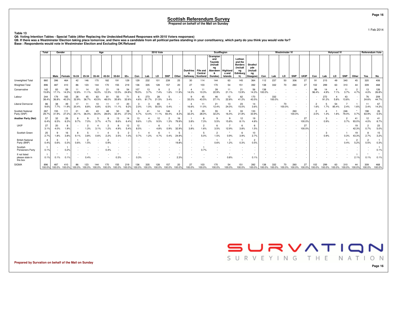**Table 13**

Q9. Voting Intention Tables - Special Table (After Replacing the Undecided/Refused Responses with 2010 Voters responses)<br>Q9. If there was a Westminster Election taking place tomorrow, and there was a candidate from all pol

**Base : Respondents would vote in Westminster Election and Excluding DK/Refused**

|                                              | Total                  | Gender       |               |             |                      | Age         |                          |                             |                        |                      |              | <b>2010 Vote</b>     |              |                          |                             |                                 | <b>ScotRegion</b>                                                         |                              |                                                                          |                                                      |               |                      | <b>Westminster VI</b> |                      |              |                                    |              | <b>Holyrood VI</b> |              |                        | <b>Referendum Vote</b> |               |
|----------------------------------------------|------------------------|--------------|---------------|-------------|----------------------|-------------|--------------------------|-----------------------------|------------------------|----------------------|--------------|----------------------|--------------|--------------------------|-----------------------------|---------------------------------|---------------------------------------------------------------------------|------------------------------|--------------------------------------------------------------------------|------------------------------------------------------|---------------|----------------------|-----------------------|----------------------|--------------|------------------------------------|--------------|--------------------|--------------|------------------------|------------------------|---------------|
|                                              |                        | Male         | Female        | 16-24       | 25-34                | 35-44       | 45-54                    | 55-64                       | 65+                    | Con                  | Lab          | LD                   | <b>SNP</b>   | Other                    | <b>Dumfries</b><br>Gallowav | Fife and<br>Central<br>Scotland | Grampian<br>and<br>Tayside<br>(includi<br>ng<br>Aberdeen<br>-8<br>Dundee) | Highland<br>s and<br>Islands | Lothian<br>and the<br><b>Borders</b><br>(includi<br>ng<br>Edinburg<br>h) | <b>Strathcl</b><br>yde<br>(includi<br>ng<br>Glasgow) | Con           | Lab                  | LD.                   | <b>SNP</b>           | <b>UKIP</b>  | Con                                | Lab          | LD.                | <b>SNP</b>   | Other                  | Yes                    | No            |
| Unweighted Total                             | 860                    | 396          | 464           | 42          | 146                  | 170         | 182                      | 191                         | 129                    | 129                  | 232          | 101                  | 239          | 25                       | 30                          | 114                             | 144                                                                       | 63                           | 145                                                                      | 364                                                  | 112           | 237                  | 50                    | 306                  | 27           | 91                                 | 215          | 49                 | 340          | 45                     | 320                    | 406           |
| Weighted Total                               | 896                    | 487          | 410           | 86          |                      |             |                          | 155                         | 219                    | 136                  | 335          | 128                  | 157          | 20                       | 27                          | 103                             | 170                                                                       | 54                           | 151                                                                      | 392                                                  | 138           | 332                  |                       | 260                  | 27           | 102                                | 299          | 63                 | 310          |                        | 309                    | 468           |
| Conservative                                 | 142<br>15.8%           | 83<br>17.1%  | 59<br>14.39   | 11<br>12.8% | 14<br>11.1%          | 23<br>16.0% | 21<br>12.3%              | 19<br>12.0%                 | 54<br>24.8%            | 107<br>79.0%         | 13<br>3.7%   | 7.4%                 | 2<br>1.6%    | $\overline{c}$<br>11.9%  | 14.3%                       | 11<br>10.3%                     | 39<br>22.9%                                                               | 11<br>21.1%                  | 21<br>13.9%                                                              | 56<br>14.3%                                          | 138<br>100.0% |                      |                       |                      |              | 98<br>96.4%                        | 14<br>4.9%   | 7.1%               | -11<br>3.7%  | $\overline{2}$<br>4.7% | 13<br>4.0%             | 126<br>26.8%  |
| Labour                                       | 344<br>38.4%           | 179<br>36.8% | 165<br>40.3%  | 28<br>32.9% | 45<br>36.7%          | 63<br>43.5% | 48.0%                    | 55<br>35.8%                 | 71<br>32.6%            | 6<br>4.6%            | 273<br>81.7% | 28<br>21.5%          | 5<br>3.4%    |                          | 33.2%                       | 45<br>43.5%                     | 46<br>27.1%                                                               | 12<br>22.8%                  | 62<br>41.2%                                                              | 170<br>43.5%                                         |               | 332<br>100.0%        |                       |                      |              |                                    | 272<br>91.2% | 5.8%               | 43<br>13.8%  |                        | 76<br>24.6%            | 209<br>44.7%  |
| Liberal Democrat                             | 86<br>9.6%             | 38<br>7.7%   | 49<br>11.9%   | 17<br>20.4% | 8.8%                 | 10<br>6.8%  | 6.5%                     | 11.                         | 20<br>9.2%             | -3<br>2.0%           | 1.0%         | 65<br>50.5%          | 0.4%         | $\overline{\phantom{a}}$ | 16.6%                       | 11<br>11.0%                     | 21<br>12.4%                                                               | 13<br>24.0%                  | 23<br>15.0%                                                              | 14<br>3.6%                                           |               |                      | 70<br>100.0%          |                      |              | 1.6%                               | 1.7%         | 54<br>85.4%        | 2.4%         | 1.6%                   | 11<br>3.4%             | 67<br>14.3%   |
| <b>Scottish National</b><br>Party (SNP)      | 267<br>29.7%           | 155<br>31.9% | 111<br>27.2%  | 21<br>24.1% |                      |             | 48<br>28.6%              | 50<br>32.4%                 | 59<br>27.0%            | 6<br>4.7%            | 41           | 14                   | 146<br>93.4% | $\overline{2}$<br>8.3%   | 32.2%                       | 29<br>28.0%                     | 55<br>32.2%                                                               | <b>q</b><br>16.4%            | 33<br>21.8%                                                              | 133<br>33.9%                                         |               |                      |                       | 260<br>100.0%        |              | 2.0%                               | 1.3%         | 1.6%               | 246<br>79.4% | 0.7%                   | 198<br>63.9%           | 26<br>5.5%    |
| Another Party (Net)                          | 57<br>6.4%             | 32<br>6.5%   | 26<br>6.3%    | 9.7%        |                      | 3.7%        | 4.1                      | 13<br>8.6%                  | 14<br>$6.4^{\circ}$    | 13<br>9.6%           | .2%          | 12<br>9.5%           | 1.3%         | 16<br>79.9%              | 3.8%                        | 8<br>7.3%                       | 5.5%                                                                      | <b>q</b><br>15.8%            | 12<br>8.1%                                                               | 19<br>4.8%                                           |               |                      |                       |                      | 27<br>100.0% |                                    | 0.9%         |                    | 0.7%         | 41<br>93.0%            | 12<br>4.0%             | 41<br>8.7%    |
| <b>UKIP</b>                                  | 27<br>3.1%             | 20<br>4.0%   | 1.9%          |             | 1.3%                 | 3.1%        | 1.2%                     | 4.9%                        | 12<br>5.4%             | 12<br>8.5%           |              | 4.8%                 | 0.9%         | 32.9%                    | 3.8%                        | $\overline{2}$<br>1.6%          | 3.5%                                                                      | 12.9%                        | 6<br>3.8%                                                                | -6<br>1.5%                                           |               |                      |                       |                      | 27<br>100.0% |                                    |              |                    |              | 19<br>42.3%            | 0.7%                   | 23<br>5.0%    |
| Scottish Green                               | 25<br>2.7%             | 1.8%         | 16<br>3.8%    | 9.1%        | 3.8%                 | 0.6%        | 2.2%                     | 3.5%                        | $\overline{2}$<br>1.0% | 0.7%                 | .2%          | 4.7%                 | 0.4%         | 5<br>24.9%               |                             | 5<br>5.0%                       | $\overline{2}$<br>1.5%                                                    | 0.9%                         | -6<br>3.9%                                                               | 10<br>2.7%                                           |               |                      |                       |                      |              |                                    | 0.9%         |                    | 0.3%         | 19<br>43.3%            | 2.7%                   | 15<br>3.2%    |
| <b>British National</b><br>Party (BNP)       | $\overline{4}$<br>0.4% | 3<br>0.6%    | 0.3%          | 0.6%        | .5%                  |             | $\overline{\phantom{a}}$ |                             |                        |                      |              |                      |              | 4<br>19.8%               |                             |                                 | 0.6%                                                                      | 1.2%                         | 0.3%                                                                     | $\overline{2}$<br>0.5%                               |               |                      |                       |                      |              |                                    |              |                    | 0.4%         | $\overline{2}$<br>5.2% | $\overline{2}$<br>0.5% | 0.3%          |
| Scottish<br>Pensioners Party                 | 0.1%                   |              | 0.2%          |             |                      |             |                          |                             |                        |                      |              |                      |              |                          |                             | 0.7%                            |                                                                           |                              |                                                                          |                                                      |               |                      |                       |                      |              |                                    |              |                    |              |                        |                        | 0.1%          |
| If not listed<br>please state in<br>this box | 0.1%                   | 0.1%         | 0.1%          |             | 0.4%                 |             |                          | 0.3%                        |                        | 0.3%                 |              |                      |              | $\ddot{}$<br>2.3%        |                             |                                 |                                                                           | 0.8%                         |                                                                          | 0.1%                                                 |               |                      |                       |                      |              |                                    |              |                    |              | 2.1%                   | 0.1%                   | 0.1%          |
| <b>SIGMA</b>                                 | 896<br>100.0%          | 100.0%       | 410<br>100.0% | 86          | 100.0% 100.0% 100.0% |             | 170                      | 155<br>100.0% 100.0% 100.0% | 219                    | 136<br>100.0% 100.0% | 335          | 128<br>100.0% 100.0% |              | 20<br>100.0%             | 27<br>100.0%                | 103<br>100.0%                   | 170<br>100.0%                                                             | 54<br>100.0%                 | 151<br>100.0%                                                            | 392<br>100.0%                                        | 138           | 332<br>100.0% 100.0% | 100.0%                | 260<br>100.0% 100.0% | 27           | 102<br>100.0% 100.0% 100.0% 100.0% | 299          | 63                 |              | 44<br>100.0%           | 309<br>100.0%          | 468<br>100.0% |

**Prepared by Survation on behalf of the Mail on Sunday**

**Page 16**

1 Feb 2014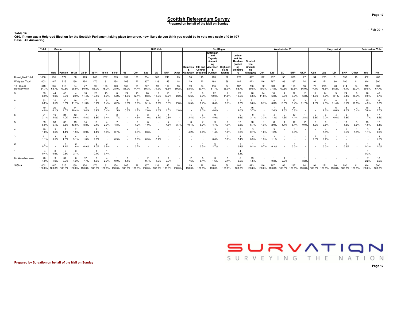1 Feb 2014

**Table 14 Q10. If there was a Holyrood Election for the Scottish Parliament taking place tomorrow, how likely do you think you would be to vote on a scale of 0 to 10?Base : All Answering**

|                               | <b>Total</b>           | Gender        |                        |             |               | Age         |               |              |                        |               |               | <b>2010 Vote</b> |              |                 |                                 |                     | <b>ScotRegion</b>                                                   |                                     |                                                                          |                                               |               |               | <b>Westminster VI</b> |               |              |             |              | <b>Holyrood VI</b> |               |             | <b>Referendum Vote</b> |               |
|-------------------------------|------------------------|---------------|------------------------|-------------|---------------|-------------|---------------|--------------|------------------------|---------------|---------------|------------------|--------------|-----------------|---------------------------------|---------------------|---------------------------------------------------------------------|-------------------------------------|--------------------------------------------------------------------------|-----------------------------------------------|---------------|---------------|-----------------------|---------------|--------------|-------------|--------------|--------------------|---------------|-------------|------------------------|---------------|
|                               |                        | Male          | Female                 | 16-24       | 25-34         | 35-44       | 45-54         | 55-64        | 65+                    | Con           | Lab           | LD               | <b>SNP</b>   | Other           | Dumfries   Fife and<br>Galloway | Central<br>Scotland | Grampian<br>and<br>Tayside<br>(includi<br>ng<br>Aberdeen<br>Dundee) | Highland<br>s and<br><b>Islands</b> | Lothian<br>and the<br><b>Borders</b><br>(includi<br>ng<br>Edinburg<br>h) | Strathcl<br>yde<br>(includi<br>ng<br>Glasgow) | Con           | Lab           | LD                    | <b>SNP</b>    | <b>UKIP</b>  | Con         | Lab          | LD                 | <b>SNP</b>    | Other       | Yes                    | No            |
| Unweighted Total              | 1006                   | 435           | 571                    | 58          | 183           | 208         | 207           | 213          | 137                    | 130           | 234           | 102              | 240          | 25              | 38                              | 140                 | 163                                                                 | 72                                  | 176                                                                      | 417                                           | 112           | 237           | 50                    | 306           | 27           | 94          | 223          | 51                 | 350           | 46          | 352                    | 462           |
| Weighted Total                | 1002                   | 487           | 515                    | 139         | 154           | 170         |               | 154          | 205                    | 122           | 307           | 138              | 145          | 18              | 29                              | 122                 | 188                                                                 | 58                                  | 182                                                                      | 423                                           | 116           | 287           | 63                    | 237           | 24           | 91          | 27'          | 66                 | 290           | 41          | 314                    | 500           |
| 10 - Would<br>definitely vote | 648<br>64.7%           | 335<br>68.7%  | 313<br>60.8%           | 54<br>38.9% | 77<br>50.0%   | 95<br>56.0% | 136<br>75.2%  | 120<br>78.0% | 166<br>81.0%           | 91<br>74.4%   | 247<br>80.3%  | 99<br>71.9%      | 112<br>76.8% | 16<br>89.2%     | 19<br>63.6%                     | 74<br>60.4%         | 116<br>61.7%                                                        | 37<br>65.0%                         | 107<br>58.7%                                                             | 296<br>69.8%                                  | 92<br>79.3%   | 223<br>77.8%  | 38<br>60.5%           | 165<br>69.6%  | 16<br>66.9%  | 70<br>77.1% | 208<br>76.6% | 43<br>65.2%        | 214<br>74.1%  | 24<br>59.7% | 219<br>69.8%           | 339<br>67.7%  |
|                               | 89<br>8.9%             | 9.0%          | 46<br>8.9%             | 2.9%        | 18            | 20<br>12.1% | 15<br>8.3%    | 8<br>5.2%    | 24<br>11.8%            | 15<br>12.1%   | 26<br>8.3%    | 16<br>11.6%      | 15<br>10.2%  | $2.2^{\circ}$   | 6.6%                            | 6.3%                | 22<br>12.0%                                                         | 11.8%                               | 23<br>12.5%                                                              | 28<br>6.6%                                    | 14<br>11.8%   | 18<br>6.3%    | 6.5%                  | 22<br>9.3%    | 6.3%         | 11.8%       | 14           | 8.1%               | 24<br>8.4%    | 15.9%       | 28<br>9.0%             | 48<br>9.7%    |
|                               | 62<br>6.2%             | 32<br>6.5%    | 30<br>5.8%             | 16<br>11.7% |               | 5.1%        |               | 9<br>6.2%    | -5<br>2.2%             | 5<br>3.9%     | 16<br>5.1%    | 13<br>9.6%       | 8<br>5.5%    | 2.8%            | 2<br>5.5%                       | 11<br>8.7%          | 12<br>6.4%                                                          | 5<br>9.1%                           | 11<br>6.2%                                                               | 21<br>5.0%                                    | 0.7%          | 18<br>6.3%    | 11<br>16.8%           | 13<br>5.4%    | 11.7%        | 1.5%        | 20<br>7.3%   | 11.4%              | 15<br>5.1%    | 4<br>10.6%  | 15<br>4.9%             | 38<br>7.6%    |
|                               | 40<br>4.0%             | 20<br>4.1%    | 20<br>4.0%             | 14<br>10.4% | 3.4%          | 3.9%        |               | 2<br>.5%     | $\overline{2}$<br>0.8% | 2<br>1.7%     | 6<br>2.0%     | 1.0%             | 2<br>1.5%    | $\star$<br>2.0% |                                 | 10<br>8.0%          | 8<br>4.0%                                                           |                                     | 4.0%                                                                     | 16<br>3.7%                                    |               | 2.4%          | 7.8%                  | 14<br>5.8%    |              |             | 2.6%         | 8.6%               | 13<br>4.6%    | 2<br>5.4%   | 18<br>5.8%             | 14<br>2.7%    |
| 6                             | 31<br>3.1%             | 10<br>2.0%    | 21<br>4.0%             | 13<br>9.6%  | 4.8%          | 3.8%        |               | 3            |                        | 6<br>4.5%     | 1.0%          | 3.4%             | 0.8%         |                 | 2.4%                            | 5<br>4.3%           | 9<br>4.9%                                                           |                                     | 3.6%                                                                     | 9<br>2.1%                                     | 3.3%          | 1.3%          | 4.5%                  | 10<br>4.1%    | 2.8%         | 5<br>5.3%   | 2.0%         |                    | 8<br>2.8%     |             | 5<br>1.7%              | 17<br>3.5%    |
|                               | 59<br>5.9%             | 30<br>6.1%    | 30<br>5.8%             | 19<br>13.6% | 14<br>8.8%    | 16<br>9.4%  | 2.0%          |              |                        | 1.2%          | 6<br>1.9%     |                  | 4.6%         | 3.7%            | з<br>10.1%                      | 6.0%                | -9<br>4.7%                                                          | 1.0%                                | 12<br>6.3%                                                               | 28<br>6.7%                                    | 1.3%          | 2.9%          | 1.7%                  | 12<br>5.1%    | 9.0%         | 2<br>1.9%   | 9<br>3.5%    |                    | 13<br>4.3%    | 3<br>6.6%   | 15<br>4.9%             | 17<br>3.4%    |
|                               | 10<br>1.0%             | 0.6%          | 1.4%                   | 1.5%        | 0.9%          |             | 1.6%          | 0.7%         |                        | 0.9%          | 0.3%          |                  |              | - 1             | 4.2%                            | 0.6%                | 3<br>1.4%                                                           | 1.0%                                | 1.0%                                                                     | 3<br>0.7%                                     | 1.0%          | .2%           |                       | 0.3%          |              |             |              |                    | 0.5%          | 1.8%        | 3<br>1.1%              | 0.9%          |
| 3                             | 11<br>1.1%             | 0.5%          | -8<br>1.6%             | 3.1%        |               |             |               | 0.9%         |                        | 0.6%          |               |                  |              | - 1             |                                 |                     | 0.6%                                                                | $\overline{2}$<br>3.0%              | 2.4%                                                                     | $\overline{4}$<br>0.9%                        | 1.9%          |               |                       |               |              | 2<br>2.5%   |              |                    |               |             |                        | 8<br>1.5%     |
| 2                             | $\overline{7}$<br>0.7% |               | 1.4%                   | 1.8%        | 0.9%          | 1.0%        |               |              |                        |               |               |                  |              |                 |                                 | 0.5%                | 5<br>2.7%                                                           |                                     | 0.4%                                                                     | 0.2%                                          | 0.7%          | 0.3%          |                       | 0.3%          |              |             |              |                    | 0.3%          | $\sim$      | 0.3%                   | 5<br>1.0%     |
|                               | 4<br>0.4%              | 0.6%          | $\overline{2}$<br>0.3% | 2.1%        |               | 0.4%        | $0.4^{\circ}$ |              |                        |               |               |                  |              |                 |                                 |                     |                                                                     |                                     | 2.4%                                                                     |                                               |               |               |                       |               |              |             |              |                    |               |             | 0.2%                   |               |
| 0 - Would not vote            | 40<br>4.0%             | 1.9%          | 31<br>6.0%             | 4.3%        | 12<br>7.7%    | 4.8%        | 2.3%          |              |                        |               |               |                  |              |                 | 7.6%                            | 6<br>5.1%           | 3<br>1.6%                                                           | 5<br>9.1%                           | 2.5%                                                                     | 19<br>4.5%                                    |               | 0.3%          | 2.3%                  |               | 3.2%         |             |              |                    |               |             | 2.2%                   | 10<br>2.0%    |
| SIGMA                         | 1002<br>100.0%         | 487<br>100.0% | 515<br>100.0%          | 139         | 100.0% 100.0% | 100.0%      | 100.0%        | 100.0%       | 205<br>100.0%          | 122<br>100.0% | 307<br>100.0% | 100.0%           | 100.0%       | 100.0%          | 29<br>100.0%                    | 122<br>100.0%       | 188<br>100.0%                                                       | 58<br>100.0%                        | 182<br>100.0%                                                            | 423<br>100.0%                                 | 116<br>100.0% | 287<br>100.0% | 100.0%                | 237<br>100.0% | 24<br>100.0% | 100.0%      | 100.0%       | 100.0%             | 290<br>100.0% | 100.0%      | 314<br>100.0%          | 500<br>100.0% |

**Prepared by Survation on behalf of the Mail on Sunday**

SURVATION SURVEYING THE NATION

**Page 17**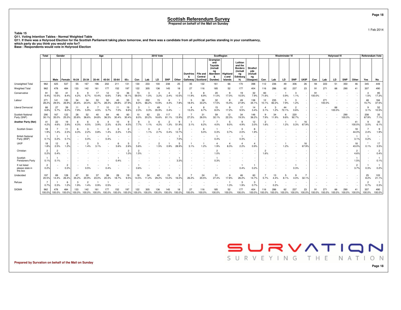**Table 15**

Q11. Voting Intention Tables - Normal Weighted Table<br>Q11. If there was a Holyrood Election for the Scottish Parliament taking place tomorrow, and there was a candidate from all political parties standing in your constituen

**which party do you think you would vote for? Base : Respondents would vote in Holyrood Election**

|                                              | Total                  | Gender                 |              |             |             | Age         |                       |                                                  |                                 |             |                                    | <b>2010 Vote</b> |              |                         |                                   |                                 | ScotRegion                                                                      |                              |                                                                          |                                               |             |              | <b>Westminster VI</b>                    |                        |             |              |            | <b>Holyrood VI</b>                |               |                        | <b>Referendum Vote</b> |                        |
|----------------------------------------------|------------------------|------------------------|--------------|-------------|-------------|-------------|-----------------------|--------------------------------------------------|---------------------------------|-------------|------------------------------------|------------------|--------------|-------------------------|-----------------------------------|---------------------------------|---------------------------------------------------------------------------------|------------------------------|--------------------------------------------------------------------------|-----------------------------------------------|-------------|--------------|------------------------------------------|------------------------|-------------|--------------|------------|-----------------------------------|---------------|------------------------|------------------------|------------------------|
|                                              |                        | Male                   | Female       | 16-24       | 25-34       | 35-44       | 45-54                 | 55-64                                            | $65+$                           | Con         | Lab                                | LD               | <b>SNP</b>   | Other                   | <b>Dumfries</b><br>-8<br>Galloway | Fife and<br>Central<br>Scotland | Grampian<br>and<br><b>Tayside</b><br>(includi<br>ng<br>Aberdeen<br>8<br>Dundee) | Highland<br>s and<br>Islands | Lothian<br>and the<br><b>Borders</b><br>(includi<br>ng<br>Edinburg<br>h) | Strathcl<br>yde<br>(includi<br>ng<br>Glasgow) | Con         | Lab          | LD                                       | <b>SNP</b>             | <b>UKIP</b> | Con          | Lab        | LD.                               | <b>SNP</b>    | Other                  | Yes                    | No                     |
| Unweighted Total                             | 962                    | 425                    | 537          | 55          | 167         | 196         | 202                   | 211                                              | 131                             | 130         | 233                                | 100              | 238          | 25                      | 35                                | 132                             | 161                                                                             | 66                           | 170                                                                      | 398                                           | 112         | 236          | 49                                       | 306                    | 26          | 94           | 223        | 51                                | 350           | 46                     | 345                    | 449                    |
| Weighted Total                               | 962                    | 478                    | 484          | 133         | 142         |             | 177                   | 152                                              | 197                             | 122         | 305                                | 136              | 145          | 18                      | 27                                | 116                             | 185                                                                             | 52                           | 177                                                                      | 404                                           | 116         | 286          | 62                                       | 237                    | 23          | 91           | 271        | 66                                | 290           | 41                     | 307                    | 490                    |
| Conservative                                 | 91<br>9.4%             | 50<br>10.5%            | 41<br>8.4%   | 4.2%        | 6.7%        | 17<br>10.4% | 12<br>6.6%            | 12<br>7.8%                                       | 36<br>18.19                     | 73<br>59.5% | 3<br>1.0%                          | 3.2%             | 2.4%         | 2<br>10.5%              | 11.9%                             | -8<br>6.9%                      | 20<br>11.0%                                                                     | <b>q</b><br>17.0%            | 19<br>10.5%                                                              | 32<br>7.9%                                    | 83<br>71.6% |              | 0.9%                                     | 3<br>1.1%              |             | 91<br>100.0% |            |                                   |               |                        | 1.5%                   | 85<br>17.3%            |
| Labour                                       | 271<br>28.2%           | 141<br>29.5%           | 130<br>26.9% | 34<br>25.6% | 34<br>24.0% | 53<br>32.7% | 50<br>28.3%           | 45<br>29.8%                                      | 55<br>27.9%                     | 10<br>8.0%  | 202<br>66.2%                       | 15<br>10.9%      | 4.4%         | 7.8%                    | 18.4%                             | 38<br>33.2%                     | 32<br>17.5%                                                                     | 8<br>15.4%                   | 49<br>27.8%                                                              | 138<br>34.1%                                  | 12<br>10.1% | 235<br>82.2% | 5<br>7.9%                                | Э<br>1.2%              |             |              | 27<br>100. |                                   |               |                        | 48<br>15.7%            | 184<br>37.5%           |
| Liberal Democrat                             | 66<br>6.8%             | 27<br>5.7%             | 39<br>8.0%   | 11<br>7.9%  | 5.9%        | 4.5%        | 10<br>5.7%            | 11<br>7.0%                                       | 19<br>9.6%                      | 3<br>2.3%   | 0.3%                               | 49<br>35.9%      | 0.4%         | $\sim$                  | 13.2%                             | -8<br>6.7%                      | 15<br>8.0%                                                                      | $\mathbf{q}$<br>17.2%        | 17<br>9.5%                                                               | 14<br>3.4%                                    | 3.1%        | 1.2%         | 44<br>72.1%                              | $\overline{2}$<br>0.6% |             |              |            | 66<br>100.0%                      |               |                        | 3.1%                   | 52<br>10.5%            |
| Scottish National<br>Party (SNP)             | 290<br>30.1%           | 167<br>35.0%           | 122<br>25.3% | 28<br>20.8% | 52<br>36.6% | 40<br>24.8% | 64<br>36.3%           | 46<br>30.4%                                      | 60<br>30.4%                     | 10<br>8.0%  | 62<br>20.2%                        | 23<br>16.6%      | 117<br>81.1% | 3<br>13.9%              | 27.2%                             | 31<br>26.5%                     | 59<br>32.1%                                                                     | 12<br>22.3%                  | 34<br>19.3%                                                              | 146<br>36.2%                                  | 7.9%        | 34<br>11.9%  | 9.8%                                     | 220<br>92.7%           |             |              |            |                                   | 290<br>100.0% |                        | 208<br>67.9%           | 35<br>7.1%             |
| Another Party (Net)                          | 41<br>4.2%             | 22<br>4.6%             | 19<br>3.9%   | 4.3%        | 6<br>4.5%   | 3.9%        | 4<br>2.3%             | 10<br>6.3%                                       | 9<br>$4.5^{\circ}$              | 9<br>7.7%   | 3<br>.1%                           | 4.2%             | 1.3%         | 9<br>51.9%              | 3.1%                              | 6.2%                            | $\overline{7}$<br>4.0%                                                          | -5<br>9.0%                   | 9<br>4.9%                                                                | 12<br>3.0%                                    | 1.6%        |              | 1.2%                                     | 0.3%                   | 16<br>67.9% |              |            |                                   |               | 41<br>100.0%           | -9<br>3.0%             | 30<br>6.1%             |
| Scottish Green                               | 18<br>1.9%             | 1.4%                   | 11<br>2.3%   | 4.3%        | 2.2%        |             | $\overline{2}$<br>.4% | 2.2%                                             | $\overline{2}$<br>1.0%          |             | з                                  | 2.7%             | 0.4%         | $\overline{c}$<br>12.7% |                                   | -6<br>5.0%                      | 0.3%                                                                            | 0.7%                         | 3<br>2.0%                                                                | 8<br>1.9%                                     |             |              |                                          |                        |             |              |            |                                   |               | 18<br>44.0%            | 2.4%                   | -9<br>1.9%             |
| <b>British National</b><br>Party (BNP)       | 0.1%                   | 0.2%                   | 0.1%         |             | 0.4%        |             | 0.4%                  |                                                  |                                 |             |                                    |                  |              | 7.0%                    |                                   |                                 | 0.4%                                                                            |                              | 0.3%                                                                     |                                               |             |              |                                          |                        |             |              |            |                                   |               | 3.1%                   | 0.2%                   |                        |
| <b>UKIP</b>                                  | 18<br>1.8%             | 12<br>2.5%             | -6<br>1.2%   |             |             |             |                       | 3.6%                                             | -5<br>2.69                      | 5.6%        |                                    | 1.5%             | 0.9%         | 5<br>28.9%              | 3.1%                              | 1.2%                            | 4<br>1.9%                                                                       | 8.3%                         | $\overline{4}$<br>2.2%                                                   | -4<br>0.9%                                    |             |              | 1.2%                                     |                        | 16<br>67.9% |              |            |                                   |               | 18<br>43.0%            | 0.1%                   | 17<br>3.5%             |
| Christian                                    | $\overline{2}$<br>0.2% | $\overline{c}$<br>0.4% |              |             |             |             |                       |                                                  | $\overline{2}$<br>$1.0^{\circ}$ | 1.5%        |                                    |                  |              | $\sim$                  |                                   |                                 | 2<br>1.0%                                                                       |                              |                                                                          |                                               |             |              |                                          |                        |             |              |            |                                   |               | $\overline{2}$<br>4.6% |                        | $\overline{2}$<br>0.4% |
| Scottish<br>Pensioners Party                 | 0.1%                   | 0.1%                   |              |             |             |             |                       | 0.4%                                             |                                 |             |                                    |                  |              | 3.3%                    |                                   |                                 | 0.3%                                                                            |                              |                                                                          |                                               |             |              |                                          |                        |             |              |            |                                   |               | 1.5%                   |                        | 0.1%                   |
| If not listed<br>please state in<br>this box | $\overline{2}$<br>0.2% |                        | 0.3%         |             | 0.5%        |             | 0.4%                  |                                                  |                                 | 0.6%        |                                    |                  |              |                         |                                   |                                 |                                                                                 |                              | 0.4%                                                                     | 0.2%                                          |             |              |                                          | 0.3%                   |             |              |            |                                   |               | $\overline{2}$<br>3.7% | 0.3%                   | 0.2%                   |
| Undecided                                    | 197<br>20.5%           | 69<br>14.4%            | 128<br>26.4% | 47<br>35.2% | 30<br>20.9% | 3<br>23.0%  | 36<br>20.3%           | 28<br>18.7%                                      | 19<br>$9.5^{\circ}$             | 18<br>14.5% | 34<br>11.2%                        | 40<br>29.2%      | 15<br>10.2%  | 3<br>16.0%              | 26.2%                             | 24<br>20.5%                     | 51<br>27.4%                                                                     | 17.8%                        | 46<br>26.2%                                                              | 60<br>14.7%                                   | 5.7%        | 13<br>4.4%   | 8.1%                                     | 4.0%                   | 32.19       |              |            |                                   |               |                        | 25<br>8.2%             | 103<br>21.1%           |
| Refuse                                       | - 7<br>0.7%            | 0.3%                   | 6<br>1.2%    | 1.9%        | 2<br>1.4%   | 0.9%        |                       |                                                  |                                 |             |                                    |                  |              |                         |                                   |                                 |                                                                                 | 1.3%                         | 3<br>1.9%                                                                | 3<br>0.7%                                     |             | 0.2%         |                                          |                        |             |              |            |                                   |               |                        | 0.7%                   | 0.3%                   |
| <b>SIGMA</b>                                 | 962<br>100.0%          | 478<br>100.0% 100.0%   | 484          | 133         | 142         |             |                       | 152<br>100.0% 100.0% 100.0% 100.0% 100.0% 100.0% | 197                             | 122         | 305<br>100.0% 100.0% 100.0% 100.0% | 136              | 145          | 18<br>100.0%            | 27<br>100.0%                      | 116<br>100.0%                   | 185<br>100.0%                                                                   | 52<br>100.0%                 | 177<br>100.0%                                                            | 404<br>100.0%                                 | 116         | 286          | 62<br>100.0% 100.0% 100.0% 100.0% 100.0% | 237                    | 23          | 91           | 271        | 66<br>100.0% 100.0% 100.0% 100.0% | 290           | 41<br>100.0%           | 307<br>100.0%          | 490<br>100.0%          |

**Prepared by Survation on behalf of the Mail on Sunday**

**Page 18**

1 Feb 2014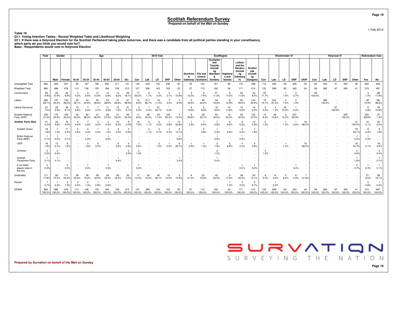**Table 16**

Q11. Voting Intention Tables - Normal Weighted Table and Likelihood Weighting<br>Q11. If there was a Holyrood Election for the Scottish Parliament taking place tomorrow, and there was a candidate from all political parties st

**which party do you think you would vote for? Base : Respondents would vote in Holyrood Election**

|                                              | Total                  | Gender        |                        |             |                        | Age                   |             |                                                  |                        |             |              | <b>2010 Vote</b> |                                    |                          |                                   |                                        | <b>ScotRegion</b>                                                               |                              |                                                                          |                                                      |             |                                           | <b>Westminster VI</b> |                        |                         |              |                                           | <b>Holyrood VI</b> |               |                        | Referendum Vote        |               |
|----------------------------------------------|------------------------|---------------|------------------------|-------------|------------------------|-----------------------|-------------|--------------------------------------------------|------------------------|-------------|--------------|------------------|------------------------------------|--------------------------|-----------------------------------|----------------------------------------|---------------------------------------------------------------------------------|------------------------------|--------------------------------------------------------------------------|------------------------------------------------------|-------------|-------------------------------------------|-----------------------|------------------------|-------------------------|--------------|-------------------------------------------|--------------------|---------------|------------------------|------------------------|---------------|
|                                              |                        | Male          | Female                 | 16-24       | 25-34                  | 35-44                 | 45-54       | 55-64                                            | 65+                    | Con         | Lab          | LD               | SNP                                | Other                    | <b>Dumfries</b><br>-8<br>Galloway | <b>Fife and</b><br>Central<br>Scotland | Grampian<br>and<br><b>Tavside</b><br>(includi<br>ng<br>Aberdeen<br>&<br>Dundee) | Highland<br>s and<br>Islands | Lothian<br>and the<br><b>Borders</b><br>(includi<br>ng<br>Edinburg<br>h) | <b>Strathcl</b><br>yde<br>(includi<br>ng<br>Glasgow) | Con         | Lab                                       | <b>LD</b>             | <b>SNP</b>             | <b>UKIP</b>             | Con          | Lab                                       | <b>LD</b>          | <b>SNP</b>    | Other                  | Yes                    | No            |
| Unweighted Total                             | 962                    | 425           | 537                    | 55          | 167                    | 196                   | 202         | 211                                              | 131                    | 130         | 233          | 100              | 238                                | 25                       | 35                                | 132                                    | 161                                                                             | 66                           | 170                                                                      | 398                                                  | 112         | 236                                       | 49                    | 306                    | 26                      | 94           | 223                                       | 51                 | 350           | 46                     | 345                    | 449           |
| Weighted Total                               | 962                    | 486           | 476                    | 113         |                        | 155                   | 184         | 159                                              | 215                    | 127         | 326          | 143              | 153                                | 20                       | $^{27}$                           | 115                                    | 182                                                                             | 54                           | 171                                                                      | 413                                                  | 122         | 299                                       | 62                    | 242                    | 24                      | 95           | 280                                       | 67                 | 300           | 41                     | 315                    | 497           |
| Conservative                                 | 95<br>9.9%             | 53<br>10.9%   | 42<br>8.9%             | 5<br>4.2%   | 9<br>6.4%              | 17<br>10.9%           | 12<br>6.8%  | 13<br>8.2%                                       | 39<br>18.1%            | 77<br>60.3% | 3<br>1.1%    | 3.3%             | 3<br>2.1%                          | $\overline{c}$<br>10.9%  | 12.2%                             | -9<br>7.6%                             | 21<br>11.4%                                                                     | <b>q</b><br>17.0%            | 20<br>11.6%                                                              | 33<br>8.0%                                           | 87<br>71.7% |                                           | 1.0%                  | $\overline{c}$<br>0.7% | $\sim$                  | 95<br>100.0% |                                           |                    |               |                        | 4<br>1.4%              | 89<br>17.9%   |
| Labour                                       | 280<br>29.1%           | 147<br>30.2%  | 133<br>28.0%           | 29<br>26.1% | 34<br>24.9%            | 55<br>35.6%           | 53<br>28.9% | 47<br>29.8%                                      | 61<br>28.5%            | 10<br>8.0%  | 217<br>66.7% | 16<br>11.2%      | 4.3%                               | $\overline{2}$<br>8.0%   | 18.2%                             | 39<br>34.0%                            | 34<br>18.6%                                                                     | $\mathbf{R}$<br>14.9%        | 50<br>29.5%                                                              | 144<br>34.9%                                         | 12<br>10.1% | 244<br>81.5%                              | -5<br>7.4%            | 3<br>1.3%              |                         |              | 280<br>00.0%                              |                    |               |                        | 49<br>15.5%            | 192<br>38.6%  |
| <b>Liberal Democrat</b>                      | 67<br>7.0%             | 29<br>5.9%    | 39<br>8.19             | 10<br>8.6%  | 5.0%                   |                       | -11<br>5.8% | 12<br>7.4%                                       | 21<br>9.7%             | 3<br>2.4%   | 0.3%         | 51<br>35.7%      | 0.3%                               | $\overline{\phantom{a}}$ | 14.9%                             | 8<br>6.8%                              | 16<br>8.6%                                                                      | 10<br>17.8%                  | 16<br>9.2%                                                               | 14<br>3.5%                                           | 3.3%        | 1.2%                                      | 45<br>72.0%           | 0.4%                   |                         |              |                                           | 67<br>100.0%       |               |                        | 9<br>2.9%              | 54<br>10.8%   |
| Scottish National<br>Party (SNP)             | 300<br>31.2%           | 175<br>35.9%  | 126<br>26.4%           | 23<br>20.5% | 52<br>38.3%            | $\mathbf{4}$<br>26.5% | 68<br>37.0% | 51<br>32.0%                                      | 65<br>30.2%            | 11<br>8.5%  | 66<br>20.3%  | 25<br>17.4%      | 126<br>82.4%                       | $\overline{2}$<br>12.4%  | 29.8%                             | 30<br>25.7%                            | 63<br>34.5%                                                                     | 12<br>22.3%                  | 35<br>20.5%                                                              | 153<br>37.0%                                         | 10<br>8.4%  | 38<br>12.6%                               | 6<br>10.3%            | 227<br>93.9%           |                         |              |                                           |                    | 300<br>100.0% |                        | 220<br>69.8%           | 37<br>7.4%    |
| Another Party (Net)                          | 41<br>4.3%             | 22<br>4.6%    | 19<br>4.0%             | 5<br>4.6%   | 4.9%                   | 5<br>3.4%             | 2.4%        | 10<br>6.3%                                       | 9                      | 10<br>7.5%  | 1.1%         | 4.3%             | 0.9%                               | 10<br>52.8%              | 3.5%                              | 6.0%                                   | 3.8%                                                                            | -5<br>9.6%                   | <b>q</b><br>5.2%                                                         | 12<br>2.9%                                           | 1.5%        |                                           | 1.2%                  | 0.4%                   | 16<br>68.2%             |              |                                           |                    |               | 41<br>100.0%           | 10<br>3.1%             | 30<br>6.0%    |
| Scottish Green                               | 18<br>1.8%             | 1.4%          | 11<br>2.3%             | 5<br>4.6%   | 3<br>2.4%              | 0.4%                  | 1.5%        | 4<br>2.4%                                        | $\overline{2}$<br>0.9% |             | 1.1%         | 2.7%             | 0.4%                               | 3<br>13.1%               |                                   | -5<br>4.8%                             | 0.3%                                                                            | 0.8%                         | $\mathbf{A}$<br>2.2%                                                     | $\overline{7}$<br>1.8%                               |             |                                           |                       |                        |                         |              |                                           |                    |               | 18<br>43.1%            | 8<br>2.4%              | 9<br>1.8%     |
| <b>British National</b><br>Party (BNP)       | 0.1%                   | 0.2%          | 0.1%                   |             | 0.3%                   |                       | 0.5%        |                                                  |                        |             |              |                  |                                    | $\mathbf{1}$<br>6.6%     |                                   |                                        | 0.5%                                                                            |                              | 0.3%                                                                     |                                                      |             |                                           |                       |                        |                         |              |                                           |                    |               | $\overline{1}$<br>3.2% | 0.3%                   |               |
| UKIP                                         | 18<br>1.9%             | 12<br>2.4%    | 6<br>1.3%              |             | 1.6%                   |                       |             | ĥ<br>3.5%                                        | 6<br>2.6%              | 5.5%        |              | 1.5%             | 0.5%                               | 6<br>29.7%               | 3.5%                              | 1.3%                                   | 3<br>1.6%                                                                       | 8.8%                         | $\mathbf{A}$<br>2.3%                                                     | 0.9%                                                 |             |                                           |                       |                        | 16<br>68.2 <sup>°</sup> |              |                                           |                    |               | 18<br>43.7%            | 0.1%                   | 18<br>3.5%    |
| Christian                                    | $\overline{2}$<br>0.2% | 0.4%          |                        |             |                        |                       |             |                                                  | $\overline{2}$<br>0.9% | 2<br>.5%    |              |                  |                                    |                          |                                   |                                        | 2<br>1.0%                                                                       |                              |                                                                          |                                                      | 1.5%        |                                           |                       |                        |                         |              |                                           |                    |               | $\overline{2}$<br>4.6% |                        | 2<br>0.4%     |
| Scottish<br>Pensioners Party                 | 0.1%                   | 0.1%          |                        |             |                        |                       |             |                                                  |                        |             |              |                  |                                    | 3.4%                     |                                   |                                        | 0.4%                                                                            |                              |                                                                          |                                                      |             |                                           |                       |                        |                         |              |                                           |                    |               | 1.6%                   |                        | 0.1%          |
| If not listed<br>please state in<br>this box | $\overline{2}$<br>0.2% |               | $\overline{2}$<br>0.3% |             | 0.5%                   |                       | 0.5%        |                                                  |                        | 0.5%        |              |                  |                                    |                          |                                   |                                        |                                                                                 |                              | 0.5%                                                                     | 0.2%                                                 |             |                                           |                       | $0.4^{\circ}$          |                         |              |                                           |                    |               | $\overline{2}$<br>3.7% | 0.3%                   | 0.1%          |
| Undecided                                    | 171<br>17.8%           | 60<br>12.3%   | 111<br>23.4%           | 38<br>33.4% | 26<br>19.2%            | 28<br>18.0%           | 34<br>18.5% | 26<br>16.3%                                      | 20<br>9.2%             | 17<br>13.3% | 34<br>10.5%  | 40<br>28.1%      | 15<br>10.0%                        | -3<br>15.9%              | 21.4%                             | 23<br>19.9%                            | 42<br>23.0%                                                                     | -9<br>17.2%                  | 38<br>22.0%                                                              | 54<br>13.1%                                          | 5.0%        | 14<br>4.5%                                | -5<br>8.2%            | 8<br>3.3%              | $31.8^{\circ}$          |              |                                           |                    |               |                        | 21<br>6.6%             | 95<br>19.1%   |
| Refuse                                       | 0.7%                   | 0.3%          | 1.2%                   | 3<br>2.5%   | $\overline{2}$<br>1.3% | 0.8%                  | 0.6%        |                                                  |                        |             |              |                  |                                    |                          |                                   |                                        |                                                                                 | 1.2%                         | -3<br>2.0%                                                               | 3<br>0.7%                                            |             | 0.2%                                      |                       |                        |                         |              |                                           |                    |               |                        | $\overline{2}$<br>0.8% | 0.2%          |
| <b>SIGMA</b>                                 | 962<br>100.0%          | 100.0% 100.0% | 476                    | 113         | 136                    | 155                   | 184         | 159<br>100.0% 100.0% 100.0% 100.0% 100.0% 100.0% | 215                    | 127         | 326          | 143              | 153<br>100.0% 100.0% 100.0% 100.0% | 20<br>100.0%             | 27<br>100.0%                      | 115<br>100.0%                          | 182<br>100.0%                                                                   | 54<br>100.0%                 | 171<br>100.0%                                                            | 413<br>100.0%                                        | 122         | 299<br>100.0% 100.0% 100.0% 100.0% 100.0% | 62                    | 242                    | 24                      | 95           | 280<br>100.0% 100.0% 100.0% 100.0% 100.0% | 67                 | 300           | 41                     | 315<br>100.0%          | 497<br>100.0% |

**Prepared by Survation on behalf of the Mail on Sunday**

1 Feb 2014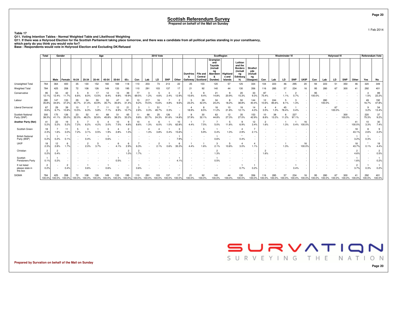#### **Table 17**

Q11. Voting Intention Tables - Normal Weighted Table and Likelihood Weighting<br>Q11. If there was a Holyrood Election for the Scottish Parliament taking place tomorrow, and there was a candidate from all political parties st

**which party do you think you would vote for? Base : Respondents would vote in Holyrood Election and Excluding DK/Refused**

|                                              | Total                  | Gender                 |                        |             |             | Age         |             |                                                  |                        |                      |              | <b>2010 Vote</b> |               |                         |                               |                     | <b>ScotRegion</b>                                                   |                                     |                                                                          |                                               |                      |              | <b>Westminster VI</b> |              |              |              |               | <b>Holyrood VI</b>                |               |                        | <b>Referendum Vote</b> |                        |
|----------------------------------------------|------------------------|------------------------|------------------------|-------------|-------------|-------------|-------------|--------------------------------------------------|------------------------|----------------------|--------------|------------------|---------------|-------------------------|-------------------------------|---------------------|---------------------------------------------------------------------|-------------------------------------|--------------------------------------------------------------------------|-----------------------------------------------|----------------------|--------------|-----------------------|--------------|--------------|--------------|---------------|-----------------------------------|---------------|------------------------|------------------------|------------------------|
|                                              |                        | Male                   | Female                 | 16-24       | 25-34       | 35-44       | 45-54       | 55-64                                            | $65+$                  | Con                  | Lab          | LD               | <b>SNP</b>    | Other                   | Dumfries Fife and<br>Galloway | Central<br>Scotland | Grampian<br>and<br>Tayside<br>(includi<br>ng<br>Aberdeen<br>Dundee) | <b>Highland</b><br>s and<br>Islands | Lothian<br>and the<br><b>Borders</b><br>(includi<br>na<br>Edinburg<br>h) | Strathcl<br>yde<br>(includi<br>ng<br>Glasgow) | Con                  | Lab          | LD.                   | <b>SNP</b>   | <b>UKIP</b>  | Con          | Lab           | LD.                               | <b>SNP</b>    | Other                  | Yes                    | No                     |
| Unweighted Total                             | 764                    | 364                    | 400                    | 35          | 130         | 152         | 160         | 169                                              | 118                    | 110                  | 203          | 73               | 213           | 22                      | 25                            | 103                 | 120                                                                 | 57                                  | 125                                                                      | 334                                           | 104                  | 223          | 46                    | 295          | 20           | 94           | 223           | 51                                | 350           | 46                     | 320                    | 349                    |
| Weighted Total                               | 784                    | 425                    | 358                    | 72          | 108         | 126         | 149         | 133                                              | 195                    | 110                  | 291          | 103              | 137           | 17                      | 21                            | 92                  | 140                                                                 | 44                                  | 130                                                                      | 356                                           | 116                  | 285          | 57                    | 234          | 16           | 95           | 280           | 67                                | 300           | 41                     | 292                    | 401                    |
| Conservative                                 | 95<br>$12.1^{\circ}$   | 53<br>12.4%            | 42<br>11.7%            | 6.6%        |             | 17<br>13.5% | 12<br>8.4%  | 13<br>9.8%                                       | 39<br>19.9%            | 77<br>69.5%          | 1.2%         |                  | -3<br>2.4%    | $\overline{c}$<br>12.9% | 15.6%                         | 9<br>9.4%           | 21<br>14.8%                                                         | 9<br>20.9%                          | 20<br>15.3%                                                              | 33<br>9.3%                                    | 87<br>75.4%          |              |                       | 2<br>0.7%    |              | 95<br>100.0% |               |                                   |               |                        | 1.5%                   | 89<br>22.2%            |
| Labour                                       | 280<br>35.8%           | 147<br>34.6%           | 133<br>37.2%           | 29<br>40.7% | 34<br>31.3% | 55<br>43.9% | 53<br>35.7% | 47<br>35.6%                                      | 61<br>31.4%            | 10<br>9.2%           | 217<br>74.5% | 15.6%            | 4.8%          | $\overline{2}$<br>9.6%  | 23.2%                         | 39<br>42.4%         | 34<br>24.2%                                                         | 18.2%                               | 50<br>38.8%                                                              | 144<br>40.4%                                  | 12<br>10.6%          | 244<br>85.6% | 8.1%                  | 3<br>1.3%    |              |              | 280<br>100.0% |                                   |               |                        | 49<br>16.7%            | 192<br>47.8%           |
| <b>Liberal Democrat</b>                      | 67<br>8.6%             | 29<br>6.7%             | 39<br>10.8%            | 10<br>13.5% | 6.3%        | 5.8%        | 11<br>7.1%  | 12<br>8.9%                                       | 21<br>10.7%            | 2.8%                 | 0.3%         | 51<br>49.7%      | 0.3%          |                         | 18.9%                         | 8.5%                | 16<br>11.2%                                                         | 10<br>21.8%                         | 16<br>12.1%                                                              | 14<br>4.0%                                    | 3.5%                 | 1.3%         | 45<br>78.4%           | 0.4%         |              |              |               | 67<br>100.0%                      |               |                        | 3.2%                   | 54<br>13.4%            |
| <b>Scottish National</b><br>Party (SNP)      | 300<br>38.3%           | 175<br>41.1%           | 126<br>35.0%           | 23<br>32.0% | 52<br>48.2% | 41<br>32.6% | 68<br>45.8% | 51<br>38.2%                                      | 65<br>33.2%            | 11<br>9.8%           | 66<br>22.7%  | 25<br>24.3%      | 126<br>91.6%  | $\overline{2}$<br>14.8% | 37.9%                         | 30<br>32.1%         | 63<br>44.8%                                                         | 12<br>27.3%                         | 35<br>27.0%                                                              | 153<br>42.9%                                  | 10<br>8.8%           | 38<br>13.2%  | 6<br>11.2%            | 227<br>97.1% |              |              |               |                                   | 300<br>100.0% | $\sim$                 | 220<br>75.3%           | 37<br>9.2%             |
| Another Party (Net)                          | 41<br>5.2%             | 22<br>5.2%             | 19<br>5.2%             | -5<br>7.2%  |             |             |             | 10<br>7.5%                                       | 9                      | 10<br>8.6%           | 4<br>.3%     | 6                | .0%           | 10<br>62.8%             | 4.4%                          | 7.5%                | 5.0%                                                                | 5<br>11.8%                          | 9<br>6.9%                                                                | 12<br>3.4%                                    | 2<br>1.6%            |              |                       | 0.4%         | 16<br>100.0% |              |               |                                   |               | 41<br>100.0%           | 10<br>3.3%             | 30<br>7.4%             |
| Scottish Green                               | 18<br>2.3%             | 1.6%                   | 11<br>3.0%             | 7.2%        |             |             | 1.9%        | 4<br>2.8%                                        | $\overline{2}$<br>1.0% |                      | 1.3%         | 3.8%             | 0.4%          | 3<br>15.6%              |                               | 5<br>5.9%           | 0.4%                                                                | 1.0%                                | 2.9%                                                                     | 2.1%                                          |                      |              |                       |              |              |              |               |                                   |               | 18<br>43.19            | 2.6%                   | 2.2%                   |
| <b>British National</b><br>Party (BNP)       | 0.2%                   | 0.2%                   | ۰<br>0.1%              |             |             |             |             |                                                  |                        |                      |              |                  |               | 7.9%                    |                               |                     | 0.6%                                                                |                                     | ۰<br>0.4%                                                                |                                               |                      |              |                       |              |              |              |               |                                   |               | 3.2%                   | 0.3%                   |                        |
| <b>UKIP</b>                                  | 18<br>2.3%             | 12<br>2.8%             | 6<br>1.7%              |             | 2.0%        |             |             | 6<br>4.1%                                        | -6<br>2.9%             | 6.3%                 |              | 2.1%             | 0.6%          | 6<br>35.3%              | 4.4%                          | 1.6%                | -3<br>2.1%                                                          | 5<br>10.8%                          | 3.0%                                                                     | 1.1%                                          |                      |              |                       |              | 16           |              |               |                                   |               | 18<br>43.7%            | 0.1%                   | 18<br>4.4%             |
| Christian                                    | $\overline{c}$<br>0.2% | $\overline{2}$<br>0.4% |                        |             |             |             |             |                                                  | $\overline{2}$<br>1.0% | 1.7%                 |              |                  |               |                         |                               |                     | $\overline{2}$<br>1.3%                                              |                                     |                                                                          |                                               |                      |              |                       |              |              |              |               |                                   |               | $\overline{2}$<br>4.6% |                        | $\overline{2}$<br>0.5% |
| Scottish<br>Pensioners Party                 | 0.1%                   | 0.2%                   |                        |             |             |             |             | 0.5%                                             |                        |                      |              |                  |               | 4.1%                    |                               |                     | 0.5%                                                                |                                     |                                                                          |                                               |                      |              |                       |              |              |              |               |                                   |               | 1.6%                   |                        | 0.2%                   |
| If not listed<br>please state in<br>this box | $\overline{c}$<br>0.2% |                        | $\overline{2}$<br>0.4% |             | 0.6%        |             | 0.6%        |                                                  |                        | 0.6%                 |              |                  |               |                         |                               |                     |                                                                     |                                     | 0.7%                                                                     | 0.2%                                          |                      |              |                       | 0.4%         |              |              |               |                                   |               | $\overline{2}$<br>3.7% | 0.3%                   | 0.2%                   |
| <b>SIGMA</b>                                 | 784<br>100.0%          | 100.0%                 | 358<br>100.0%          | 72          | 108         | 126         | 149         | 133<br>100.0% 100.0% 100.0% 100.0% 100.0% 100.0% | 195                    | 110<br>100.0% 100.0% | 291          | 103<br>100.0%    | 137<br>100.0% | 17<br>100.0%            | 21<br>100.0%                  | 92<br>100.0%        | 140<br>100.0%                                                       | 44<br>100.0%                        | 130<br>100.0%                                                            | 356<br>100.0%                                 | 116<br>100.0% 100.0% | 285          | 100.0% 100.0% 100.0%  | 234          | 16           | 95           | 280           | 67<br>100.0% 100.0% 100.0% 100.0% | 300           | 41<br>100.0%           | 292<br>100.0%          | 401<br>100.0%          |

**Prepared by Survation on behalf of the Mail on Sunday**

SURVATION SURVEYING THE NATION

**Page 20**

1 Feb 2014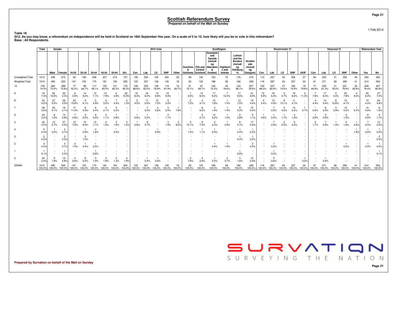1 Feb 2014

#### **Table 18Q12. As you may know, a referendum on independence will be held in Scotland on 18th September this year. On a scale of 0 to 10, how likely will you be to vote in this referendum? Base : All Respondents**

|                       | Total                  | Gender        |                        |               |              | Age          |              |              |               |                      |              | <b>2010 Vote</b> |              |              |                             |                                 | <b>ScotRegion</b>                                                          |                              |                                                                          |                                               |                          |               | <b>Westminster VI</b> |                  |              |             |              | <b>Holyrood VI</b> |              |             | <b>Referendum Vote</b> |                        |
|-----------------------|------------------------|---------------|------------------------|---------------|--------------|--------------|--------------|--------------|---------------|----------------------|--------------|------------------|--------------|--------------|-----------------------------|---------------------------------|----------------------------------------------------------------------------|------------------------------|--------------------------------------------------------------------------|-----------------------------------------------|--------------------------|---------------|-----------------------|------------------|--------------|-------------|--------------|--------------------|--------------|-------------|------------------------|------------------------|
|                       |                        | Male          | <b>Female</b>          | 16-24         | 25-34        | 35-44        | 45-54        | 55-64        | $65+$         | Con                  | Lab          | LD.              | <b>SNP</b>   | Other        | <b>Dumfries</b><br>Galloway | Fife and<br>Central<br>Scotland | Grampian<br>and<br>Tayside<br><i>(includi</i><br>ng<br>Aberdeen<br>Dundee) | Highland<br>s and<br>Islands | Lothian<br>and the<br><b>Borders</b><br>(includi<br>ng<br>Edinbura<br>h) | Strathcl<br>yde<br>(includi<br>ng<br>Glasgow) | Con                      | Lab           | LD                    | <b>SNP</b>       | <b>UKIP</b>  | Con         | Lab          | LD                 | <b>SNP</b>   | Other       | Yes                    | No                     |
| Unweighted Total      | 1010                   | 436           | 574                    | 62            | 183          | 208          | 207          | 213          | 137           | 130                  | 234          | 102              | 240          | 25           | 38                          | 142                             | 163                                                                        | 72                           | 176                                                                      | 419                                           | 112                      | 237           | 50                    | 306              | 27           | 94          | 223          | 51                 | 350          | 46          | 352                    | 463                    |
| <b>Weighted Total</b> | 1010                   | 490           | 520                    | 147           | 154          | 170          |              |              | 205           | 122                  | 307          | 138              |              | 18           | <b>29</b>                   | 125                             | 188                                                                        | 58                           | 182                                                                      | 428                                           | 116                      | 287           | 63                    | 237              | 24           |             | $27 -$       |                    | 290          |             | 314                    | 503                    |
| 10                    | 749<br>74.2%           | 360<br>73.5%  | 389<br>74.8%           | 77<br>52.2%   | 99<br>64     | 117<br>69.1% | 150<br>83.0% | 131<br>85.3% | 175<br>85.3%  | 106<br>86.6%         | 255<br>83.0% | 109<br>78.9%     | 119<br>81.9% | 15<br>83.7%  | 21<br>70.1%                 | 87<br>69.7%                     | 136<br>72.2%                                                               | 45<br>78.6%                  | 124<br>68.1%                                                             | 337<br>78.6%                                  | 100<br>86.0%             | 237<br>82.6%  | 74.0%                 | 182<br>76.9%     | 19<br>79.8%  | 77<br>84.8% | 220<br>81.3% | 51<br>78.2%        | 231<br>79.6% | 34<br>82.8% | 249<br>79.4%           | 407<br>80.9%           |
| 9                     | 74<br>7.3%             | 52<br>10.5%   | 22<br>4.3%             | 3.9%          | 9.2%         |              | 7.9%         | 3.9%         | 22<br>10.5%   | 10<br>8.0%           | 18<br>6.0%   | 14               | 14<br>9.9%   |              | 3.5%                        | 10<br>8.0%                      | 17<br>9.2%                                                                 | 12.4%                        | 17<br>9.5%                                                               | 21<br>4.9%                                    | 12<br>9.9%               | 18<br>6.4%    | 4.7%                  | 19<br>8.2%       | -3<br>11.3%  | 7.8%        |              |                    | 23<br>7.9%   | 9.4%        | 20<br>6.4%             | 37<br>7.4%             |
| 8                     | 53<br>5.2%             | 27<br>5.5%    | 26<br>5.0%             | 23<br>15.8%   |              | 2.9%         | 3.2%         | 4.4%         | 3<br>1.3%     | -5<br>4.0%           | 17<br>5.5%   | 7.2%             | 5<br>3.2%    |              | 2<br>7.2%                   | 3.1%                            | 15<br>7.8%                                                                 | 1.4%                         | 13<br>7.0%                                                               | 19                                            | 3.4%                     | 13<br>4.5%    | 13.1%                 | 11<br>4.7%       |              | 4.4%        | 5.4%         | 12.6%              | 12<br>4.1%   |             | 14<br>4.4%             | 24<br>4.8%             |
| $\overline{7}$        | 36<br>3.6%             | 20<br>4.1%    | 16<br>3.1%             | 17<br>11.5%   | 4.0%         |              | 2.1%         | 2.2%         | $\sim$        |                      | 2.3%         | 2.6%             | Э<br>2.0%    | 7.8%         |                             | 6.2%                            | 1.9%                                                                       | 1.0%                         | 9<br>5.2%                                                                | 15<br>3.4%                                    |                          | 2.5%          | 4.0%                  | 15<br>6.2%       | 5.7%         | 0.5%        | 2.9%         | 3.9%               | 15<br>5.3%   | 3.4%        | 14<br>4.5%             | 1.6%                   |
| -6                    | 23<br>2.2%             | 1.6%          | 14<br>2.8%             | 4.6%          | 2.0%         | 5.5%         |              | 0.8%         | $\sim$        | 0.6%                 | 0.3%         |                  | 2<br>1.1%    |              |                             | -3<br>2.1%                      | 10<br>5.2%                                                                 | 1.0%                         | 5<br>2.8%                                                                | 5<br>1.1%                                     | 0.6%                     | 0.3%          | 1.7%                  | $\Delta$<br>1.6% |              | 0.8%        | 0.9%         |                    | 1.3%         |             | 2.6%                   | 1.7%                   |
| 5                     | 40<br>4.0%             | 13<br>2.7%    | 27<br>5.3%             | 12<br>7.9%    | 6.5%         | 7.1%         | 1.0%         | 1.9%         | 2<br>1.0%     | 0.8%                 |              |                  | -3<br>1.9%   | 8.5%         | з<br>10.1%                  | -9<br>7.0%                      | 2.2%                                                                       | 0.9%                         | 8<br>4.1%                                                                | 17<br>3.9%                                    |                          | 2.6%          | 2.5%                  | 2.4%             |              | 1.7%        | 2.8%         | 1.4%               | 1.6%         | 2.6%        | 2.2%                   | 13<br>2.5%             |
|                       | - 5<br>0.4%            | 0.2%          | 4<br>0.7%              |               | 0.9%         | 3<br>1.6%    |              | 0.3%         | $\sim$        |                      |              |                  |              |              | 1.5%                        | 1.1%                            | 0.6%                                                                       | $\overline{\phantom{a}}$     | 0.4%                                                                     | 0.2%                                          |                          |               |                       |                  |              |             |              |                    |              | 1.8%        | 0.2%                   | 0.3%                   |
| 3                     | $\overline{2}$<br>0.2% |               | $\overline{2}$<br>0.3% |               |              |              |              |              |               |                      |              |                  |              |              |                             |                                 |                                                                            |                              | 0.4%                                                                     | 0.2%                                          |                          |               |                       |                  |              |             |              |                    |              |             |                        | $\overline{2}$<br>0.3% |
| $\overline{c}$        | 0.3%                   |               | 4<br>0.7%              | 1.4%          |              |              |              |              |               |                      |              |                  |              |              |                             |                                 | 0.4%                                                                       | 1.0%                         |                                                                          | $\overline{2}$<br>0.5%                        |                          |               |                       |                  |              |             |              |                    | 0.2%         |             | 0.2%                   | 0.2%                   |
|                       | $\mathbf{1}$<br>0.1%   |               | 0.3%                   |               |              |              |              |              |               |                      |              |                  |              |              |                             |                                 |                                                                            |                              | 0.8%                                                                     | $\sim$<br>$\sim$                              |                          | 0.2%          |                       |                  |              |             |              |                    |              |             |                        | 0.1%                   |
| $^{\circ}$            | 24<br>2.4%             | 1.9%          | 15<br>2.8%             | 2.6%          | 5.2%         | 1.9%         | 1.8%         | 1.3%         | 1.9%          |                      |              |                  |              |              | 7.6%                        | 2.9%                            | 0.5%                                                                       | $\overline{2}$<br>3.7%       | 3<br>1.6%                                                                | 12<br>2.9%                                    | $\overline{\phantom{a}}$ | 0.6%          |                       |                  | 3.2%         |             |              |                    |              |             |                        |                        |
| SIGMA                 | 1010<br>100.0%         | 490<br>100.0% | 520<br>100.0%          | 147<br>100.0% | 54<br>100.0% | 100.0%       | 100.0%       | 100.0%       | 205<br>100.0% | 122<br>100.0% 100.0% | 307          | 100.0%           | 100.0%       | 18<br>100.0% | <b>29</b><br>100.0%         | 125<br>100.0%                   | 188<br>100.0%                                                              | 58<br>100.0%                 | 182<br>100.0%                                                            | 428<br>100.0%                                 | 116<br>100.0%            | 287<br>100.0% | 100.0%                | 237<br>100.0%    | 24<br>100.0% | 100.0%      | 100.0%       | 100.0%             | 100.0%       | 100.0%      | 314<br>100.0%          | 503<br>100.0%          |

**Prepared by Survation on behalf of the Mail on Sunday**

SURVATION SURVEYING THE NATION

**Page 21**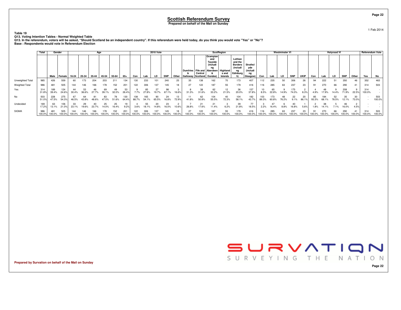**Page 22**

1 Feb 2014

**Page 22**

**Table 19**

Q13. Voting Intention Tables - Normal Weighted Table<br>Q13. In the referendum, voters will be asked, "Should Scotland be an independent country". If this referendum were held today, do you think you would vote "Yes" or "No"?

**Base : Respondents would vote in Referendum Election**

|                  | <b>Total</b> | Gender<br>Age |               |             |             |             |        |               |             | <b>2010 Vote</b> |              |        |            |       |          | ScotRegion                  |                                                                                     |                  |                                                                    |                                                       | <b>Westminster VI</b> |               |        |               |               | <b>Holyrood VI</b> |        |        | Referendum Vote |             |               |               |
|------------------|--------------|---------------|---------------|-------------|-------------|-------------|--------|---------------|-------------|------------------|--------------|--------|------------|-------|----------|-----------------------------|-------------------------------------------------------------------------------------|------------------|--------------------------------------------------------------------|-------------------------------------------------------|-----------------------|---------------|--------|---------------|---------------|--------------------|--------|--------|-----------------|-------------|---------------|---------------|
|                  |              |               | Male Female   | 16-24       |             | 25-34 35-44 | 45-54  | 55-64         | 65+         | Con              | Lab          | LD     | <b>SNP</b> | Other | Galloway | Central<br>Scotland Dundee) | Grampian<br>and<br>Tayside<br>(includi<br>Dumfries   Fife and   Aberdeen   Highland | s and<br>Islands | Lothian<br>and the<br><b>Borders</b><br>(includi<br>na<br>Edinburg | Strathcl<br>vde<br><i>(includi)</i><br>nq<br>Glasgow) | Con                   | Lab           | LD     | <b>SNP</b>    | <b>UKIP</b>   | Con                | Lab    | LD.    | <b>SNP</b>      | Other       | Yes           | No            |
| Unweighted Total | 985          | 426           | 559           | 60          |             | 204         | 203    | 211           | 134         | 130              | 233          |        | 240        | 25    | 35       | 38                          | 162                                                                                 |                  | 173                                                                | 407                                                   | 112                   | 235           |        | 306           | 26            |                    | 222    |        | 350             | 46          | 352           | 463           |
| Weighted Total   | 986          | 481           | 505           | 144         | 146         | 166         | 178    | 152           | 201         | 122              | 306          | 137    | 145        |       | 27       | 122                         | 187                                                                                 | 55               | 179                                                                | 416                                                   | 116                   | 285           | 63     | 237           | 23            |                    | 270    | 66     | 290             | 41          | 314           | 503           |
| Yes              | 314<br>31.8% | 189<br>39.4%  | 124<br>24.6%  | 44<br>30.4% | 53          | 27.7%       | 39.1%  | 32.0%         | 53<br>26.4% | 7.7%             | 85<br>27.8%  |        | 98         | 16.6% | 31.3%    | 38<br>31.6%                 | 62<br>33.2%                                                                         | 12<br>21.5%      | 36<br>20.0%                                                        | 157<br>37.8%                                          | 8.5%                  | 65<br>22.8%   |        | 175<br>74.0%  | 8.3%          | 4.9%               | 7.9%   | 14.4%  | 208<br>71.9%    | 22.5%       | 314<br>100.0% |               |
| No               | 503<br>51.0% | 228<br>47.5%  | 275<br>54.3%  | 67<br>46.5% | 64<br>43.8% | 48.6%       | 47.0%  | 51.6%         | 64.4%       | 88.7%            | 165<br>54.1% | 90     | 24         |       | 41.8%    | 62<br>50.8%                 | 104<br>55.5%                                                                        | 40<br>72.3%      | 104<br>58.1%                                                       | 182<br>43.7%                                          | 103<br>89.3%          | 60.8%         | 76.2%  | 9.1%          | 20<br>86.1°   | 85<br>93.3%        | 68.    | 78.5%  |                 | 30<br>73.0% |               | 503<br>100.0% |
| Undecided        | 169<br>17.2% | 63<br>13.1%   | 106<br>21.0%  | 33<br>23.1% | 29<br>19.6% | 23.7%       |        | 25<br>6.4%    | 9.2%        | $3.6\%$          | 55           | 20     | 23         | 10.6% | 26.8%    | 21<br>17.6%                 | 21<br>11.4%                                                                         | 6.2%             | 39<br>21.8%                                                        | 77<br>18.5%                                           | 2.2%                  |               |        | 16.8%         | $5.6^{\circ}$ | .8%                |        |        | 16.0%           | 4.5%        |               |               |
| <b>SIGMA</b>     | 986          | 100.0%        | 505<br>100.0% | 100.0%      | 100.0%      | 100.0%      | 100.0% | 152<br>100.0% | 201         | 100.0%           | 100.0%       | 100.0% |            |       | 100.0%   | 122<br>00.0%                | 187<br>100.0%                                                                       | 55<br>100.0%     | 179<br>100.0%                                                      | 416<br>100.0%                                         | 116<br>100.0%         | 285<br>100.0% | 100.0% | 237<br>100.0% | 23<br>100.0°  | 100.0%             | 100.0% | 100.0% | 290<br>100.0%   | 41          | 314<br>100.0% | 503<br>100.0% |

**Prepared by Survation on behalf of the Mail on Sunday**

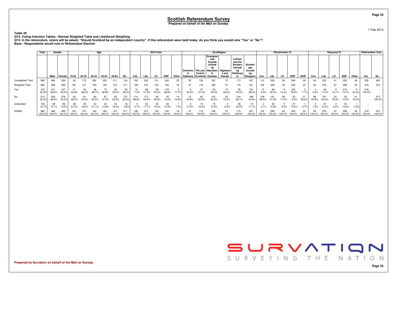**Table 20**

Q13. Voting Intention Tables - Normal Weighted Table and Likelihood Weighting<br>Q13. In the referendum, voters will be asked, "Should Scotland be an independent country". If this referendum were held today, do you think you

**Base : Respondents would vote in Referendum Election**

|                  | Total                    |               | Gender<br>Age |        |             |             |        |               |               |        |             | <b>2010 Vote</b> |               |                    |                                                               |               | ScotRegion                             |                              |                                                                    |                                                |              |               | <b>Westminster VI</b> |               |             |       |        | <b>Holyrood VI</b> |               |              | <b>Referendum Vote</b> |               |
|------------------|--------------------------|---------------|---------------|--------|-------------|-------------|--------|---------------|---------------|--------|-------------|------------------|---------------|--------------------|---------------------------------------------------------------|---------------|----------------------------------------|------------------------------|--------------------------------------------------------------------|------------------------------------------------|--------------|---------------|-----------------------|---------------|-------------|-------|--------|--------------------|---------------|--------------|------------------------|---------------|
|                  |                          | Male          | l Female      | 16-24  | 25-34       | 35-44       | 45-54  | 55-64         | 65+           | Con    | Lab         | LD               | <b>SNP</b>    | Other              | Dumfries   Fife and   Aberdeen<br>Galloway Scotland   Dundee) | Central       | Grampian<br>and<br>Tayside<br>(includi | Highland<br>s and<br>Islands | Lothian<br>and the<br><b>Borders</b><br>(includi<br>ng<br>Edinburg | Strathcl<br>yde<br><i>(includi</i><br>Glasgow) | Con          | Lab           | LD                    | <b>SNP</b>    | <b>UKIP</b> | Con   | Lab    | LD                 | <b>SNP</b>    | Other        | Yes                    | No            |
| Unweighted Total | 985                      | 426           | 559           |        |             | 204         | 203    | 211           | 134           |        | 233         |                  | 240           | 25                 | 35                                                            | 138           | 162                                    |                              | 173                                                                | 407                                            | 112          | 235           | 50                    | 306           | 26          | 94    | 222    |                    | 350           | 46           | 352                    | 463           |
| Weighted Total   | 985                      | 486           | 499           | 132    | 141         | 160         | 184    | 157           | 211           | 128    | 315         |                  | 150           | 18                 | 27                                                            | 119           | 186                                    | 57                           | 175                                                                | 421                                            | 122          | 293           | 63                    | 240           | 24          | 94    | 276    | 67                 | 296           | 42           | 318                    | 512           |
| Yes              | 318<br>$32.3^{\circ}$    | 191<br>39.3%  | 25.59         | 30.8%  | 38.5%       | 46<br>28.7  |        | 50<br>32.0%   | 56<br>26.4%   | 7.5%   | 88<br>27.9% | 29<br>20.2%      | 103<br>68.6%  |                    | 34.0%                                                         |               | 63<br>34.0%                            | 12<br>20.6%                  | 36<br>20.3%                                                        | 161<br>38.3%                                   | 8.4%         | 66<br>22.4%   | 14.4%                 | 182<br>75.9%  | 7.7%        | 4.6%  | 7.4%   | 14.1%              | 216<br>73.1%  | 22.4%        | 318<br>100.0%          |               |
| No               | 512<br>$52.0^{\circ}$    | 236<br>48.6%  | 276<br>55.3%  | 48.2%  | 43.5%       | 80<br>50.2% |        | 82<br>52.6%   | 137<br>65.0%  | 88.9%  | 54.9%       |                  | 25<br>16.5%   | 14<br>74.9%        | 12<br>44.9%                                                   | 63<br>52.6%   | 104<br>56.0%                           | 73.4%                        | 104<br>59.1%                                                       | 188<br>44.6%                                   | 109<br>89.5% | 18.<br>61.8%  | 49<br>77.4%           | 8.5%          | 21<br>86.6% | 93.8% | 69.3%  | 53<br>79.3%        |               | 31<br>74.3%  |                        | 512<br>100.0% |
| Undecided        | 154<br>15.7 <sup>°</sup> | 59<br>12.1%   |               | 21.0%  | 25<br>18.0% |             |        | 24<br>15.4%   | 18<br>8.6%    | 3.7%   |             |                  | 22<br>14.9%   | .3%                | 21.2%                                                         | 16.0%         | 19<br>10.0%                            | 6.0%                         | 36<br>20.5%                                                        | 72<br>17.1%                                    | 2.1%         | 46<br>5.8%    |                       | 15.6%         | 5.7%        | 1.6%  |        | 6.6%               | 14.9%         | 3.3%         |                        |               |
| SIGMA            | 985                      | 486<br>100.0% | 499           | 100.0% | 100.0%      | 100.0%      | 100.0% | 157<br>100.0% | 211<br>100.0% | 100.0% | 100.0%      | 100.0%           | 150<br>100.0% | 100.0 <sup>c</sup> | 27                                                            | 119<br>100.0% | 186<br>00.0%                           |                              | 175<br>100.0%                                                      | 421<br>100.0%                                  | 122          | 293<br>100.0% | 63                    | 240<br>100.0% | 24          |       | 100.0% | 100.0%             | 296<br>100.0% | 42<br>100.0% | 318<br>100.0%          | 512<br>100.0% |

**Prepared by Survation on behalf of the Mail on Sunday**

**Page 23**

1 Feb 2014

**Page 23**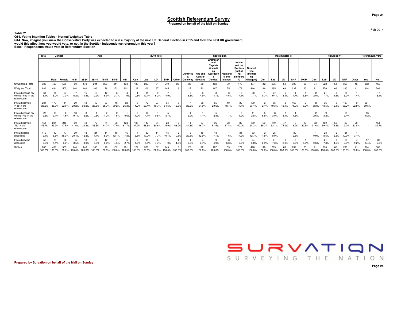**Table 21**

**Page 24**

1 Feb 2014

**Page 24**

**Q14. Voting Intention Tables - Normal Weighted Table Q14. Now, imagine you knew the Conservative Party was expected to win a majority at the next UK General Election in 2015 and form the next UK government,**

**would this affect how you would vote, or not, in the Scottish independence referendum this year? Base : Respondents would vote in Referendum Election**

|                                                         | Total         | Gender        |               |               |              | Age         |            |        |               |                        |               | <b>2010 Vote</b> |               |                         |                             |                                 | <b>ScotRegion</b>                                                   |                                     |                                                                    |                                                      |              |                      | <b>Westminster VI</b> |               |                        |                        |               | <b>Holyrood VI</b> |               |                  | <b>Referendum Vote</b> |               |
|---------------------------------------------------------|---------------|---------------|---------------|---------------|--------------|-------------|------------|--------|---------------|------------------------|---------------|------------------|---------------|-------------------------|-----------------------------|---------------------------------|---------------------------------------------------------------------|-------------------------------------|--------------------------------------------------------------------|------------------------------------------------------|--------------|----------------------|-----------------------|---------------|------------------------|------------------------|---------------|--------------------|---------------|------------------|------------------------|---------------|
|                                                         |               | Male          | Female        | 16-24         | 25-34        | 35-44       | 45-54      | 55-64  | 65+           | Con                    | Lab           | LD.              | <b>SNP</b>    | Other                   | <b>Dumfries</b><br>Galloway | Fife and<br>Central<br>Scotland | Grampian<br>and<br>Tayside<br>(includi<br>ng<br>Aberdeen<br>Dundee) | <b>Highland</b><br>s and<br>Islands | Lothian<br>and the<br><b>Borders</b><br>(includi<br>ng<br>Edinburg | <b>Strathcl</b><br>yde<br>(includi<br>ng<br>Glasgow) | Con          | Lab                  | LD.                   | <b>SNP</b>    | <b>UKIP</b>            | Con                    | Lab           | LD.                | <b>SNP</b>    | Other            | Yes                    | No            |
| Unweighted Total                                        | 985           | 426           | 559           | 60            | 173          | 204         | 203        | 211    | 134           | 130                    | 233           | 101              | 240           | 25                      | 35                          | 138                             | 162                                                                 | 70                                  | 173                                                                | 407                                                  | 112          | 235                  | 50                    | 306           | 26                     | 94                     | 222           | 51                 | 350           | 46               | 352                    | 463           |
| <b>Weighted Total</b>                                   | 986           | 481           | 505           | 144           | 146          | 166         |            | 152    | 201           | 122                    | 306           | 137              | 145           | 18                      | 27                          | 122                             | 187                                                                 | 55                                  | 179                                                                | 416                                                  |              | 285                  | 63                    | 237           | 23                     | 91                     | 270           | 66                 | 290           | 41               | 314                    | 503           |
| I would change my<br>vote to "Yes" in the<br>referendum | 61<br>6.1%    | 24<br>5.0%    | 37<br>7.3%    | 5.2%          | 15<br>10.4%  | 16<br>9.9%  | 12<br>6.9% | 3.7%   | 1.9%          | 0.8%                   | 10.1%         | 6.2%             | 4.9%          |                         | 6.3%                        | 6<br>4.9%                       | 8<br>4.1%                                                           | 3<br>4.6%                           | 13<br>7.4%                                                         | 30<br>7.1%                                           | 0.7%         | 27<br>9.4%           | 8.4%                  | 4.7%          | 5.6%                   | 2.0%                   | 21<br>7.7%    | 4.6%               | 14<br>5.0%    | 1.4%             |                        | 17<br>3.4%    |
| I would still vote<br>"Yes" in the<br>referendum        | 281<br>28.5%  | 170<br>35.3%  | 111<br>22.0%  | 29<br>20.2%   | 33.3%        | 25.5%       | 35.7%      | 30.2%  | 52<br>25.8%   | 5<br>4.2%              | 72<br>23.4%   | 27<br>19.7%      | 94<br>64.5%   | 3<br>16.6%              | 26.2%                       | 38<br>31.0%                     | 55<br>29.6%                                                         | 10<br>18.7%                         | 32<br>17.7%                                                        | 139<br>33.4%                                         | 2.1%         | 55<br>19.3%          | 12.1%                 | 168<br>71.0%  | $\overline{2}$<br>8.3% | $\overline{2}$<br>2.3% | 36<br>13.5%   | 12.1%              | 197<br>68.2%  | 9<br>22.5%       | 281<br>89.5%           |               |
| I would change my<br>vote to "No" in the<br>referendum  | 23<br>2.3%    | 15<br>3.1%    | 8<br>1.6%     | 13<br>9.1%    | 2.2%         | 0.6%        | 1.2%       | 1.5%   | 0.6%          | $\overline{2}$<br>1.9% | 12<br>4.1%    | 0.8%             | h<br>3.7%     |                         | 2.9%                        | 1.1%                            | ь<br>2.8%                                                           | 1.1%                                | 1.9%                                                               | 11<br>2.8%                                           | 5.5%         | 3.0%                 | 2<br>3.4%             | 1.5%          |                        | $\overline{2}$<br>2.6% | 9<br>3.2%     | $\sim$             | 10<br>3.4%    | $\sim$<br>$\sim$ | 16<br>5.2%             |               |
| I would still vote<br>"No" in the<br>referendum         | 451<br>45.7%  | 211<br>43.9%  | 240<br>47.5%  | 60<br>41.6%   | 48<br>32.8%  | 72<br>43.5% | 41.7%      | 47.9%  | 124<br>61.7%  | 107<br>87.9%           | 143<br>46.6%  | 84<br>60.8%      | 23<br>15.9%   | 12<br>68.0%             | 11<br>41.8%                 | 57<br>46.7%                     | 96<br>51.5%                                                         | 38<br>67.8%                         | 89<br>50.0%                                                        | 159<br>38.3%                                         | 103<br>89.3% | 149<br>52.1%         | 47<br>74.0%           | 16<br>6.9%    | 19<br>80.5%            | 83<br>91.6%            | 160<br>59.4%  | 50<br>76.3%        | 27<br>9.2%    | 26<br>63.8%      |                        | 451<br>89.7%  |
| I would still be<br>undecided                           | 119<br>12.1%  | 42<br>8.6%    | 77<br>15.3%   | 29<br>20.4%   | 18<br>12.3%  | 24          |            | 12.1%  | 15<br>7.3%    | 3.6%                   | 30<br>10.0%   |                  | 15<br>10.1%   | $\overline{2}$<br>10.6% | 20.5%                       | 16<br>12.9%                     | 13<br>7.1%                                                          | 1.6%                                | 31<br>17.2%                                                        | 53<br>12.7%                                          | 1.5%         | 25<br>8.9%           |                       | 30<br>12.5%   |                        | 0.9%                   | 23<br>8.5%    | 2.5%               | 3<br>10.9%    | 3.1%             |                        |               |
| I would now be<br>undecided                             | 52<br>5.2%    | 20<br>4.1%    | 32<br>6.3%    | 3.5%          | 13<br>8.9%   | 5.9%        | 6.6%       | 4.5%   | 5<br>2.7%     | 1.6%                   | 18            |                  |               | 4.8%                    | 2.2%                        | 4<br>3.4%                       | 4.9%                                                                | 3<br>6.3%                           | 10<br>5.8%                                                         | 24<br>5.8%                                           | 0.9%         | $\mathbf{P}$<br>7.3% |                       | 3.5%          | 5.6%                   | 0.6%                   | 21<br>7.8%    | 1.5%               | 10<br>3.3%    | 9.2%             | 17<br>5.4%             | 35<br>6.9%    |
| <b>SIGMA</b>                                            | 986<br>100.0% | 481<br>100.0% | 505<br>100.0% | 144<br>100.0% | 46<br>100.0% | 100.0%      | 100.0%     | 100.0% | 201<br>100.0% | 122<br>100.0%          | 306<br>100.0% | 100.0%           | 145<br>100.0% | 18                      | 27<br>100.0%                | 122<br>100.0%                   | 187<br>100.0%                                                       | 55<br>100.0%                        | 179<br>100.0%                                                      | 416<br>100.0%                                        | 100.0%       | 285<br>100.0%        | 100.0%                | 237<br>100.0% | 23<br>100.0%           | 100.0%                 | 270<br>100.0% | 100.0%             | 290<br>100.0% | 41<br>100.0%     | 314<br>100.0%          | 503<br>100.0% |

**Prepared by Survation on behalf of the Mail on Sunday**

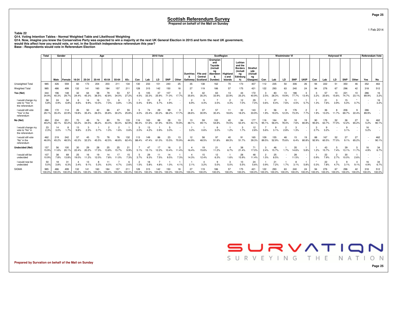**Table 22**

Q14. Voting Intention Tables - Normal Weighted Table and Likelihood Weighting<br>Q14. Now, imagine you knew the Conservative Party was expected to win a majority at the next UK General Election in 2015 and form the next UK go

**would this affect how you would vote, or not, in the Scottish independence referendum this year? Base : Respondents would vote in Referendum Election**

|                                                         | Total         | Gender       |               |               |               | Age           |               |               |               |               |              | <b>2010 Vote</b> |               |                         |                            |                                 | <b>ScotRegion</b>                                                          |                              |                                                                          |                                                      |                        |                      | <b>Westminster VI</b> |               |                          |                        |                | <b>Holyrood VI</b> |               |                   | <b>Referendum Vote</b> |               |
|---------------------------------------------------------|---------------|--------------|---------------|---------------|---------------|---------------|---------------|---------------|---------------|---------------|--------------|------------------|---------------|-------------------------|----------------------------|---------------------------------|----------------------------------------------------------------------------|------------------------------|--------------------------------------------------------------------------|------------------------------------------------------|------------------------|----------------------|-----------------------|---------------|--------------------------|------------------------|----------------|--------------------|---------------|-------------------|------------------------|---------------|
|                                                         |               | Male         | <b>Female</b> | 16-24         | 25-34         | 35-44         | 45-54         | 55-64         | $65+$         | Con           | Lab          | LD               | <b>SNP</b>    | Other                   | Dumfries<br>-8<br>Galloway | Fife and<br>Central<br>Scotland | Grampian<br>and<br><b>Tavside</b><br>(includi<br>na<br>Aberdeen<br>Dundee) | Highland<br>s and<br>Islands | Lothian<br>and the<br><b>Borders</b><br>(includi<br>ng<br>Edinburg<br>h) | <b>Strathcl</b><br>yde<br>(includi<br>ng<br>Glasgow) | Con                    | Lab                  | LD                    | <b>SNP</b>    | <b>UKIP</b>              | Con                    | Lab            | LD                 | <b>SNP</b>    | Other             | Yes                    | No            |
| Unweighted Total                                        | 985           | 426          | 559           | 60            | 173           | 204           | 203           | 211           | 134           | 130           | 233          | 101              | 240           | 25                      | 35                         | 138                             | 162                                                                        | 70                           | 173                                                                      | 407                                                  | 112                    | 235                  | 50                    | 306           | 26                       | 94                     | 222            | 51                 | 350           | 46                | 352                    | 463           |
| Weighted Total                                          | 985           | 486          | 499           | 132           | 141           | 160           | 184           | 157           | 211           | 128           | 315          | 142              | 150           | 18                      |                            | 119                             | 186                                                                        | 57                           | 175                                                                      | 421                                                  | 122                    | 293                  | 63                    | 240           | 24                       | 94                     | 276            | 67                 | 296           | 42                | 318                    | 512           |
| Yes (Net)                                               | 344<br>34.9%  | 196<br>40.3% | 148<br>29.7%  | 32<br>24.4%   | 64<br>45.3%   | 58<br>36.5%   | 79<br>42.8%   | 53<br>34.0%   | 57<br>27.2%   | 4.5%          | 105<br>33.3% | 37<br>25.9%      | 107<br>71.0%  | -3<br>17.7%             | 35.6%                      | 42<br>35.3%                     | 63<br>33.9%                                                                | 13<br>22.9%                  | 44<br>25.2%                                                              | 172<br>40.9%                                         | 2.5%                   | 83<br>28.3%          | 13<br>19.9%           | 186<br>77.7%  | 3<br>13.4%               | 3<br>3.2%              | 57<br>20.6%    | 10<br>15.6%        | 221<br>74.7%  | 10<br>23.1%       | 286<br>89.9%           | 16<br>3.2%    |
| I would change my<br>vote to "Yes" in<br>the referendum | 58<br>5.8%    | 24<br>4.9%   | 34<br>6.8%    | -6<br>4.6%    | 14<br>9.9%    | 16<br>10.0%   | 13<br>7.0%    | 3.8%          | 3<br>1.3%     | 0.4%          | 31<br>9.9%   | 5.7%             | 4.9%          |                         | $\overline{2}$<br>6.9%     | 5<br>4.4%                       | 3.5%                                                                       | $\overline{2}$<br>4.3%       | 12<br>7.0%                                                               | 29<br>7.0%                                           | 0.6%                   | 27<br>9.4%           | -5<br>7.6%            | 11<br>4.5%    | 5.7%                     | 1.3%                   | 21<br>7.6%     | 3.9%               | 15<br>5.0%    | $\bullet$<br>0.7% |                        | 16<br>3.2%    |
| I would still vote<br>"Yes" in the<br>referendum        | 286<br>29.19  | 172<br>35.4% | 114<br>22.9%  | 26<br>19.8%   | 50<br>35.4%   | 42<br>26.5%   | 66<br>35.8%   | 47<br>30.2%   | 55<br>25.8%   | 5<br>4.0%     | 74<br>23.4%  | 29<br>20.2%      | 99<br>66.2%   | -3<br>17.7%             | 28.6%                      | 37<br>30.9%                     | 57<br>30.4%                                                                | 11<br>18.6%                  | 32<br>18.2%                                                              | 143<br>33.9%                                         | $\overline{2}$<br>1.9% | 56<br>19.0%          | 12.3%                 | 176<br>73.3%  | $\overline{c}$<br>7.7%   | $\overline{2}$<br>1.9% | 36<br>13.0%    | 11.7%              | 206<br>69.7%  | 9<br>22.4%        | 286<br>89.9%           |               |
| No (Net)                                                | 484<br>49.2%  | 234<br>48.1% | 251<br>50.2%  | 70<br>53.2%   | 49<br>34.5%   | 74<br>46.2%   | 80<br>43.4%   | 79<br>50.4%   | 133<br>62.9%  | 116<br>90.4%  | 163<br>51.6% | 88<br>61.9%      | 28<br>18.5%   | 13<br>70.9%             | 13<br>48.1%                | 59<br>49.1%                     | 102<br>54.8%                                                               | 40<br>70.5%                  | 94<br>53.4%                                                              | 177<br>42.1%                                         | 116<br>95.1%           | 164<br>56.0%         | 50<br>78.4%           | 18<br>7.6%    | 19<br>80.8%              | 90<br>95.6%            | 176<br>63.7%   | 52<br>77.0%        | 36<br>12.2%   | 27<br>65.2%       | 16<br>5.2%             | 462<br>90.1%  |
| I would change my<br>vote to "No" in<br>the referendum  | 23<br>2.3%    | 14<br>3.0%   | 1.7%          | 13<br>9.8%    | 3<br>2.3%     | 0.7%          | 1.0%          | 1.6%          | 0.6%          | 3<br>2.0%     | 13<br>4.2%   | 0.9%             | 3.0%          |                         | 3.2%                       | 0.6%                            | 6<br>3.0%                                                                  | 1.2%                         | 3<br>1.7%                                                                | 12<br>2.8%                                           | 5.6%                   | 9<br>3.1%            | 2.8%                  | 3<br>1.3%     |                          | 3<br>2.7%              | 9<br>3.2%      |                    | 9<br>3.1%     | $\sim$<br>$\sim$  | 16<br>5.2%             |               |
| I would still vote<br>"No" in the<br>referendum         | 462<br>46.9%  | 219<br>45.2% | 242<br>48.5%  | 57<br>43.3%   | 45<br>32.2%   | 73<br>45.5%   | 78<br>42.5%   | 76<br>48.8%   | 132<br>62.4%  | 113<br>88.4%  | 149<br>47.4% | 86<br>61.0%      | 23<br>15.5%   | 13<br>70.9%             | 12<br>44.9%                | 58<br>48.5%                     | 97<br>51.8%                                                                | 40<br>69.3%                  | 91<br>51.7%                                                              | 165<br>39.3%                                         | 109<br>89.5%           | 155<br>52.9%         | 48<br>75.6%           | 15<br>6.4%    | 19<br>80.8%              | 88<br>92.9%            | 167<br>60.5%   | 52<br>77.0%        | 27<br>9.1%    | 27<br>65.2%       |                        | 462<br>90.1%  |
| <b>Undecided (Net)</b>                                  | 157<br>15.9%  | 56<br>11.6%  | 100<br>20.1   | 30<br>22.4%   | 29<br>20.2%   | 28<br>17.3%   | 25<br>13.8%   | 25<br>15.7%   | 21<br>9.9%    | 5.1%          | 47<br>15.1%  | 12.2%            | 16<br>10.4%   | $\overline{2}$<br>11.4% | 16.4%                      | 19<br>15.6%                     | 21<br>11.2%                                                                | 6.7%                         | 38<br>21.4%                                                              | 71<br>17.0%                                          | 2.4%                   | 46<br>15.7%          | 1.7%                  | 35<br>14.6%   | 5.8%                     | 1.2%                   | 4 <sup>°</sup> |                    | 39<br>13.1%   | 5<br>11.7%        | 16<br>4.9%             | 34<br>6.7%    |
| I would still be<br>undecided                           | 107<br>10.9%  | 38<br>7.8%   | 69<br>13.8%   | 25<br>19.0%   | 16<br>11.2%   | 19<br>12.0%   | 14<br>7.8%    | 17<br>11.0%   | 15<br>7.3%    | 5<br>3.7%     | 29<br>9.3%   | 7.5%             | 14<br>9.5%    | 7.3%                    | 14.3%                      | 15<br>12.4%                     | 12<br>6.3%                                                                 | 1.6%                         | 28<br>15.9%                                                              | 48<br>11.4%                                          | $\overline{2}$<br>1.5% | 25<br>8.5%           | $\sim$                | 28<br>11.5%   | $\overline{\phantom{a}}$ | 0.9%                   | 22<br>7.9%     | 2.7%               | 30<br>10.0%   | 2.6%              |                        |               |
| I would now be<br>undecided                             | 50<br>5.0%    | 18<br>3.8%   | 31<br>6.3%    | 3.4%          | 13<br>9.1%    | 5.3%          | 6.0%          | 4.7%          | 6<br>2.6%     | 2<br>1.5%     | 18<br>5.8%   | 4.8%             | 1.0%          | 4.1%                    | 2.1%                       | $\Delta$<br>3.2%                | 9<br>5.0%                                                                  | 3<br>5.0%                    | 10<br>5.5%                                                               | 24<br>5.6%                                           | 0.9%                   | 21<br>7.2%           | 1.7%                  | 8<br>3.1%     | 5.8%                     | 0.3%                   | 22<br>7.8%     | 4.7%               | 3.1%          | 9.1%              | 4.9%                   | 34<br>6.7%    |
| SIGMA                                                   | 985<br>100.0% | 100.0%       | 499<br>100.0% | 132<br>100.0% | 141<br>100.0% | 160<br>100.0% | 184<br>100.0% | 157<br>100.0% | 211<br>100.0% | 128<br>100.0% | 100.0%       | 142<br>100.0%    | 150<br>100.0% | 18<br>100.0%            | 27<br>100.0%               | 119<br>100.0%                   | 186<br>100.0%                                                              | 57<br>100.0%                 | 175<br>100.0%                                                            | 421<br>100.0%                                        | 122                    | 293<br>100.0% 100.0% | 63<br>100.0%          | 240<br>100.0% | 24<br>100.0%             | $Q_d$<br>100.0%        | 100.0%         | 67<br>100.0%       | 296<br>100.0% | 42<br>100.0%      | 318<br>100.0%          | 512<br>100.0% |

**Prepared by Survation on behalf of the Mail on Sunday**

**Page 25**

1 Feb 2014

**Page 25**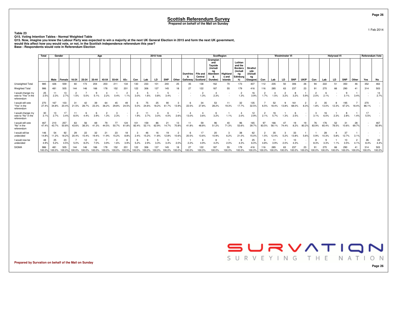**Page 26**

1 Feb 2014

**Page 26**

**Table 23**

**Q15. Voting Intention Tables - Normal Weighted Table Q15. Now, imagine you knew the Labour Party was expected to win a majority at the next UK General Election in 2015 and form the next UK government,**

**would this affect how you would vote, or not, in the Scottish independence referendum this year? Base : Respondents would vote in Referendum Election**

|                                                         | Total         | Gender        |               |               |              | Age           |             |               |               |                        |               | <b>2010 Vote</b> |               |              |                              |                                 | ScotRegion                                                                            |                  |                                                                    |                                                           |               |               | <b>Westminster VI</b> |               |                        |             |               | <b>Holyrood VI</b> |               |              | <b>Referendum Vote</b> |               |
|---------------------------------------------------------|---------------|---------------|---------------|---------------|--------------|---------------|-------------|---------------|---------------|------------------------|---------------|------------------|---------------|--------------|------------------------------|---------------------------------|---------------------------------------------------------------------------------------|------------------|--------------------------------------------------------------------|-----------------------------------------------------------|---------------|---------------|-----------------------|---------------|------------------------|-------------|---------------|--------------------|---------------|--------------|------------------------|---------------|
|                                                         |               | Male          | Female        | 16-24         | 25-34        | 35-44         | 45-54       | 55-64         | 65+           | Con                    | Lab           | LD.              | <b>SNP</b>    | Other        | Dumfries<br>- 84<br>Galloway | Fife and<br>Central<br>Scotland | Grampian<br>and<br>Tayside<br><i>(includi</i><br>ng<br>Aberdeen   Highland<br>Dundee) | s and<br>Islands | Lothian<br>and the<br><b>Borders</b><br>(includi<br>ng<br>Edinburg | Strathcl<br>yde<br>(includi<br>ng<br>Glasgow <sup>y</sup> | Con           | Lab           | LD                    | <b>SNP</b>    | <b>UKIP</b>            | Con         | Lab           | LD                 | <b>SNP</b>    | Other        | Yes                    | No            |
| Unweighted Total                                        | 985           | 426           | 559           | 60            | 73           | 204           | 203         | 211           | 134           | 130                    | 233           | 101              | 240           | 25           | 35                           | 138                             | 162                                                                                   | 70               | 173                                                                | 407                                                       | 112           | 235           | 50                    | 306           | 26                     | 94          | 222           | 51                 | 350           | 46           | 352                    | 463           |
| Weighted Total                                          | 986           | 481           | 505           | 144           | 46           | 166           |             | 152           | 201           | 122                    | 306           |                  | 145           | 18           | 27                           | 122                             | 187                                                                                   | 55               | 179                                                                | 416                                                       | 116           | 285           | 63                    | 237           | 23                     |             | 270           | 66                 | 290           | 41           | 314                    | 503           |
| I would change my<br>vote to "Yes" in the<br>referendum | 25<br>2.5%    | 11<br>2.3%    | 13<br>2.7%    | 1.5%          | 5.0%         | 5.1%          | 2.2%        | 0.4%          | ے<br>1.1%     | 3.0%                   | 1.6%          | 0.8%             | 3.4%          |              |                              | $\overline{c}$<br>1.3%          | 2.3%                                                                                  |                  | 2<br>1.3%                                                          | 16<br>3.9%                                                | 1.7%          | 1.5%          | 3.2%                  | 8<br>3.2%     | 5.9%                   | 2.0%        | 2.1%          |                    | 3.1%          | 3.4%         |                        | 14<br>2.7%    |
| I would still vote<br>"Yes" in the<br>referendum        | 270<br>27.4%  | 167<br>34.8%  | 103<br>20.4%  | 31<br>21.5%   | 42<br>28.7%  | 39<br>23.3%   | 64<br>36.2% | 45<br>29.8%   | 49<br>24.5%   | 5.0%                   | 75<br>24.6%   | 25<br>18.2%      | 90<br>61.7%   | 3<br>13.9%   | 22.5%                        | 34<br>27.8%                     | 53<br>28.2%                                                                           | 11<br>19.3%      | 32<br>17.7%                                                        | 135<br>32.5%                                              | 6.5%          | 52<br>18.4%   | 13.8%                 | 161<br>68.0%  | $\overline{2}$<br>8.3% | 1.8%        | 35<br>13.0%   | 12.3%              | 195<br>67.2%  | 18.4%        | 270<br>86.1%           |               |
| I would change my<br>vote to "No" in the<br>referendum  | 30<br>3.1%    | 13<br>2.7%    | 17<br>3.4%    | 11<br>8.0%    | 4.4%         | 3.9%          | 1.3%        | 2.3%          |               | $\overline{2}$<br>1.9% | 3.7%          | 3.0%             | 4.0%          | 2.6%         | 13.0%                        | 3.6%                            | 3.2%                                                                                  | 1.1%             | 2.0%                                                               | 12<br>2.9%                                                | 2.1%          | 16<br>5.7%    | 1.3%                  | 6<br>2.5%     |                        | 3.1%        | 16<br>6.0%    | 2.3%               | 2.8%          | 1.4%         | 17<br>5.5%             |               |
| I would still vote<br>"No" in the<br>referendum         | 467<br>47.4%  | 210<br>43.7%  | 257<br>50.8%  | 63<br>43.6%   | 56<br>38.3%  | 69<br>41.3%   | 79<br>44.5% | 50.7%         | 124<br>61.8%  | 101<br>82.4%           | 159<br>52.1%  | 86<br>62.9%      | 21<br>14.7%   | 13<br>70.8°  | 11<br>41.8%                  | 59<br>48.8%                     | 96<br>51.2%                                                                           | 40<br>71.3%      | 96<br>53.6%                                                        | 165<br>39.7%                                              | 97<br>83.5%   | 166<br>58.1%  | 47<br>74.4%           | 19<br>8.2%    | 19<br>80.2%            | 76<br>83.9% | 176<br>65.4%  | 52<br>78.5%        | 31<br>10.6%   | 28<br>69.7%  |                        | 467<br>92.9%  |
| I would still be<br>undecided                           | 146<br>14.8%  | 54<br>11.2%   | 92<br>18.29   | 29<br>20.4%   | 22           | 32<br>19.4%   |             | 23<br>15.2%   | 18<br>8.8%    |                        | 46<br>5.2%    | 16<br>11.8%      | 19<br>12.8%   | 2<br>10.6%   | 20.5%                        | 17<br>13.6%                     | 20<br>10.9%                                                                           | 6.2%             | 38<br>21.0%                                                        | 62<br>15.0%                                               | 1.5%          | 35<br>12.4%   | 5.2%                  | 33<br>13.8%   | 5.6%                   | 0.9%        | 28<br>10.3%   | 5.8%               | 12.7%         | 3.1%         |                        |               |
| I would now be<br>undecided                             | 48<br>4.9%    | 25<br>5.2%    | 23<br>4.5%    | 5.0%          | 12<br>8.2%   | 7.0%          |             | 1.6%          | 8<br>3.9%     | 5.2%                   |               |                  | h             | 2.0%         | 2.2%                         | 6<br>4.9%                       | 8<br>4.2%                                                                             | 2.0%             | 8<br>4.3%                                                          | 25<br>6.0%                                                | 4.8%          | 3.9%          | 2.0%                  | 10<br>4.3%    |                        | 8.3%        |               |                    | 10<br>3.5%    | 4.1%         | 26<br>8.4%             | 22<br>4.4%    |
| <b>SIGMA</b>                                            | 986<br>100.0% | 481<br>100.0% | 505<br>100.0% | 144<br>100.0% | 46<br>100.0% | 166<br>100.0% | 100.0%      | 152<br>100.0% | 201<br>100.0% | 122<br>100.0%          | 306<br>100.0% | 100.0%           | 145<br>100.0% | 18<br>100.0% | 27<br>100.0%                 | 122<br>100.0%                   | 187<br>100.0%                                                                         | 55<br>100.0%     | 179<br>100.0%                                                      | 416<br>100.0%                                             | 116<br>100.0% | 285<br>100.0% | 100.0%                | 237<br>100.0% | 23<br>100.0%           | 100.0%      | 270<br>100.0% | 66<br>100.0%       | 290<br>100.0% | 41<br>100.0% | 314<br>100.0%          | 503<br>100.0% |

**Prepared by Survation on behalf of the Mail on Sunday**

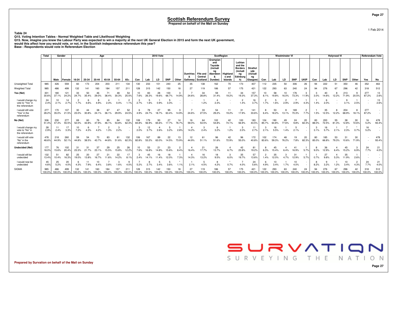**Table 24**

Q15. Voting Intention Tables - Normal Weighted Table and Likelihood Weighting<br>Q15. Now, imagine you knew the Labour Party was expected to win a majority at the next UK General Election in 2015 and form the next UK governme

**would this affect how you would vote, or not, in the Scottish independence referendum this year? Base : Respondents would vote in Referendum Election**

|                                                         | Total         | Gender       |               |                        |               | Age           |             |               |                        |               |              | <b>2010 Vote</b> |               |                        |                                   |                                 | <b>ScotRegion</b>                                                          |                              |                                                                          |                                                      |                        |                      | <b>Westminster VI</b> |               |                        |              |              | <b>Holyrood VI</b> |               |                        | <b>Referendum Vote</b> |               |
|---------------------------------------------------------|---------------|--------------|---------------|------------------------|---------------|---------------|-------------|---------------|------------------------|---------------|--------------|------------------|---------------|------------------------|-----------------------------------|---------------------------------|----------------------------------------------------------------------------|------------------------------|--------------------------------------------------------------------------|------------------------------------------------------|------------------------|----------------------|-----------------------|---------------|------------------------|--------------|--------------|--------------------|---------------|------------------------|------------------------|---------------|
|                                                         |               | Male         | <b>Female</b> | 16-24                  | 25-34         | 35-44         | 45-54       | 55-64         | $65+$                  | Con           | Lab          | LD               | <b>SNP</b>    | Other                  | <b>Dumfries</b><br>-8<br>Galloway | Fife and<br>Central<br>Scotland | Grampian<br>and<br><b>Tavside</b><br>(includi<br>na<br>Aberdeen<br>Dundee) | Highland<br>s and<br>Islands | Lothian<br>and the<br><b>Borders</b><br>(includi<br>ng<br>Edinburg<br>h) | <b>Strathcl</b><br>yde<br>(includi<br>ng<br>Glasgow) | Con                    | Lab                  | LD                    | <b>SNP</b>    | <b>UKIP</b>            | Con          | Lab          | LD                 | <b>SNP</b>    | Other                  | Yes                    | No            |
| Unweighted Total                                        | 985           | 426          | 559           | 60                     | 173           | 204           | 203         | 211           | 134                    | 130           | 233          | 101              | 240           | 25                     | 35                                | 138                             | 162                                                                        | 70                           | 173                                                                      | 407                                                  | 112                    | 235                  | 50                    | 306           | 26                     | 94           | 222          | 51                 | 350           | 46                     | 352                    | 463           |
| Weighted Total                                          | 985           | 486          | 499           | 132                    | 141           | 160           | 184         | 157           | 211                    | 128           | 315          | 142              | 150           | 18                     |                                   | 119                             | 186                                                                        | 57                           | 175                                                                      | 421                                                  | 122                    | 293                  | 63                    | 240           | 24                     | 94           | 276          | 67                 | 296           | 42                     | 318                    | 512           |
| Yes (Net)                                               | 301<br>30.6%  | 180<br>37.1% | 121<br>24.2%  | 33<br>24.7%            | 50<br>35.4%   | 46<br>29.0%   | 71<br>38.4% | 48<br>30.3%   | 54<br>25.5%            | 10<br>7.6%    | 83<br>26.3%  | 28<br>19.6%      | 100<br>66.7%  | -3<br>14.9%            | 24.6%                             | 34<br>28.8%                     | 59<br>31.4%                                                                | 11<br>19.2%                  | 34<br>19.3%                                                              | 157<br>37.3%                                         | 10<br>8.1%             | 58<br>19.8%          | 10<br>16.0%           | 176<br>73.3%  | 3<br>11.9%             | З<br>3.0%    | 40           | 12.2%              | 213<br>71.9%  | 9<br>20.5%             | 277<br>87.2%           | 13<br>2.6%    |
| I would change my<br>vote to "Yes" in<br>the referendum | 24<br>2.4%    | 10<br>2.1%   | 14<br>2.7%    | $\overline{2}$<br>1.7% | 4.6%          | 8<br>4.9%     | 2.3%        | 0.4%          | $\overline{2}$<br>1.1% | 2.7%          | 5<br>.6%     | 0.9%             | 3.3%          |                        |                                   | 1.2%                            | $\overline{4}$<br>2.3%                                                     |                              | $\overline{2}$<br>1.4%                                                   | 16<br>3.7%                                           | $\overline{2}$<br>1.7% | 5<br>1.6%            | 2.9%                  | 2.9%          | 4.3%                   | 1.4%         | -6<br>2.0%   |                    | q<br>3.1%     | 2.5%                   |                        | 13<br>2.6%    |
| I would still vote<br>"Yes" in the<br>referendum        | 277<br>28.2%  | 170<br>35.0% | 107<br>21.5%  | 30<br>23.0%            | 44<br>30.8%   | 38<br>24.1%   | 67<br>36.1% | 47<br>29.9%   | 52<br>24.5%            | 4.9%          | 78<br>24.7%  | 27<br>18.7%      | 95<br>63.4%   | -3<br>14.9%            | 24.6%                             | 33<br>27.5%                     | 54<br>29.2%                                                                | 11<br>19.2%                  | 31<br>17.9%                                                              | 141<br>33.6%                                         | 6.4%                   | 53<br>18.2%          | 13.1%                 | 169<br>70.3%  | $\overline{c}$<br>7.7% | 1.5%         | 35<br>12.5%  | 12.2%              | 204<br>68.9%  | 8<br>18.1%             | 277<br>87.2%           |               |
| No (Net)                                                | 506<br>51.49  | 230<br>47.3% | 277<br>55.5%  | 69<br>52.0%            | 60<br>42.8%   | 76<br>47.9%   | 85<br>46.1% | 84<br>53.8%   | 132<br>62.3%           | 108<br>84.8%  | 179<br>56.9% | 93<br>65.6%      | 27<br>17.7%   | 14<br>76.7%            | 16<br>59.0%                       | 64<br>53.5%                     | 102<br>54.8%                                                               | 42<br>74.1%                  | 100<br>56.9%                                                             | 183<br>43.5%                                         | 104<br>85.7%           | 190<br>64.8%         | 49<br>77.6%           | 24<br>9.8%    | 20<br>82.3%            | 83<br>88.0%  | 200<br>72.5% | 55<br>81.3%        | 38<br>12.8%   | 30<br>72.6%            | 16<br>5.2%             | 478<br>93.4%  |
| I would change my<br>vote to "No" in<br>the referendum  | 28<br>2.9%    | 11<br>2.4%   | 17<br>3.3%    | 10<br>7.2%             | 4.3%          | 4.2%          | 1.3%        | 2.2%          |                        | 3<br>2.0%     | 12<br>3.7%   | 2.6%             | 3.2%          | 2.8%                   | 14.2%                             | 3<br>2.4%                       | 6<br>3.2%                                                                  | 1.2%                         | -3<br>2.0%                                                               | 11<br>2.7%                                           | 3<br>2.1%              | 16<br>5.5%           | 1.4%                  | 5<br>2.1%     |                        | -3<br>3.1%   | 16<br>5.7%   | 2.1%               | 2.3%          | 0.7%                   | 16<br>5.2%             |               |
| I would still vote<br>"No" in the<br>referendum         | 478<br>48.6%  | 218<br>44.9% | 260<br>52.1%  | 59<br>44.8%            | 54<br>38.5%   | 70<br>43.7%   | 83<br>44.8% | 81<br>51.6%   | 132<br>62.3%           | 106<br>82.8%  | 167<br>53.2% | 89<br>63.0%      | 22<br>14.5%   | 13<br>73.9%            | 12<br>44.9%                       | 61<br>51.1%                     | 96<br>51.6%                                                                | 42<br>72.9%                  | 96<br>55.0%                                                              | 172<br>40.8%                                         | 102<br>83.6%           | 174<br>59.3%         | 48<br>76.2%           | 19<br>7.8%    | 20<br>82.3%            | 80<br>85.0%  | 185<br>66.8% | 53<br>79.3%        | 31<br>10.6%   | 30<br>71.9%            |                        | 478<br>93.4%  |
| <b>Undecided (Net)</b>                                  | 177<br>18.0%  | 76<br>15.6%  | 102<br>20.4%  | 31<br>23.3%            | 31<br>21      | 37<br>23.1%   | 29<br>5.5%  | 25<br>15.8%   | 26<br>12.2%            | 10<br>7.6%    | 53<br>16.8%  | 14.8%            | 23<br>15.6%   | $\overline{2}$<br>8.4% | 16.4%                             | 21<br>17.7%                     | 26<br>13.7%                                                                | 6.7%                         | 42<br>23.8%                                                              | 81<br>19.2%                                          | 6.3%                   | 45<br>15.4%          |                       | 41<br>16.9%   | 5.7%                   | 9.0%         | 36<br>12.9%  | 6.4%               | 45<br>15.2%   | 3<br>6.9%              | 24<br>7.7%             | 21<br>4.0%    |
| I would still be<br>undecided                           | 132<br>13.49  | 51<br>10.4%  | 82<br>16.3%   | 25<br>19.0%            | 20<br>13.8%   | 27<br>16.7%   | 21<br>11.6% | 22<br>14.2%   | 17<br>8.1%             | 2.4%          | 45<br>14.1%  | 16<br>11.4%      | 18<br>12.0%   | 7.3%                   | 14.3%                             | 16<br>13.2%                     | 18<br>9.5%                                                                 | 6.0%                         | 35<br>19.7%                                                              | 57<br>13.6%                                          | 2<br>1.4%              | 35<br>12.0%          | 4.7%                  | 31<br>12.9%   |                        | 0.7%         | 27<br>9.8%   | 5.3%               | 35<br>11.9%   | 2.6%                   |                        |               |
| I would now be<br>undecided                             | 45<br>4.6%    | 25<br>5.2%   | 20<br>4.0%    | 4.3%                   | 11<br>7.9%    | 10<br>6.4%    | 3.8%        | 1.6%          | 9<br>4.0%              | 5.2%          | 8            | 3.4%             | 3.6%          | 1.1%                   | 2.1%                              | 5<br>4.5%                       | -8<br>4.2%                                                                 | 0.7%                         | 4.0%                                                                     | 24<br>5.6%                                           | 4.9%                   | 10<br>3.4%           | 1.7%                  | 10<br>4.0%    |                        | 8.2%         | 3.2%         | 1.2%               | 10<br>3.4%    | $\overline{2}$<br>4.3% | 24<br>7.7%             | 21<br>4.0%    |
| SIGMA                                                   | 985<br>100.0% | 100.0%       | 499<br>100.0% | 132<br>100.0%          | 141<br>100.0% | 160<br>100.0% | 100.0%      | 157<br>100.0% | 211<br>100.0%          | 128<br>100.0% | 100.0%       | 142<br>100.0%    | 150<br>100.0% | 18<br>100.0%           | 27<br>100.0%                      | 119<br>100.0%                   | 186<br>100.0%                                                              | 57<br>100.0%                 | 175<br>100.0%                                                            | 421<br>100.0%                                        | 122                    | 293<br>100.0% 100.0% | 63<br>100.0%          | 240<br>100.0% | 24<br>100.0%           | 94<br>100.0% | 100.0%       | 67<br>100.0%       | 296<br>100.0% | 42<br>100.0%           | 318<br>100.0%          | 512<br>100.0% |

**Prepared by Survation on behalf of the Mail on Sunday**

**Page 27**

1 Feb 2014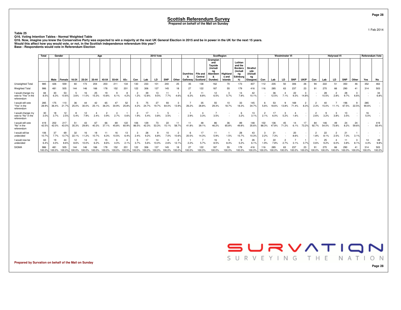**Page 28**

1 Feb 2014

**Table 25**

Q16. Voting Intention Tables - Normal Weighted Table<br>Q16. Now, imagine you knew the Conservative Party was expected to win a majority at the next UK General Election in 2015 and be in power in the UK for the next 15 years.

**Would this affect how you would vote, or not, in the Scottish independence referendum this year? Base : Respondents would vote in Referendum Election**

|                                                         | Total         | Gender        |                         |               |               | Age         |             |             |               |               |               | <b>2010 Vote</b> |               |                  |                             |                                        | <b>ScotRegion</b>                                                          |                                     |                                                                    |                                                       |              |               | <b>Westminster VI</b> |               |                        |                        |               | <b>Holyrood VI</b> |               |              | <b>Referendum Vote</b> |               |
|---------------------------------------------------------|---------------|---------------|-------------------------|---------------|---------------|-------------|-------------|-------------|---------------|---------------|---------------|------------------|---------------|------------------|-----------------------------|----------------------------------------|----------------------------------------------------------------------------|-------------------------------------|--------------------------------------------------------------------|-------------------------------------------------------|--------------|---------------|-----------------------|---------------|------------------------|------------------------|---------------|--------------------|---------------|--------------|------------------------|---------------|
|                                                         |               | Male          | Female                  | 16-24         | 25-34         | 35-44       | 45-54       | 55-64       | $65+$         | Con           | Lab           | LD.              | <b>SNP</b>    | Other            | <b>Dumfries</b><br>Galloway | <b>Fife and</b><br>Central<br>Scotland | Grampian<br>and<br>Tayside<br><i>(includi</i><br>ng<br>Aberdeen<br>Dundee) | <b>Highland</b><br>s and<br>Islands | Lothian<br>and the<br><b>Borders</b><br>(includi<br>ng<br>Edinburg | <b>Strathcl</b><br>yde<br>(includi<br>ng<br>(Glasgow) | Con          | Lab           | LD                    | <b>SNP</b>    | UKIP                   | Con                    | Lab           | LD                 | <b>SNP</b>    | Other        | Yes                    | No            |
| Unweighted Tota                                         | 985           | 426           | 559                     | 60            | 173           | 204         | 203         | 211         | 134           | 130           | 233           | 101              | 240           | 25               | 35                          | 138                                    | 162                                                                        | 70                                  | 173                                                                | 407                                                   | 112          | 235           | 50                    | 306           | 26                     | 94                     | 222           | 51                 | 350           | 46           | 352                    | 463           |
| <b>Weighted Total</b>                                   | 986           | 481           | 505                     | 144           | 146           |             |             | 152         | 201           | 122           | 306           | 137              | 145           | 18               | 27                          | 122                                    | 187                                                                        | 55                                  | 179                                                                | 416                                                   |              | 285           | 63                    | 237           | 23                     | 91                     | 270           | 66                 | 290           |              | 314                    | 503           |
| I would change my<br>vote to "Yes" in the<br>referendum | 84<br>8.5%    | 30<br>6.3%    | 53<br>10.6%             | 3.6%          | 16<br>11.0%   | 25<br>15.3% | 10.8%       | 6.1%        | 4.2%          | 1.2%          | 39<br>12.8%   | 13<br>9.5%       | 7.7%          | 4.6%             | ∠<br>6.3%                   | 11<br>8.8%                             | 12<br>6.5%                                                                 | 3<br>5.7%                           | 14<br>7.8%                                                         | 42<br>10.1%                                           |              | 36<br>12.5%   | 7.1%                  | 22<br>9.3%    | 3<br>14.8%             |                        | 28<br>10.5%   | 2.8%               | 28<br>9.7%    | 6.6%         |                        | 34<br>6.8%    |
| I would still vote<br>"Yes" in the<br>referendum        | 285<br>28.9%  | 175<br>36.4%  | 110<br>21.7%            | 36<br>25.0%   | 30.0%         | 25.1%       | 65<br>36.3% | 47<br>30.9% | 52<br>25.8%   | 4.2%          | 75<br>24.7%   | 27<br>19.7%      | 93<br>64.0%   | 13.9%            | 26.2%                       | 35<br>28.8%                            | 55<br>29.3%                                                                | 10<br>18.7%                         | 33<br>18.3%                                                        | 145<br>34.7%                                          | 5.6%         | 53<br>18.6%   | 13.8%                 | 169<br>71.4%  | $\overline{2}$<br>8.3% | 2.3%                   | 40<br>15.0%   | 11.1%              | 196<br>67.5%  | 22.5%        | 285<br>90.6%           |               |
| I would change my<br>vote to "No" in the<br>referendum  | 30<br>3.0%    | 18<br>3.7%    | 12<br>2.5%              | 5.4%          | 12<br>7.9%    | 2.4%        | 0.9%        | 2.7%        | 0.6%          | 1.9%          | 5.4%          | 0.8%             | 3.5%          | $\sim$<br>$\sim$ | 2.9%                        | 4<br>3.3%                              | 3.5%                                                                       |                                     | 3.2%                                                               | 13<br>3.1%                                            | 2.1%         | 17<br>6.0%    | 5.2%                  | 1.6%          |                        | 2.6%                   | 9<br>3.2%     | 3.8%               | 10<br>3.5%    |              | 16<br>5.0%             |               |
| I would still vote<br>"No" in the<br>referendum         | 419<br>42.5%  | 202<br>42.0%  | 217<br>43.0%            | 51<br>35.3%   | 43<br>29.8%   | 67<br>40.3% | 66<br>37.1% | 69<br>45.8% | 122<br>60.9%  | 106<br>86.5%  | 129<br>42.3%  | 73<br>53.3%      | 22<br>15.1%   | 11<br>58.7%      | 11<br>41.8%                 | 48<br>39.1%                            | 86<br>46.2%                                                                | 36<br>65.8%                         | 89<br>49.8%                                                        | 148<br>35.6%                                          | 102<br>88.3% | 136<br>47.8%  | 45<br>71.2%           | 14<br>6.1%    | 17<br>73.2%            | 84<br>92.7%            | 146<br>54.0%  | 49<br>73.8%        | 24<br>8.2%    | 24<br>59.6%  |                        | 419<br>83.4%  |
| I would still be<br>undecided                           | 106<br>10.7%  | 37<br>7.7%    | 69<br>13.7 <sup>°</sup> | -32<br>22.1%  |               | 18          | 6.3%        | 16<br>10.5% | 13<br>6.4%    | 2.4%          | 28<br>9.2%    | 6.8%             | 7.0%          | 2<br>10.6%       | 20.5%                       | 17<br>14.3%                            | 11<br>5.9%                                                                 | 1.5%                                | 28<br>15.7%                                                        | 43<br>10.3%                                           | 2.2%         | 21<br>7.3%    |                       | 20<br>8.6%    |                        | $\overline{2}$<br>1.8% | 22<br>8.1%    | 2.5%               | 21<br>7.3%    | 3.1%         |                        |               |
| I would now be<br>undecided                             | 63<br>6.4%    | 19<br>4.0%    | 44<br>8.6%              | 8.6%          | 14<br>10.0%   | 10<br>6.2%  | 8.6%        | 4.0%        | 2.1%          | 3.7%          | 5.6%          |                  | 2.6%          | 12.19            | 2.2%                        | 5.7%                                   | 16<br>8.5%                                                                 | 5<br>8.4%                           | 5.2%                                                               | 26<br>6.1%                                            | 1.9%         | 22<br>7.8%    | 2.7%                  |               |                        | 0.6%                   | 25<br>9.2%    |                    | 3.8%          | 8.1%         | 4.3%                   | 49<br>9.8%    |
| <b>SIGMA</b>                                            | 986<br>100.0% | 481<br>100.0% | 505<br>100.0%           | 144<br>100.0% | 146<br>100.0% | 100.0%      | 100.0%      | 100.0%      | 201<br>100.0% | 122<br>100.0% | 306<br>100.0% | 137<br>100.0%    | 145<br>100.0% | 18<br>00.0%      | 27<br>100.0%                | 122<br>100.0%                          | 187<br>100.0%                                                              | 55<br>100.0%                        | 179<br>100.0%                                                      | 416<br>100.0%                                         | 100.0%       | 285<br>100.0% | 63<br>100.0%          | 237<br>100.0% | 23<br>100.0%           | 100.0%                 | 270<br>100.0% | 100.0%             | 290<br>100.0% | 41<br>100.0% | 314<br>100.0%          | 503<br>100.0% |

**Prepared by Survation on behalf of the Mail on Sunday**

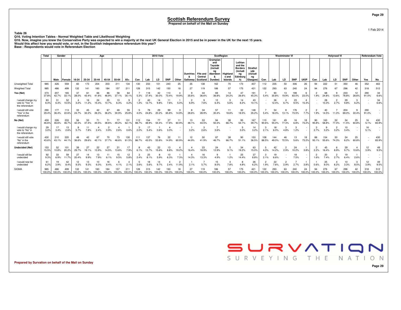**Table 26**

Q16. Voting Intention Tables - Normal Weighted Table and Likelihood Weighting<br>Q16. Now, imagine you knew the Conservative Party was expected to win a majority at the next UK General Election in 2015 and be in power in the

**Would this affect how you would vote, or not, in the Scottish independence referendum this year? Base : Respondents would vote in Referendum Election**

|                                                         | Total         | Gender       |               |               |               | Age           |               |               |                      |               |               | <b>2010 Vote</b> |               |                         |                      |                                 | <b>ScotRegion</b>                                                          |                              |                                                                          |                                              |               |               | <b>Westminster VI</b>  |               |                          |                        |               | <b>Holyrood VI</b> |               |                  | <b>Referendum Vote</b> |               |
|---------------------------------------------------------|---------------|--------------|---------------|---------------|---------------|---------------|---------------|---------------|----------------------|---------------|---------------|------------------|---------------|-------------------------|----------------------|---------------------------------|----------------------------------------------------------------------------|------------------------------|--------------------------------------------------------------------------|----------------------------------------------|---------------|---------------|------------------------|---------------|--------------------------|------------------------|---------------|--------------------|---------------|------------------|------------------------|---------------|
|                                                         |               | Male         | I Female      | 16-24         | 25-34         | 35-44         | 45-54         | 55-64         | 65+                  | Con           | Lab           | LD               | <b>SNP</b>    | Other                   | Dumfries<br>Gallowav | Fife and<br>Central<br>Scotland | Grampian<br>and<br><b>Tavside</b><br>(includi<br>na<br>Aberdeen<br>Dundee) | Highland<br>s and<br>Islands | Lothian<br>and the<br><b>Borders</b><br>(includi<br>ng<br>Edinburg<br>h) | Strathcl<br>vde<br>(includi<br>ng<br>Glasgow | Con           | Lab           | LD                     | <b>SNP</b>    | <b>UKIP</b>              | Con                    | Lab           | LD                 | <b>SNP</b>    | Other            | Yes                    | No            |
| Unweighted Total                                        | 985           | 426          | 559           | 60            | 173           | 204           | 203           | 211           | 134                  | 130           | 233           | 101              | 240           | 25                      | 35                   | 138                             | 162                                                                        | 70                           | 173                                                                      | 407                                          | 112           | 235           | 50                     | 306           | 26                       | 94                     | 222           | 51                 | 350           | 46               | 352                    | 463           |
| Weighted Total                                          | 985           | 486          | 499           | 132           | 141           | 160           | 184           | 157           | 211                  | 128           | 315           | 142              | 150           | 18                      |                      | 119                             | 186                                                                        | 57                           | 175                                                                      | 421                                          | 122           | 293           | 63                     | 240           | 24                       | 94                     | 276           | 67                 | 296           | 42               | 318                    | 512           |
| Yes (Net)                                               | 373<br>37.8%  | 207<br>42.7% | 165<br>33.1%  | 37<br>28.0%   | 61            | 66<br>41.6%   | 86<br>46.9%   | 58<br>37.1%   | 64<br>$30.1^{\circ}$ | 5.3%          | 37.4%         | 42<br>30.0%      | 110<br>73.4%  | 19.9%                   | 35.6%                | 44<br>36.6%                     | 69<br>36.8%                                                                | 14<br>24.2%                  | 47<br>26.6%                                                              | 191<br>45.3%                                 | 5.4%          | 90<br>30.8%   | 13<br>19.9%            | 199<br>83.0%  | 6<br>23.0%               | $\sqrt{2}$<br>1.9%     | 68<br>24.8%   | 13.6%              | 233<br>78.8%  | 12<br>28.6%      | 290<br>91.0%           | 34<br>6.6%    |
| I would change my<br>vote to "Yes" in<br>the referendum | 83<br>8.4%    | 31<br>6.3%   | 52<br>10.5%   | 3.2%          | 16<br>11.2%   | 24<br>15.3%   | 20<br>10.7%   | 10<br>6.3%    | 9<br>4.2%            | 2<br>1.3%     | 40<br>12.7%   | 14<br>9.8%       | 11<br>7.6%    | 5.0%                    | 6.9%                 | $\alpha$<br>7.6%                | 12<br>6.4%                                                                 | 5.6%                         | 14<br>8.2%                                                               | 43<br>10.1%                                  |               | 36<br>12.4%   | 6.7%                   | 23<br>9.5%    | $\overline{4}$<br>15.3%  |                        | 28<br>10.3%   | 2.7%               | 29<br>9.8%    | 3<br>6.2%        |                        | 34<br>6.6%    |
| I would still vote<br>"Yes" in the<br>referendum        | 290<br>29.4%  | 177<br>36.4% | 113<br>22.6%  | 33<br>24.7%   | 45<br>32.2%   | 42<br>26.3%   | 67<br>36.2%   | 48<br>30.9%   | 55<br>25.8%          | 5<br>4.0%     | 78<br>24.8%   | 29<br>20.2%      | 99<br>65.8%   | -3<br>14.9%             | 28.6%                | 34<br>28.9%                     | 57<br>30.4%                                                                | 11<br>18.6%                  | 32<br>18.5%                                                              | 148<br>35.2%                                 | 5.4%          | 54<br>18.3%   | 8<br>13.1%             | 176<br>73.5%  | $\overline{c}$<br>7.7%   | $\overline{2}$<br>1.9% | 40<br>14.5%   | 11.0%              | 204<br>69.0%  | 9<br>22.4%       | 290<br>91.0%           |               |
| No (Net)                                                | 459<br>46.6%  | 226<br>46.6% | 233<br>46.7%  | 56<br>42.3%   | 53<br>37.4%   | 71<br>44.5%   | 71<br>38.6%   | 77<br>49.2%   | 131<br>62.1%         | 113<br>88.7%  | 154<br>48.9%  | 77<br>54.4%      | 27<br>17.8%   | 11<br>60.9%             | 13<br>48.1%          | 53<br>44.5%                     | 94<br>50.3%                                                                | 38<br>66.7%                  | 95<br>54.1%                                                              | 167<br>39.7%                                 | 110<br>90.6%  | 161<br>55.0%  | 49<br>77.3%            | 16<br>6.8%    | 18<br>73.2%              | 90<br>95.8%            | 163<br>58.8%  | 52<br>77.4%        | 34<br>11.5%   | 25<br>60.8%      | 16<br>5.1%             | 430<br>83.9%  |
| I would change my<br>vote to "No" in<br>the referendum  | 29<br>3.0%    | 17<br>3.4%   | 13<br>2.6%    | 5.7%          | 11<br>7.8%    | 2.4%          | 0.9%          | 2.6%          | 0.6%                 | 3<br>2.0%     | 17<br>5.4%    | 0.6%             | 4<br>3.0%     |                         | 3.2%                 | 3<br>2.6%                       | 3.6%                                                                       |                              | -5<br>3.0%                                                               | 14<br>3.2%                                   | 3<br>2.1%     | 18<br>6.0%    | 4.8%                   | 3<br>1.2%     |                          | 3<br>2.7%              | 3.2%          | 3.2%               | 10<br>3.4%    | $\sim$<br>$\sim$ | 16<br>5.1%             |               |
| I would still vote<br>"No" in the<br>referendum         | 430<br>43.6%  | 210<br>43.1% | 220<br>44.    | 48<br>36.6%   | 42<br>29.6%   | 67<br>42.1%   | 70<br>37.7%   | 73<br>46.6%   | 130<br>61.5%         | 111<br>86.7%  | 137<br>43.5%  | 76<br>53.8%      | 22<br>14.9%   | 11<br>60.9%             | 12<br>44.9%          | 50<br>41.9%                     | 87<br>46.7%                                                                | 38<br>66.7%                  | 90<br>51.1%                                                              | 153<br>36.5%                                 | 108<br>88.5%  | 144<br>49.0%  | 46<br>72.5%            | 13<br>5.6%    | 18<br>73.2%              | 88<br>93.1%            | 154<br>55.6%  | 50<br>74.3%        | 24<br>8.2%    | 25<br>60.8%      |                        | 430<br>83.9%  |
| <b>Undecided (Net)</b>                                  | 153<br>15.5%  | 52<br>10.8%  | 101<br>20.2%  | 39<br>29.7%   | 27            | 22<br>13.9%   | 27<br>14.5%   | 21<br>13.6%   | 17<br>7.9%           | 8<br>6.1%     | 43<br>13.7%   | 22<br>15.6%      | 13<br>8.8%    | 19.2%                   | 16.4%                | 23<br>18.9%                     | 24<br>12.9%                                                                | 9.1%                         | 34<br>19.2%                                                              | 63<br>15.0%                                  | 5<br>4.0%     | 42<br>14.2%   | $\overline{2}$<br>2.9% | 24<br>10.2%   | 3.8%                     | $\overline{c}$<br>2.2% | 45<br>16.4%   | 8.9%               | 29<br>9.7%    | 10.6%            | 12<br>3.9%             | 49<br>9.5%    |
| I would still be<br>undecided                           | 92<br>9.3%    | 33<br>6.9%   | 59            | 27<br>20.4%   | 14<br>9.9%    | 13            |               | 15<br>9.5%    | 12<br>5.8%           | 3<br>2.4%     | 25<br>8.1%    | 5.9%             | 10<br>6.3%    | 7.3%                    | 14.3%                | 16<br>13.3%                     | 9<br>4.9%                                                                  | 1.2%                         | 25<br>14.4%                                                              | 37<br>8.8%                                   | 3<br>2.1%     | 19<br>6.6%    |                        | 18<br>7.5%    | $\overline{\phantom{a}}$ | ∠<br>1.6%              | 20<br>7.4%    | 2.7%               | 19<br>6.4%    | 2.6%             |                        |               |
| I would now be<br>undecided                             | 61<br>6.2%    | 19<br>3.9%   | 42<br>8.4%    | 12<br>9.3%    | 13<br>9.3%    | 10<br>6.0%    | 16<br>8.4%    | 4.1%          | 2.1%                 | 5<br>3.6%     | 18<br>5.6%    | 14<br>9.7%       | 2.4%          | $\overline{2}$<br>11.9% | 2.1%                 | $\overline{z}$<br>5.7%          | 15<br>8.0%                                                                 | 7.8%                         | 4.8%                                                                     | 26<br>6.2%                                   | 2<br>1.9%     | 22<br>7.6%    | 2.9%                   | 2.7%          | 3.8%                     | 0.6%                   | 25<br>9.0%    | 6.2%               | 10<br>3.3%    | 3<br>8.0%        | 12<br>3.9%             | 49<br>9.5%    |
| SIGMA                                                   | 985<br>100.0% | 100.0%       | 499<br>100.0% | 132<br>100.0% | 141<br>100.0% | 160<br>100.0% | 184<br>100.0% | 157<br>100.0% | 211<br>100.0%        | 128<br>100.0% | 315<br>100.0% | 100.0%           | 150<br>100.0% | 18<br>100.0%            | 27<br>100.0%         | 119<br>100.0%                   | 186<br>100.0%                                                              | 57<br>100.0%                 | 175<br>100.0%                                                            | 421<br>100.0%                                | 122<br>100.0% | 293<br>100.0% | 63<br>100.0%           | 240<br>100.0% | 24<br>100.0%             | 94<br>100.0%           | 276<br>100.0% | 67<br>100.0%       | 296<br>100.0% | 42<br>100.0%     | 318<br>100.0%          | 512<br>100.0% |

**Prepared by Survation on behalf of the Mail on Sunday**

1 Feb 2014

**Page 29**

**Page 29**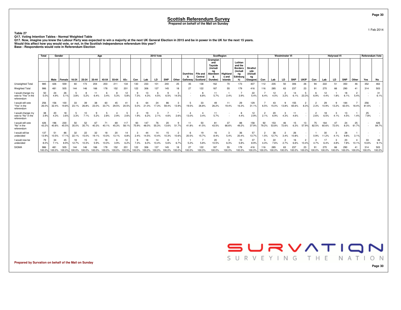**Table 27**

**Page 30**

1 Feb 2014

**Page 30**

Q17. Voting Intention Tables - Normal Weighted Table<br>Q17. Now, imagine you knew the Labour Party was expected to win a majority at the next UK General Election in 2015 and be in power in the UK for the next 15 years.

**Would this affect how you would vote, or not, in the Scottish independence referendum this year? Base : Respondents would vote in Referendum Election**

|                                                         | Total         | Gender        |               |               |             | Age         |             |             |                   |               |               | <b>2010 Vote</b> |               |                         |                             |                                 | <b>ScotRegion</b>                                                   |                              |                                                                    |                                               |             |               | <b>Westminster VI</b> |               |                        |                        |               | <b>Holyrood VI</b> |               |              | <b>Referendum Vote</b> |               |
|---------------------------------------------------------|---------------|---------------|---------------|---------------|-------------|-------------|-------------|-------------|-------------------|---------------|---------------|------------------|---------------|-------------------------|-----------------------------|---------------------------------|---------------------------------------------------------------------|------------------------------|--------------------------------------------------------------------|-----------------------------------------------|-------------|---------------|-----------------------|---------------|------------------------|------------------------|---------------|--------------------|---------------|--------------|------------------------|---------------|
|                                                         |               | Male          | Female        | 16-24         | 25-34       | 35-44       | 45-54       | 55-64       | 65+               | Con           | Lab           | LD.              | <b>SNP</b>    | Other                   | <b>Dumfries</b><br>Galloway | Fife and<br>Central<br>Scotland | Grampian<br>and<br>Tayside<br>(includi<br>na<br>Aberdeen<br>Dundee) | Highland<br>s and<br>Islands | Lothian<br>and the<br><b>Borders</b><br>(includi<br>na<br>Edinbura | Strathcl<br>yde<br>(includi<br>ng<br>Glasgow) | Con         | Lab           | LD                    | <b>SNP</b>    | <b>UKIP</b>            | Con                    | Lab           | LD                 | <b>SNP</b>    | Other        | Yes                    | No            |
| Unweighted Total                                        | 985           | 426           | 559           | 60            | 173         | 204         | 203         | 211         | 134               | 130           | 233           | 101              | 240           | 25                      | 35                          | 138                             | 162                                                                 | 70                           | 173                                                                | 407                                           |             | 235           | 50                    | 306           | 26                     | 94                     | 222           | 51                 | 350           | 46           | 352                    | 463           |
| Weighted Total                                          | 986           | 481           | 505           | 144           | 146         | 166         |             | 152         | 201               | 122           | 306           | 137              | 145           | 18                      | 27                          | 122                             | 187                                                                 | 55                           | 179                                                                | 416                                           |             | 285           | 63                    | 237           | 23                     | 91                     | 270           | 66                 | 290           | 41           | 314                    | 503           |
| I would change my<br>vote to "Yes" in the<br>referendum | 50<br>5.0%    | 24<br>4.9%    | 26            | 3.8%          | 5.2%        | 6.4%        | 3.4%        | 5.3%        | 12<br>5.8%        | 7.3%          | 13<br>4.3%    | 4.5%             | 6.5%          | 14.5%                   |                             | 8<br>6.8%                       | 5.7%                                                                | 2.4%                         | 3.9%                                                               | 22<br>5.4%                                    | 6.4%        | 4.0%          | 2<br>3.2%             | 6.1%          | 5<br>23.3%             | 6.9%                   | 12<br>4.4%    | .8%                | 18<br>6.1%    | 2<br>5.4%    |                        | 31<br>6.1%    |
| I would still vote<br>"Yes" in the<br>referendum        | 256<br>26.0%  | 156<br>32.4%  | 100<br>19.89  | 33<br>23.1%   | 39<br>26.8% | 38<br>23.0% | 60<br>33.7% | 45<br>29.5% | 41<br>20.5%       | 5.0%          | 64<br>21.0%   | 24<br>17.3%      | 86<br>59.4%   | 13.9%                   | $\mathbf b$<br>19.5%        | 33<br>26.8%                     | 49<br>26.2%                                                         | 11<br>19.4%                  | 29<br>16.3%                                                        | 129<br>31.1%                                  | 6.5%        | 43<br>15.0%   | 13.8%                 | 155<br>65.6%  | $\overline{2}$<br>8.3% | $\overline{2}$<br>2.3% | 29<br>10.9%   | 13.2%              | 184<br>63.5%  | 18.4%        | 256<br>81.6%           |               |
| I would change my<br>vote to "No" in the<br>referendum  | 38<br>3.9%    | 20<br>4.3%    | 18<br>3.6%    | 3.3%          | 10<br>7.1%  | 5.2%        | 2.8%        | 2.9%        | 5<br>2.6%         | 1.9%          | 19<br>6.2%    | 3<br>2.1%        | 4.6%          | 2.6%                    | 13.0%                       | 4<br>3.4%                       | 11<br>5.7%                                                          |                              | 4.4%                                                               | 12<br>2.9%                                    | 2.1%        | 20<br>6.9%    | 3<br>4.3%             | 11<br>4.6%    | $\sim$                 | $\overline{2}$<br>2.6% | 18<br>6.5%    | -3<br>4.1%         | 13<br>4.5%    | 1.4%         | 25<br>7.8%             |               |
| I would still vote<br>"No" in the<br>referendum         | 426<br>43.2%  | 196<br>40.8%  | 230<br>45.5%  | 50<br>35.0%   | 52<br>35.7% | 67<br>40.3% | 40.1%       | 69<br>45.3% | 117<br>58.19      | 93<br>75.9%   | 147<br>48.0%  | 76<br>55.3%      | 20<br>13.6%   | 51.7%                   | 41.8%                       | 50<br>41.5%                     | 81<br>43.5%                                                         | 37<br>66.6%                  | 88<br>49.2%                                                        | 158<br>37.9%                                  | 92<br>79.2% | 153<br>53.8%  | 46<br>72.6%           | 15<br>6.3%    | 13<br>57.9%            | 75<br>82.5%            | 164<br>60.6%  | 47<br>72.0%        | 24<br>8.3%    | 25<br>61.7%  |                        | 426<br>84.7%  |
| I would still be<br>undecided                           | 137<br>13.9%  | 51<br>10.5%   | 86<br>17.19   | 32<br>22.1%   | 22          | 32<br>19.1% |             | 20<br>13.1% | 14<br>$6.8^\circ$ | 2.4%          | 44<br>14.5%   | 14               | 15<br>0.3%    | $\overline{2}$<br>10.6% | 20.5%                       | 19<br>15.7%                     | 16<br>8.4%                                                          | 5.4%                         | 36<br>20.4%                                                        | 57<br>13.7%                                   | 1.5%        | 36<br>12.7%   | 3.4%                  | 26<br>10.8%   | $\sim$                 | 0.9%                   | 30<br>.2%     |                    | 28<br>9.8%    | 3.1%         |                        |               |
| I would now be<br>undecided                             | 79<br>8.0%    | -34<br>7.1%   | 45<br>8.9%    | 12.7%         | 15<br>10.3% | 5.9%        |             | 3.9%        | 12<br>6.2%        | 7.3%          | 18<br>6.0%    | 14               | 5.6%          | 6.7%                    | 5.2%                        | 5.8%                            | 20<br>10.5%                                                         | -3<br>6.3%                   | 10<br>5.8%                                                         | 37<br>8.9%                                    | 4.4%        | 22<br>7.6%    |                       | 16<br>6.6%    | 10.4%                  |                        | 17            | 3                  | 23<br>7.8%    | 10.19        | 33<br>10.6%            | 46<br>9.1%    |
| SIGMA                                                   | 986<br>100.0% | 481<br>100.0% | 505<br>100.0% | 144<br>100.0% | 100.0%      | 100.0%      | 100.0%      | 100.0%      | 201<br>100.0%     | 122<br>100.0% | 306<br>100.0% | 100.0%           | 145<br>100.0% | 18                      | 27<br>100.0%                | 122<br>100.0%                   | 187<br>100.0%                                                       | 55<br>100.0%                 | 179<br>100.0%                                                      | 416<br>100.0%                                 | 100.0%      | 285<br>100.0% | 100.0%                | 237<br>100.0% | 23<br>100.0%           | 91<br>100.0%           | 270<br>100.0% | 100.0%             | 290<br>100.0% | 41<br>100.0% | 314<br>100.0%          | 503<br>100.0% |

**Prepared by Survation on behalf of the Mail on Sunday**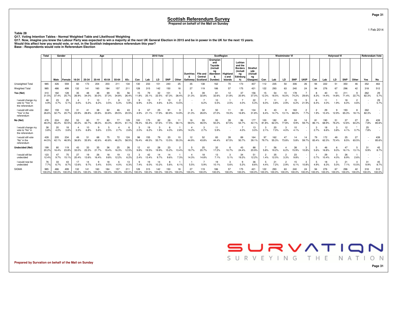**Table 28**

Q17. Voting Intention Tables - Normal Weighted Table and Likelihood Weighting<br>Q17. Now, imagine you knew the Labour Party was expected to win a majority at the next UK General Election in 2015 and be in power in the UK for

**Would this affect how you would vote, or not, in the Scottish independence referendum this year? Base : Respondents would vote in Referendum Election**

|                                                         | Total         | Gender       |                       |               |               | Age           |               |               |               |               |              | <b>2010 Vote</b> |               |                         |                             |                                 | <b>ScotRegion</b>                                                          |                              |                                                                    |                                                      |               |               | <b>Westminster VI</b>  |              |                        |                        |               | <b>Holyrood VI</b> |                         |                        | <b>Referendum Vote</b> |               |
|---------------------------------------------------------|---------------|--------------|-----------------------|---------------|---------------|---------------|---------------|---------------|---------------|---------------|--------------|------------------|---------------|-------------------------|-----------------------------|---------------------------------|----------------------------------------------------------------------------|------------------------------|--------------------------------------------------------------------|------------------------------------------------------|---------------|---------------|------------------------|--------------|------------------------|------------------------|---------------|--------------------|-------------------------|------------------------|------------------------|---------------|
|                                                         |               | Male         | Female                | 16-24         | 25-34         | 35-44         | 45-54         | 55-64         | 65+           | Con           | Lab          | LD               | <b>SNP</b>    | Other                   | <b>Dumfries</b><br>Galloway | Fife and<br>Central<br>Scotland | Grampian<br>and<br><b>Tavside</b><br>(includi<br>na<br>Aberdeen<br>Dundee) | Highland<br>s and<br>Islands | Lothian<br>and the<br><b>Borders</b><br>(includi<br>Edinburg<br>h) | <b>Strathcl</b><br>yde<br>(includi<br>ng<br>Glasgow) | Con           | Lab           | LD                     | <b>SNP</b>   | <b>UKIP</b>            | Con                    | Lab           | LD                 | <b>SNP</b>              | Other                  | Yes                    | No            |
| Unweighted Total                                        | 985           | 426          | 559                   | 60            | 173           | 204           | 203           | 211           | 134           | 130           | 233          | 101              | 240           | 25                      | 35                          | 138                             | 162                                                                        | 70                           | 173                                                                | 407                                                  | 112           | 235           | 50                     | 306          | 26                     | 94                     | 222           | 51                 | 350                     | 46                     | 352                    | 463           |
| <b>Weighted Total</b>                                   | 985           | 486          | 499                   | 132           |               | 160           | 184           | 157           | 211           | 128           | 315          | 142              | 150           | 18                      |                             | 119                             | 186                                                                        | 57                           | 175                                                                | 421                                                  | 122           | 293           | 63                     | 240          | 24                     | 94                     |               | 67                 | 296                     | 42                     | 318                    | 512           |
| Yes (Net)                                               | 310<br>31.5%  | 182<br>37.4% | 128<br>25.7%          | 35<br>26.9%   | 48<br>34.0%   | 48<br>30.0%   | 69<br>37.3%   | 55<br>34.8%   | 56<br>26.4%   | 15<br>11.8%   | 79<br>25.1%  | 32<br>22.5%      | 101<br>67.3%  | 5<br>28.4%              | 21.3%                       | 39<br>32.8%                     | 61<br>32.6%                                                                | 12<br>21.8%                  | 37<br>20.9%                                                        | 156<br>37.0%                                         | 15<br>12.3%   | 54<br>18.5%   | 10<br>16.0%            | 178<br>74.2% | 29.6%                  | 8<br>8.3%              | 40<br>14.4%   | 10<br>14.8%        | 211<br>71.4%            | 9<br>22.7%             | 262<br>82.3%           | 29<br>5.7%    |
| I would change my<br>vote to "Yes" in<br>the referendum | 48<br>4.9%    | 23<br>4.7%   | 25<br>5.1%            | 3.0%          | 5.2%          | 10<br>6.2%    | 3.5%          | 8<br>5.3%     | 12<br>5.9%    | 9<br>6.9%     | 13<br>4.0%   | 4.6%             | 10<br>6.3%    | $\overline{2}$<br>13.5% |                             | -7<br>6.2%                      | 10<br>5.5%                                                                 | 2.5%                         | 4.0%                                                               | 22<br>5.3%                                           | 6.0%          | 3.8%          | $\overline{2}$<br>2.9% | 15<br>6.2%   | 5<br>21.9%             | 6<br>6.4%              | 4.0%          | 1.9%               | 18<br>6.0%              | $\overline{2}$<br>4.6% |                        | 29<br>5.7%    |
| I would still vote<br>"Yes" in the<br>referendum        | 262<br>26.6%  | 159<br>32.7% | 103<br>$20.7^{\circ}$ | 31<br>23.9%   | 41<br>28.8%   | 38<br>23.8%   | 62<br>33.8%   | 46<br>29.5%   | 43<br>20.5%   | 4.9%          | 67<br>21.1%  | 25<br>17.9%      | 91<br>60.9%   | 3<br>14.9%              | 21.3%                       | 32<br>26.6%                     | 50<br>27.0%                                                                | 11<br>19.3%                  | 30<br>16.8%                                                        | 134<br>31.8%                                         | 8<br>6.4%     | 43<br>14.7%   | 13.1%                  | 163<br>68.0% | $\overline{c}$<br>7.7% | $\overline{c}$<br>1.9% | 29<br>10.4%   | 12.9%              | 193<br>65.3%            | 8<br>18.1%             | 262<br>82.3%           |               |
| No (Net)                                                | 476<br>48.3%  | 224<br>46.2% | 252<br>50.5%          | 53<br>40.2%   | 60<br>42.7%   | 77<br>48.3%   | 80<br>43.3%   | 77<br>49.0%   | 129<br>61.1%  | 100<br>78.4%  | 175<br>55.4% | 82<br>57.6%      | 26<br>17.5%   | 11<br>58.1%             | 16<br>59.0%                 | 55<br>46.5%                     | 93<br>50.2%                                                                | 39<br>67.5%                  | 96<br>54.7%                                                        | 177<br>42.1%                                         | 100<br>81.8%  | 182<br>62.3%  | 49<br>77.8%            | 24<br>9.9%   | 14<br>59.7%            | 81<br>86.1%            | 190<br>68.9%  | 51<br>76.2%        | -37<br>12.6%            | 27<br>64.2%            | 25<br>7.8%             | 439<br>85.6%  |
| I would change my<br>vote to "No" in<br>the referendum  | 38<br>3.8%    | 20<br>4.0%   | 18<br>3.6%            | 3.3%          | 10<br>6.8%    | 5.6%          | 2.5%          | 2.7%          | 6<br>2.6%     | 3<br>2.0%     | 19<br>6.2%   | 1.9%             | 4.0%          | 2.8%                    | 14.2%                       | $\mathbf{3}$<br>2.7%            | 11<br>5.9%                                                                 |                              | 4.0%                                                               | 13<br>3.0%                                           | -3<br>2.1%    | 20<br>7.0%    | 4.0%                   | 10<br>4.1%   |                        | -3<br>2.7%             | 18<br>6.6%    | 3.8%               | 12<br>4.1%              | 0.7%                   | 25<br>7.8%             |               |
| I would still vote<br>"No" in the<br>referendum         | 439<br>44.5%  | 205<br>42.1% | 234<br>46.9%          | 49<br>36.8%   | 51<br>35.9%   | 68<br>42.6%   | 75<br>40.8%   | 72<br>46.2%   | 124<br>58.5%  | 98<br>76.4%   | 155<br>49.3% | 79<br>55.7%      | 20<br>13.5%   | 10<br>55.3%             | 12<br>44.9%                 | 52<br>43.8%                     | 83<br>44.4%                                                                | 39<br>67.5%                  | 89<br>50.7%                                                        | 164<br>39.1%                                         | 97<br>79.7%   | 162<br>55.3%  | 47<br>73.8%            | 14<br>5.8%   | 14<br>59.7%            | 79<br>83.4%            | 172<br>62.3%  | 49<br>72.4%        | 25<br>8.5%              | 27<br>63.5%            |                        | 439<br>85.6%  |
| <b>Undecided (Net)</b>                                  | 199<br>20.29  | 80<br>16.4%  | 119<br>23.8%          | 43<br>33.0%   | 33            | 35            | 36<br>19.4%   | 25<br>16.3%   | 26<br>12.5%   | 12<br>9.8%    | 61<br>19.5%  | 28<br>19.9%      | 23<br>15.2%   | $\overline{2}$<br>13.4% | 19.7%                       | 25<br>20.7%                     | 32<br>17.2%                                                                | 10.7%                        | 43<br>24.4%                                                        | 88<br>20.9%                                          | 5.8%          | 56<br>19.2%   | 6.2%                   | 38<br>15.9%  | -3<br>10.8%            | 5.6%                   | 46<br>16.8%   | 9.0%               | $\overline{4}$<br>16.1% | 5<br>13.1%             | 31<br>9.9%             | 45<br>8.7%    |
| I would still be<br>undecided                           | 123<br>12.4%  | 9.7%         | 75<br>$15.1^{\circ}$  | 27            | 19<br>13.6%   | 26            | 18<br>9.8%    | 19<br>12.2%   | 13<br>6.2%    | 3<br>2.4%     | 42<br>13.4%  | 14<br>9.7%       | 14<br>9.6%    | 7.3%                    | 14.3%                       | 18<br>14.8%                     | 13<br>7.1%                                                                 | 5.1%                         | 34<br>19.2%                                                        | 51<br>12.2%                                          | 2<br>1.4%     | 35<br>12.0%   | 3.3%                   | 23<br>9.8%   |                        | 0.7%                   | 29            | 4.0%               | 26<br>8.9%              | 2.6%                   |                        |               |
| I would now be<br>undecided                             | 76<br>7.7%    | 33<br>6.7%   | 43                    | 17<br>12.6%   | 14            | 5.4%          | 18<br>9.5%    | 4.0%          | 13<br>6.3%    | 9<br>7.4%     | 19<br>6.0%   | 14<br>10.2%      | 5.6%          | 6.1%                    | 5.5%                        | 5.9%                            | 19<br>10.1%                                                                | 5.6%                         | 5.2%                                                               | 36<br>8.6%                                           | 5<br>4.4%     | 21<br>7.2%    | $\overline{2}$<br>2.9% | 15<br>6.1%   | 3<br>10.8%             | 5<br>4.9%              | 18<br>6.3%    | 5.0%               | $2^{\circ}$<br>7.1%     | 10.5%                  | 31<br>9.9%             | 45<br>8.7%    |
| <b>SIGMA</b>                                            | 985<br>100.0% |              | 499<br>100.0% 100.0%  | 132<br>100.0% | 141<br>100.0% | 160<br>100.0% | 184<br>100.0% | 157<br>100.0% | 211<br>100.0% | 128<br>100.0% | 100.0%       | 142<br>100.0%    | 150<br>100.0% | 18<br>100.0%            | 27<br>100.0%                | 119<br>100.0%                   | 186<br>100.0%                                                              | 57<br>100.0%                 | 175<br>100.0%                                                      | 421<br>100.0%                                        | 122<br>100.0% | 293<br>100.0% | 63<br>100.0% 100.0%    | 240          | 24<br>100.0%           | 94<br>100.0%           | 276<br>100.0% | 100.0%             | 296<br>100.0%           | 42<br>100.0%           | 318<br>100.0%          | 512<br>100.0% |

**Prepared by Survation on behalf of the Mail on Sunday**

**Page 31**

1 Feb 2014

**Page 31**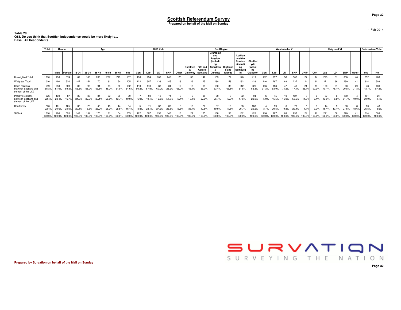#### **Table 29Q18. Do you think that Scottish independence would be more likely to... Base : All Respondents**

|                                                                  | Total        | Gender       |               |             |             | Age         |             |             |              |               |               | <b>2010 Vote</b> |               |              |                             |                                | <b>ScotRegion</b>                                             |                              |                                                              |                                                        |              |               | <b>Westminster VI</b> |               |              |             |              | <b>Holyrood VI</b> |               |             | <b>Referendum Vote</b> |               |
|------------------------------------------------------------------|--------------|--------------|---------------|-------------|-------------|-------------|-------------|-------------|--------------|---------------|---------------|------------------|---------------|--------------|-----------------------------|--------------------------------|---------------------------------------------------------------|------------------------------|--------------------------------------------------------------|--------------------------------------------------------|--------------|---------------|-----------------------|---------------|--------------|-------------|--------------|--------------------|---------------|-------------|------------------------|---------------|
|                                                                  |              | Male         | Female        | 16-24       | 25-34       | 35-44       | 45-54       | 55-64       | 65+          | Con           | Lab           | LD               | <b>SNP</b>    | Other        | <b>Dumfries</b><br>Galloway | Fife and<br>Centra<br>Scotland | Grampian<br>and<br>Tayside<br>(includi<br>Aberdeen<br>Dundee) | Highland<br>s and<br>Islands | Lothian<br>and the<br><b>Borders</b><br>(includi<br>Edinbura | <b>Strathcl</b><br>yde<br>(includi<br>ng<br>(Glasgow)' | Con          | Lab           | LD.                   | <b>SNP</b>    | <b>UKIP</b>  | Con         | Lab          |                    | <b>SNP</b>    | Other       | Yes                    | No            |
| Unweighted Total                                                 | 1010         | 436          | 574           |             | 183         |             | 207         | 213         | 137          | 130           | 234           | 102              | 240           | 25           |                             | 142                            | 163                                                           | 72                           |                                                              | 419                                                    |              | 237           |                       | 306           |              | 94          | 223          |                    | 350           | 46          | 352                    | 463           |
| Weighted Total                                                   | 1010         | 490          | 520           | 147         | 154         |             | 181         | 154         | 205          | 122           | 307           | 138              | 145           | 18           | 29                          | 125                            | 188                                                           | 58                           | 182                                                          | 428                                                    | 116          | 287           | 63                    | 237           | 24           | 91          | 271          | 66                 | 290           | 41          | 314                    | 503           |
| Harm relations<br>between Scotland and<br>the rest of the UK?    | 559<br>55.3% | 250<br>51.0% | 309<br>59.3%  | 82<br>55.6% | 90<br>58.9% | 91<br>53.6% | 83<br>46.0% | 80<br>51.9% | 132<br>64.69 | 110<br>90.2%  | 178<br>57.9%  | 83<br>60.0%      | 34<br>23.2%   | 12<br>66.0°  | 13<br>45.1%                 | 69<br>55.0%                    | 100<br>53.4%                                                  | 38<br>65.8%                  | 112<br>61.8%                                                 | 226<br>52.8%                                           | 106<br>91.3% | 183<br>63.9%  | 74.2%                 | 40<br>17.1%   | 21<br>86.7%  | 83<br>90.9% | 190<br>70.1% | 78.1%              | 60<br>20.8%   | 29<br>71.3% | 43<br>13.7%            | 439<br>87.3%  |
| Improve relations<br>between Scotland and<br>the rest of the UK? | 226<br>22.4% | 139<br>28.4% | 16.7%         | 36<br>24.3% | 35<br>22.6% | 34<br>20.1% | 52<br>28.8% | 30<br>19.7% | 39<br>19.0%  | 6.0%          | 59<br>19.1%   | 12.8%            | 74<br>51.0%   | 18.4%        | 19.1%                       | 35<br>27.6%                    | 50<br>26.7%                                                   | 16.3%                        | 32<br>17.5%                                                  | 94<br>22.0%                                            | 5.0%         | 45<br>15.5%   | 16.0%                 | 127<br>53.5%  | 11.6%        | 6.1%        | 37<br>13.5%  | 8.8%               | 150<br>51.7%  | 0.0%        | 191<br>60.9%           | 21<br>4.1%    |
| Don't know                                                       | 226<br>22.4% | 20.6%        | 125<br>24.0%  | 30<br>20.1% | 28<br>18.5% | 26,2%       | 25.3%       | 28.5%       | 34<br>16.4%  | 3.8%          | 23.1%         | 38<br>27.2%      | 38<br>25.8%   | 15.6%        | 35.7%                       | 22<br>17.5%                    | 37<br>19.9%                                                   | 10<br>17.8%                  | 38<br>20.7%                                                  | 108<br>25.2%                                           | 3.7%         | 59<br>20.5%   | 9.8%                  | 70<br>29.4%   | 17%          | 3.0%        |              | 13.1%              | 27.5%         | 18.6%       | 80<br>25.5%            | 8.6%          |
| SIGMA                                                            |              | 100.0%       | 520<br>100.09 | 100.0%      |             |             |             | 154         | 205          | 122<br>100.0% | 307<br>100.0% | 38               | 145<br>100.0% | 18<br>100.09 | 29<br>100.0%                | 125<br>00.0%                   | 188<br>100.0%                                                 | 58<br>100.0%                 | 182<br>100.0%                                                | 428<br>100.0%                                          | 100.0%       | 287<br>100.0% |                       | 237<br>100.0% | 24<br>100.0% |             | 100.0%       | 66<br>100.0%       | 290<br>100.0% | 41          | 314<br>100.0%          | 503<br>100.0% |

**Prepared by Survation on behalf of the Mail on Sunday**

1 Feb 2014

**Page 32**

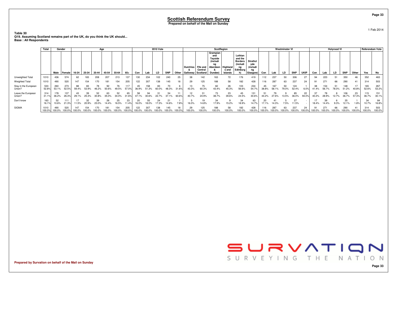#### **Table 30Q19. Assuming Scotland remains part of the UK, do you think the UK should... Base : All Respondents**

|                                | Total         | Gender       |               |             |             | Age         |             |               |              |             |              | <b>2010 Vote</b> |            |                      |                      |                                 | <b>ScotRegion</b>                                                               |                  |                                                                      |                                               |               |               | <b>Westminster VI</b> |               |              |        |               | <b>Holyrood VI</b> |               |             | <b>Referendum Vote</b> |               |
|--------------------------------|---------------|--------------|---------------|-------------|-------------|-------------|-------------|---------------|--------------|-------------|--------------|------------------|------------|----------------------|----------------------|---------------------------------|---------------------------------------------------------------------------------|------------------|----------------------------------------------------------------------|-----------------------------------------------|---------------|---------------|-----------------------|---------------|--------------|--------|---------------|--------------------|---------------|-------------|------------------------|---------------|
|                                |               |              | Male   Female | 16-24 25-34 |             | $35-44$     | 45-54       | 55-64         | 65+          | Con         | Lab          | LD.              | <b>SNP</b> | Other                | Dumfries<br>Galloway | Fife and<br>Central<br>Scotland | Grampian<br>and<br><b>Tayside</b><br>(includi<br>Aberdeen   Highland<br>Dundee) | s and<br>Islands | Lothian<br>and the<br><b>Borders</b><br>(includi<br>na<br>Edinbura I | Strathcl<br>vde<br>(includi<br>ng<br>Glasgow) | Con           | Lab           | LD                    | <b>SNP</b>    | <b>UKIP</b>  | Con    | Lab           | LD                 | <b>SNP</b>    | Other       | Yes                    | No            |
| Unweighted Total               | 1010          | 436          | 574           |             | 183         | 208         | 207         | 213           | 137          | 130         | 234          | 102              | 240        | 25                   | 38                   | 142                             | 163                                                                             | 72               | 76                                                                   | 419                                           |               | 237           | 50                    | 306           | 27           | 94     | 223           | 51                 | 350           | 46          | 352                    | 463           |
| <b>Weighted Total</b>          | 1010          | 490          | 520           | 147         | 154         |             |             | 154           | 205          | 122         | 307          | 138              | 145        | 18                   | 29                   | 125                             | 188                                                                             | 58               | 182                                                                  | 428                                           | 116           | 287           | 63                    | 237           | 24           |        | 271           | 66                 | 290           | 41          | 314                    | 503           |
| Stay in the European<br>Union? | 533<br>52.8°  | 260<br>53.1% | 273<br>52.5%  | 88<br>59.4% | 83<br>53.9% |             | 92<br>50.6% | 76            | 117<br>57.0% | 36.9%       | 158<br>51.3% | 83<br>60.0%      | 48.3%      | 31.6%                | 43.3%                | 75<br>60.3%                     | 82<br>43.4%                                                                     | 26<br>45.3%      | 103<br>56.6%                                                         | 234<br>54.7%                                  | 38.8%         | 167<br>58.1%  | 79.0%                 | 124<br>52.4%  | 6.0%         | 38     | 154<br>56.7%  |                    | 148<br>51.2%  | 40.8%       | 165<br>52.6%           | 267<br>53.2%  |
| Leave the European<br>Union?   | 314<br>31.19  | 178<br>36.2% | 137<br>26.3%  | 29.1%       | 39<br>25.3% | 52<br>30.8% | 63<br>35.0% | 52<br>34.0%   | 65<br>31.6%  | 58<br>47.1% | 94<br>30.6%  | 22.7%            | 37.1%      | 60.6%                | 40.7%                | 31<br>24.9%                     | 73<br>38.7%                                                                     | 23<br>39.6%      | 45<br>24.5%                                                          | 131<br>30.6%                                  | 44.2%         | 27.6%         | 13.5%                 | 85<br>36.0%   | 22<br>94.0%  | 40.2%  | 78<br>28.9%   |                    | 106<br>36.7%  | 23<br>57.3% | 115<br>36.7%           | 151<br>30.1%  |
| Don't know                     | 163<br>16.1%  | 52<br>10.6%  | 111<br>21.3%  | 11.5%       | 32<br>20.9% | 39<br>23.0% | 26<br>14.4% | 25<br>6.5%    | 23<br>1.4%   | 20<br>16.0% | 55<br>18.0%  | 17.3%            | 14.6%      | 7.8%                 | 16.0%                | 19<br>14.8%                     | 17.9%                                                                           | 15.2%            | 34<br>18.9%                                                          | 63<br>14.7%                                   | 20<br>17.1%   | 14.3%         | 7.5%                  | 27<br>11.5%   |              | 18.4%  | 39<br>14.4%   | 9.3%               | 35            | 1.8%        | 34<br>10.7%            | 84<br>16.8%   |
| <b>SIGMA</b>                   | 1010<br>100.0 | 100.0%       | 520<br>100.0% | 100.0%      | 100.0%      | 100.0%      | 100.0%      | 154<br>100.0% | 205<br>00.0% | 122         | 307          | 138<br>100.0%    | 145        | 18<br>$00.0^{\circ}$ | 29<br>100.09         | 125<br>100.0%                   | 188<br>100.0%                                                                   | 58<br>100.0%     | 182                                                                  | 428<br>100.0%                                 | 116<br>100.0% | 287<br>100.0% | 63<br>100.0%          | 237<br>100.0% | 24<br>100.0% | 100.0% | 271<br>100.0% | 66                 | 290<br>100.0% | 100.0%      | 314<br>100.0%          | 503<br>100.0% |

**Prepared by Survation on behalf of the Mail on Sunday**

SURVATION SURVEYING THE NATION

1 Feb 2014

**Page 33**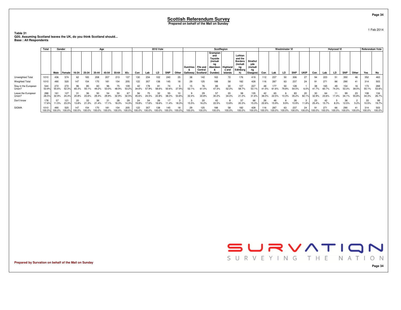#### **Table 31Q20. Assuming Scotland leaves the UK, do you think Scotland should... Base : All Respondents**

|                                | Total                 | Gender       |                      |             |               | Age         |        |             |               |               |            | <b>2010 Vote</b> |               |             |                                      |                     | ScotRegion                                                                      |                  |                                                                    |                                               |             |               | <b>Westminster VI</b> |               |             |             |              | <b>Holyrood VI</b> |               |             | Referendum Vote |               |
|--------------------------------|-----------------------|--------------|----------------------|-------------|---------------|-------------|--------|-------------|---------------|---------------|------------|------------------|---------------|-------------|--------------------------------------|---------------------|---------------------------------------------------------------------------------|------------------|--------------------------------------------------------------------|-----------------------------------------------|-------------|---------------|-----------------------|---------------|-------------|-------------|--------------|--------------------|---------------|-------------|-----------------|---------------|
|                                |                       |              | Male Female          |             | $16-24$ 25-34 | $35-44$     | 45-54  | 55-64       | 65+           | Con           | Lab        | LD               | <b>SNP</b>    | Other       | <b>Dumfries</b><br>Galloway Scotland | Fife and<br>Central | Grampian<br>and<br><b>Tayside</b><br>(includi<br>Aberdeen   Highland<br>Dundee) | s and<br>Islands | Lothian<br>and the<br><b>Borders</b><br>(includi<br>na<br>Edinburg | Strathcl<br>yde<br>(includi<br>ng<br>Glasgow) | Con         | Lab           | LD                    | <b>SNP</b>    | <b>UKIP</b> | Con         | Lab          | LD                 | <b>SNP</b>    | Other       | Yes             | No            |
| Unweighted Total               | 1010                  | 436          | 574                  |             | 183           | 208         | 207    | 213         | 137           | 130           | 234        | 102              | 240           | 25          | 38                                   | 142                 | 163                                                                             | 72               | 76                                                                 | 419                                           | 112         | 237           | 50                    | 306           | 27          | 94          | 223          | 51                 | 350           | 46          | 352             | 463           |
| <b>Weighted Total</b>          | 1010                  | 490          | 520                  | 147         |               |             |        | 154         | 205           | 122           | 307        | 138              | 145           | 18          | 29                                   | 125                 | 188                                                                             | 58               | 182                                                                | 428                                           | 116         | 287           | 63                    | 237           | 24          |             | 271          | 66                 | 290           |             | 314             | 503           |
| Stay in the European<br>Union? | 544<br>$53.9^{\circ}$ | 272<br>55.6% | 272<br>52.3%         | 65.3%       | 85<br>55.1%   | 83          |        | 75          | 109<br>53.2%  | 42<br>34.6%   | 57.9%      | 81<br>58.6%      | 50.6%         | 27.9%       | 15<br>52.1%                          | 76<br>61.0%         | 89<br>47.3%                                                                     | 30<br>52.2%      | 107<br>58.7%                                                       | 227<br>53.19                                  | 41.5%       | 177<br>61.6%  | 50<br>79.8%           | 128<br>54.0%  | 6.0%        | 38<br>41.7% | 165<br>60.7% | 74.3%              | 154<br>53.3%  | 39.0%       | 173<br>55.1%    | 269<br>53.6%  |
| Leave the European<br>Union?   | 288<br>28.5%          | 161<br>32.9% | 127<br>24.4%         | 20.8%       | 23.6%         | 50<br>29.4% | 29.9%  | 50<br>32.9% | 67<br>32.5%   | 56<br>45.6%   | 24.5%      | 32<br>22.8%      | 55<br>38.0%   | 10<br>53.8% | 32.4%                                | 29<br>22.8%         | 30.2%                                                                           | 20<br>34.0%      | 38<br>21.0%                                                        | 135<br>31.6%                                  | 36.0%       | 22.5%         | 10.3%                 | 83<br>35.2%   | 20<br>82.1% | 30<br>32.9% | 23.6%        | 17.4%              | 99<br>34.1%   | 23<br>55.8% | 108<br>34.3%    | 134<br>26.7%  |
| Don't know                     | 178<br>17.6%          | 11.5%        | 121<br>23.3%         | 20<br>13.8% | 33<br>21.3%   | 36          |        | 28<br>18.3% | 29<br>4.3%    | 19.8%         | 54<br>7.6% | 26<br>18.6%      | 11.4%         | 18.3%       | 15.5%                                | 20<br>16.2%         | 22.5%                                                                           | 13.8%            | 37<br>20.3%                                                        | 66<br>15.3%                                   | 26<br>22.6% | 15.9%         | 9.9%                  | 26<br>10.9%   | 11.8%       | 23<br>25.4% | 15.7%        | 8.3%               | 36<br>12.5%   | 5.2%        | 33<br>10.5%     | 99<br>19.7%   |
| SIGMA                          | 1010<br>100.0%        |              | 520<br>100.0% 100.0% | 147         | 100.0% 100.0% | 100.0%      | 100.0% | 100.0%      | 205<br>100.0% | 122<br>100.0% |            | 100.0%           | 145<br>100.0% | 18<br>00.0  | 29<br>100.0%                         | 125<br>100.0%       | 188<br>100.0%                                                                   | 58<br>100.0%     | 182                                                                | 428<br>100.0%                                 | 100.0%      | 287<br>100.0% | 63<br>100.0%          | 237<br>100.0% | 100.0%      | 100.0%      | 100.0%       | 66                 | 290<br>100.0% | 100.0%      | 314<br>100.0%   | 503<br>100.0% |

**Prepared by Survation on behalf of the Mail on Sunday**

1 Feb 2014

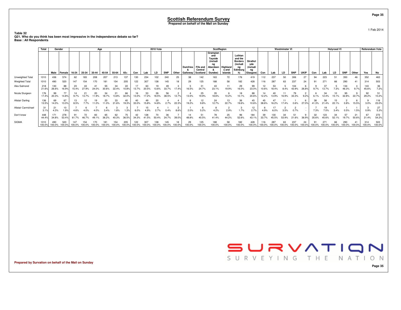**Table 32Q21. Who do you think has been most impressive in the independence debate so far? Base : All Respondents**

|                     | Total          | Gender        |              |               |        | Age   |             |               |                      |               |               | <b>2010 Vote</b> |             |       |                                      |                     | <b>ScotRegion</b>                                                        |                         |                                                                    |                                                |               |               | <b>Westminster VI</b> |              |             |             |              | <b>Holyrood VI</b> |               |             | Referendum Vote |               |
|---------------------|----------------|---------------|--------------|---------------|--------|-------|-------------|---------------|----------------------|---------------|---------------|------------------|-------------|-------|--------------------------------------|---------------------|--------------------------------------------------------------------------|-------------------------|--------------------------------------------------------------------|------------------------------------------------|---------------|---------------|-----------------------|--------------|-------------|-------------|--------------|--------------------|---------------|-------------|-----------------|---------------|
|                     |                | Male          | Female       | 16-24         | 25-34  | 35-44 | 45-54       | 55-64         | $65+$                | Con           | Lab           | LD               | <b>SNP</b>  | Other | <b>Dumfries</b><br>Galloway Scotland | Fife and<br>Central | Grampian<br>ano<br>Tayside<br>(includi<br>Aberdeen   Highland<br>Dundee) | s and<br><b>Islands</b> | Lothian<br>and the<br><b>Borders</b><br>(includi<br>na<br>Edinburg | Strathcl<br>yde<br>(includi<br>ng<br>(Glasgow) | Con           | Lab           | LD.                   | <b>SNP</b>   | <b>UKIP</b> | Con         | Lab          | LD                 | <b>SNP</b>    | Other       | Yes             | No            |
| Unweighted Total    | 1010           | 436           | 574          | 62            | 183    | 208   | 207         | 213           | 137                  | 130           | 234           | 102              | 240         | 25    | 38                                   | 142                 | 163                                                                      | 72                      | 176                                                                | 419                                            | 112           | 237           | 50                    | 306          | 27          | 94          | 223          | 51                 | 350           | 46          | 352             | 463           |
| Weighted Total      | 1010           | 490           | 520          | 147           | 154    |       | 181         | 154           | 205                  | 122           | 307           | 138              | 145         | 18    | 29                                   | 125                 | 188                                                                      | 58                      | 182                                                                | 428                                            |               | 287           | 63                    | 237          | 24          |             | 271          | 66                 | 290           | 41          | 314             | 503           |
| Alex Salmond        | 218<br>21.6%   | 130<br>26.6%  | 88<br>16.9%  | 23<br>15.4%   | 43     | 24.0% | 55<br>30.6% | 34<br>22.4%   | 22<br>$10.8^{\circ}$ | 13.7%         | 63<br>20.5%   | 19<br>13.6%      | 49<br>33.7% | 7.4%  | 16.5%                                | 31<br>24.7%         | 43<br>23.1%                                                              | 11<br>19.9%             | 29<br>16.0%                                                        | 99<br>$23.0^{\circ}$                           | 10.6%         | 53<br>18.4%   | 8.4%                  | 104<br>43.9% | 26.8%       |             | 37           | 7.3%               | 134<br>46.3%  |             | 143<br>45.6%    | 36<br>7.2%    |
| Nicola Sturgeon     | 176<br>17.49   | 99<br>20.3%   | 77<br>14.8%  |               |        |       |             | 3.8%          | 66<br>$32.0^{\circ}$ | 16.<br>13.0%  | 53            | 26<br>8.5%       | 56<br>38.5% | 2.7%  | 13.5%                                | 25<br>19.9%         | 35<br>18.6%                                                              | 10.2%                   | 10.1%                                                              | 88<br>20.6%                                    | 12.2%         |               |                       | 33.3%        | 9.2%        |             |              | 15.                | 95<br>32.8%   | 22.7%       | 92<br>29.2%     | 51<br>10.2%   |
| Alistair Darling    | 136<br>13.5%   | 69<br>14.0%   | 67<br>13.0%  | 8.5%          |        |       | 11.0%       | 21.6%         | 19.39                | 33.0%         | 15.8%         | 20<br>14.8%      | 2.7%        | 22.3% | 19.2%                                | 12<br>9.8%          | 24<br>12.7%                                                              | 13<br>22.7%             | 36<br>19.6%                                                        | 45<br>10.6%                                    | 45<br>38.6%   | 16.2%         | 7.4%                  | 0.6%         | 27.0%       | 38<br>41.3% | 58           | 22.1%              | 0.8%          | 15.5%       | 3.0%            | 116<br>23.0%  |
| Alistair Carmichael | 31<br>3.1%     | 21<br>4.3%    | 10<br>1.9%   |               |        |       | 3.4%        | 1.8%          | .3%                  | 6.0%          |               |                  | 1.4%        | 8.6%  | 2.0%                                 | 5.2%                | 4.2%                                                                     | 2.9%                    | 1.7%                                                               | 12<br>2.7%                                     | 4.9%          | 5.0%          | 3.5%                  |              |             |             | 19<br>.0%    | 3.4%               | 0.5%          | 1.5%        | 0.9%            | 27<br>5.3%    |
| Don't know          | 448<br>44.4%   | 171<br>34.8%  | 278<br>53.49 | 9.<br>61.7%   |        | 83    | 20/         | 62<br>40.3%   | 75<br>36.5%          | 34.3%         | 128<br>41.5%  | 70<br>50.4%      | 36<br>24.7% | 39.0% | 14<br>48.8%                          | 51<br>40.5%         | 78<br>41.4%                                                              | 25<br>44.2%             | 96<br>52.6%                                                        | 184<br>43.1°                                   | 39<br>33.7%   | 130<br>45.5%  |                       | 21.6%        | 36.9%       | 32<br>35.6% | 123<br>45.6% | 34<br>52.1%        | 57            | 21<br>50.6% | 67<br>21.4%     | 272<br>54.2%  |
| SIGMA               | 1010<br>100.0% | 490<br>100.0% | 520          | 147<br>100.0% | 100.0% | 00.0% | 100.0%      | 154<br>100.0% | 205<br>100.0%        | 122<br>100.0% | 307<br>100.0% | 138              | 145         | 18    | 29<br>100.0%                         | 125<br>100.0%       | 188<br>100.0%                                                            | 58<br>100.0%            | 182<br>100.0%                                                      | 428<br>100.0%                                  | 116<br>100.0% | 287<br>100.0% |                       | 237          | 24          | 100.0%      | 100.0%       | 66<br>100.0%       | 290<br>100.0% | 100.0%      | 314<br>100.0%   | 503<br>100.0% |

**Prepared by Survation on behalf of the Mail on Sunday**

**Page 35**

SURVATION SURVEYING THE NATION

**Page 35**

1 Feb 2014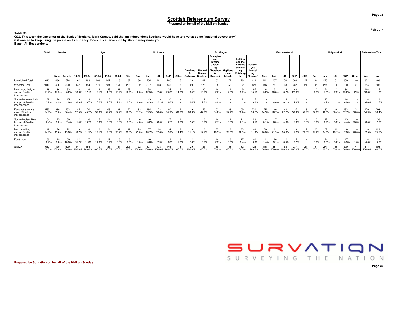1 Feb 2014

**Table 33**Q22. This week the Governor of the Bank of England, Mark Carney, said that an independent Scotland would have to give up some "national sovereignty"<br>if it wanted to keep using the pound as its currency. Does this intervent **Base : All Respondents**

|                                                             | Total          | Gender        |               |               |               | Age           |              |             |               |               |                           | <b>2010 Vote</b> |              |              |                             |                                       | <b>ScotRegion</b>                                             |                              |                                                                    |                                               |               |               | <b>Westminster VI</b> |               |              |              |               | <b>Holyrood VI</b> |               |              | <b>Referendum Vote</b> |               |
|-------------------------------------------------------------|----------------|---------------|---------------|---------------|---------------|---------------|--------------|-------------|---------------|---------------|---------------------------|------------------|--------------|--------------|-----------------------------|---------------------------------------|---------------------------------------------------------------|------------------------------|--------------------------------------------------------------------|-----------------------------------------------|---------------|---------------|-----------------------|---------------|--------------|--------------|---------------|--------------------|---------------|--------------|------------------------|---------------|
|                                                             |                |               | Male Female   | 16-24         | 25-34         | 35-44         | 45-54        | 55-64       | 65+           | Con           | Lab                       | LD               | <b>SNP</b>   | Other        | <b>Dumfries</b><br>Galloway | <b>Fife and</b><br>Centra<br>Scotland | Grampian<br>and<br>Tayside<br>(includi<br>Aberdeen<br>Dundee) | Highland<br>s and<br>Islands | Lothian<br>and the<br><b>Borders</b><br>(includi<br>na<br>Edinburg | Strathcl<br>vde<br>(includi<br>ng<br>Glasgow' | Con           | Lab           | LD                    | <b>SNP</b>    | <b>UKIP</b>  | Con          | Lab           | LD.                | <b>SNP</b>    | Other        | Yes                    | No            |
| Unweighted Total                                            | 1010           | 436           | 574           | 62            | 183           | 208           | 207          | 213         | 137           | 130           | 234                       | 102              | 240          | 25           | 38                          | 142                                   | 163                                                           | 72                           | 176                                                                | 419                                           | 112           | 237           | 50                    | 306           | 27           | 94           | 223           | 51                 | 350           | 46           | 352                    | 463           |
| <b>Weighted Total</b>                                       | 1010           | 490           | 520           | 147           | 154           |               | 181          | 154         | 205           | 122           | 30 <sub>7</sub>           | 138              | 145          | 18           | 29                          | 125                                   | 188                                                           | 58                           | 182                                                                | 428                                           | 116           | 287           |                       | 237           | 24           | 91           | 271           | 66                 | 290           | 41           | 314                    | 503           |
| Much more likely to<br>support Scottish<br>independence     | 118<br>11.7%   | 86<br>17.5%   | 32<br>6.2%    | 16<br>0.9%    | 19<br>12.1%   | 7.1%          | 25<br>14.0%  | 21<br>13.7% | 25<br>12.19   | 3<br>2.3%     | 38<br>12.5%               | 7.8%             | 35<br>24.3%  | 2<br>11.6%   | 9.4%                        | 20<br>16.2%                           | 14<br>7.6%                                                    | 7.6%                         | 5.2%                                                               | 67<br>15.5%                                   | 5.2%          | 31<br>10.8%   | $\sim$<br>3.2%        | 68<br>28.6%   |              | 1.9%         | 21<br>7.6%    | $\sqrt{2}$<br>2.3% | 84<br>29.2%   | 2.9%         | 106<br>33.6%           | 1.3%          |
| Somewhat more likely<br>to support Scottish<br>independence | 39<br>3.9%     | 24<br>4.9%    | 15<br>2.9%    | 9<br>6.3%     | 13<br>8.7%    | 5.2%          | 1.5%         | 2.4%        | 0.5%          | 0.6%          | 13<br>4.3%                | 2.1%             | 10<br>6.6%   |              | 6.4%                        | 12<br>9.8%                            | 4.0%                                                          |                              | $\overline{2}$<br>1.1%                                             | 15<br>3.6%                                    |               | 12<br>4.0%    | 4<br>6.1%             | 12<br>4.9%    |              |              | 13<br>4.9%    | 1.1%               | 14<br>4.9%    |              | 14<br>4.6%             | 1.7%          |
| Does not affect my<br>view of Scottish<br>independence      | 553<br>54.7%   | 260<br>53.0%  | 293<br>56.4%  | 85<br>57.5%   | 70<br>45.7%   | 91<br>53.8%   | 103<br>57.2% | 81<br>52.7% | 122<br>59.6%  | 82<br>67.2%   | 164<br>53.5%              | 78<br>56.6%      | 80<br>55.2%  | 12<br>64.6%  | 19<br>63.3%                 | 59<br>47.1%                           | 103<br>54.8%                                                  | 33<br>57.9%                  | 109<br>59.9%                                                       | 230<br>53.7%                                  | 75<br>64.3%   | 140<br>48.7%  | 40<br>62.7%           | 127<br>53.8%  | 13<br>52.8%  | 63<br>69.6%  | 130<br>48.0%  | 46<br>69.4%        | 153<br>52.7%  | 24<br>60.0%  | 170<br>54.3%           | 298<br>59.4%  |
| Somewhat less likely<br>to support Scottish<br>independence | 64<br>6.4%     | 25<br>5.2%    | 39<br>7.4%    | 1.4%          | 16<br>10.7%   | 15<br>8.9%    | 14<br>8.0%   | 5.8%        | 3.5%          | 4.8%          | 16<br>5.2%                | 8.0%             | 4.7%         | 4.6%         | 2.5%                        | 5.1%                                  | 14<br>7.7%                                                    | 6.2%                         | 11<br>6.1%                                                         | 28<br>6.5%                                    | 3.1%          | 6.0%          | 3<br>4.6%             | 13<br>5.3%    | 17.6%        | 3<br>3.0%    | 17<br>6.2%    | 5.8%               | 13<br>4.4%    | 15.3%        | 0.5%                   | 38<br>7.6%    |
| Much less likely to<br>support Scottish<br>independence     | 149<br>14.7%   | 76<br>15.6%   | 72<br>13.9%   | 13<br>8.7%    | 18<br>11.5%   | 22<br>13.1%   | 24<br>13.0%  | 31<br>20.2% | 42<br>20.3%   | 29<br>23.8%   | 57<br>18.7%               | 24<br>17.6%      | 2.8%         | 2<br>11.4%   | 11.1%                       | 16<br>12.7%                           | 35<br>18.5%                                                   | 13<br>23.0%                  | 33<br>18.3%                                                        | 48<br>11.3%                                   | 30<br>26.0%   | 61<br>21.3%   | 13<br>20.0%           | 1.2%          | 29.5%        | 23<br>24.9%  | 67<br>24.6%   | 12<br>18.1%        | 8<br>2.9%     | 20.0%        | 2.5%                   | 129<br>25.7%  |
| Don't know                                                  | 88<br>8.7%     | 19<br>3.8%    | 69<br>13.3%   | 22<br>15.2%   | 17<br>1.3%    | 20<br>11.9%   | 12<br>6.4%   | 5.2%        | 8<br>3.9%     | ∠<br>1.3%     | 18<br>5.8%                | 7.9%             | 6.3%         | 7.8%         | 7.3%                        | 11<br>9.1%                            | 14<br>7.5%                                                    | 3<br>5.3%                    | 17<br>9.4%                                                         | 40<br>9.3%                                    | 2<br>.4%      | 26<br>9.1%    | 2                     | 15<br>6.2%    |              | 0.6%         | 24<br>8.8%    | 3.2%               | 5.9%          | 1.8%         | 14<br>4.6%             | 21<br>4.3%    |
| <b>SIGMA</b>                                                | 1010<br>100.0% | 490<br>100.0% | 520<br>100.0% | 147<br>100.0% | 154<br>100.0% | 100.0% 100.0% |              | 100.0%      | 205<br>100.0% | 122<br>100.0% | 30 <sub>7</sub><br>100.0% | 138<br>100.0%    | 45<br>100.0% | 18<br>100.0% | 29<br>100.0%                | 125<br>100.0%                         | 188<br>100.0%                                                 | 58<br>100.0%                 | 182<br>100.0%                                                      | 428<br>100.0%                                 | 116<br>100.0% | 287<br>100.0% | 63<br>100.0%          | 237<br>100.0% | 24<br>100.0% | 91<br>100.0% | 271<br>100.0% | 66<br>100.0%       | 290<br>100.0% | 41<br>100.0% | 314<br>100.0%          | 503<br>100.0% |

**Prepared by Survation on behalf of the Mail on Sunday**

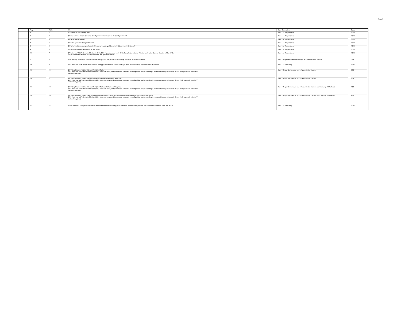| Page | Table | Title                                                                                                                                                                                                                                                                                                                                                | <b>Base Description</b>                                                        | Base |
|------|-------|------------------------------------------------------------------------------------------------------------------------------------------------------------------------------------------------------------------------------------------------------------------------------------------------------------------------------------------------------|--------------------------------------------------------------------------------|------|
|      |       | Q1. Where do you currently live?                                                                                                                                                                                                                                                                                                                     | Base : All Respondents                                                         | 1010 |
|      |       | Q2. You said you lived in Scotland. Could you say which region of Scotland you live in?                                                                                                                                                                                                                                                              | Base : All Respondents                                                         | 1010 |
|      |       | Q3. What is your Gender?                                                                                                                                                                                                                                                                                                                             | Base : All Respondents                                                         | 1010 |
|      |       | Q4. What age bracket do you fall into?                                                                                                                                                                                                                                                                                                               | Base : All Respondents                                                         | 1010 |
|      |       | Q5. What best describes your household income, including all benefits, but before tax is deducted?                                                                                                                                                                                                                                                   | Base : All Respondents                                                         | 1010 |
|      |       | Q6. Which of these qualifications do you have?                                                                                                                                                                                                                                                                                                       | Base : All Respondents                                                         | 1010 |
|      |       | Q7. In the last UK Westminster Election in 2010, 61% of people voted, while 39% of people did not vote. Thinking back to the General Election in May 2010,<br>can you remember whether or not you voted in that specific election?                                                                                                                   | Base : All Respondents                                                         | 1010 |
|      |       | Q7B. Thinking back to the General Election in May 2010, can you recall which party you voted for in that election?                                                                                                                                                                                                                                   | Base : Respondents who voted in the 2010 Westminster Election                  |      |
|      |       | Q8. If there was a UK Westminster Election taking place tomorrow, how likely do you think you would be to yote on a scale of 0 to 10?                                                                                                                                                                                                                | Base : All Answering                                                           | 1006 |
|      |       | Q9. Voting Intention Tables - Normal Weighted Table<br>Q9. If there was a Westminster Election taking place tomorrow, and there was a candidate from all political parties standing in your constituency, which party do you think you would vote for? /<br>Another Party (Net)                                                                      | Base : Respondents would vote in Westminster Election                          | 953  |
|      |       | Q9. Voting Intention Tables - Normal Weighted Table and Likelihood Weighting<br>O9. If there was a Westminster Election taking place tomorrow, and there was a candidate from all political parties standing in your constituency, which party do you think you would yote for? /<br>Another Party (Net)                                             | Base : Respondents would vote in Westminster Election                          | 953  |
|      |       | Q9. Voting Intention Tables - Normal Weighted Table and Likelihood Weighting<br>Q9. If there was a Westminster Election taking place tomorrow, and there was a candidate from all political parties standing in your constituency, which party do you think you would vote for? /<br>Another Party (Net)                                             | Base : Respondents would vote in Westminster Election and Excluding DK/Refused |      |
|      |       | Q9. Voting Intention Tables - Special Table (After Replacing the Undecided/Refused Responses with 2010 Voters responses)<br>Q9. If there was a Westminster Election taking place tomorrow, and there was a candidate from all political parties standing in your constituency, which party do you think you would vote for? /<br>Another Party (Net) | Base : Respondents would vote in Westminster Election and Excluding DK/Refused |      |
|      |       | Q10. If there was a Holyrood Election for the Scottish Parliament taking place tomorrow, how likely do you think you would be to vote on a scale of 0 to 10?                                                                                                                                                                                         | Base : All Answering                                                           | 1006 |

Page I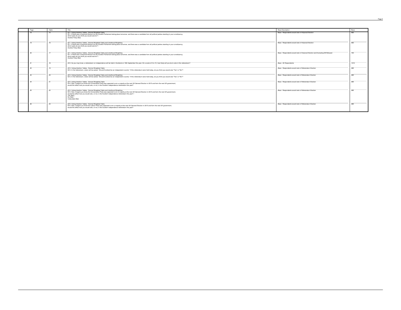| Page | Table | Title                                                                                                                                                                                                                                                                                                                                                           | <b>Base Description</b>                                                     | Base |
|------|-------|-----------------------------------------------------------------------------------------------------------------------------------------------------------------------------------------------------------------------------------------------------------------------------------------------------------------------------------------------------------------|-----------------------------------------------------------------------------|------|
| 18   |       | O11. Voting Intention Tables - Normal Weighted Table<br>Q11. If there was a Holyrood Election for the Scottish Parliament taking place tomorrow, and there was a candidate from all political parties standing in your constituency,<br>which party do you think you would yote for? /<br>Another Party (Net)                                                   | Base : Respondents would vote in Holyrood Election                          | 962  |
|      |       | Q11. Voting Intention Tables - Normal Weighted Table and Likelihood Weighting<br>Q11. If there was a Holyrood Election for the Scottish Parliament taking place tomorrow, and there was a candidate from all political parties standing in your constituency.<br>which party do you think you would yote for? /<br>Another Party (Net)                          | Base : Respondents would vote in Holyrood Election                          |      |
|      |       | Q11. Voting Intention Tables - Normal Weighted Table and Likelihood Weighting<br>Q11. If there was a Holyrood Election for the Scottish Parliament taking place tomorrow, and there was a candidate from all political parties standing in your constituency.<br>which party do you think you would vote for? /<br>Another Party (Net)                          | Base : Respondents would vote in Holyrood Election and Excluding DK/Refused |      |
|      |       | Q12. As you may know, a referendum on independence will be held in Scotland on 18th September this year. On a scale of 0 to 10, how likely will you be to yote in this referendum?                                                                                                                                                                              | Base : All Respondents                                                      | 1010 |
|      |       | Q13. Voting Intention Tables - Normal Weighted Table<br>Q13. In the referendum, voters will be asked, "Should Scotland be an independent country". If this referendum were held today, do you think you would vote "Yes" or "No"?                                                                                                                               | Base : Respondents would vote in Referendum Election                        | 985  |
|      |       | Q13. Voting Intention Tables - Normal Weighted Table and Likelihood Weighting<br>Q13. In the referendum, voters will be asked, "Should Scotland be an independent country". If this referendum were held today, do you think you would vote "Yes" or "No"?                                                                                                      | Base : Respondents would vote in Referendum Election                        | 985  |
|      |       | Q14. Voting Intention Tables - Normal Weighted Table<br>Q14. Now, imagine you knew the Conservative Party was expected to win a majority at the next UK General Election in 2015 and form the next UK government,<br>would this affect how you would vote, or not, in the Scottish independence referendum this year?                                           | Base : Respondents would vote in Referendum Election                        | 985  |
|      |       | Q14. Voting Intention Tables - Normal Weighted Table and Likelihood Weighting<br>Q14. Now, imagine you knew the Conservative Party was expected to win a majority at the next UK General Election in 2015 and form the next UK government, would this affect how you would yote, or not, in the Scottish indepe<br>Yes (Net) /<br>No (Net) /<br>Undecided (Net) | Base : Respondents would vote in Referendum Election                        |      |
|      |       | Q15. Voting Intention Tables - Normal Weighted Table<br>Q15. Now, imagine you knew the Labour Party was expected to win a majority at the next UK General Election in 2015 and form the next UK government<br>would this affect how you would vote, or not, in the Scottish independence referendum this year?                                                  | Base : Respondents would vote in Referendum Election                        |      |